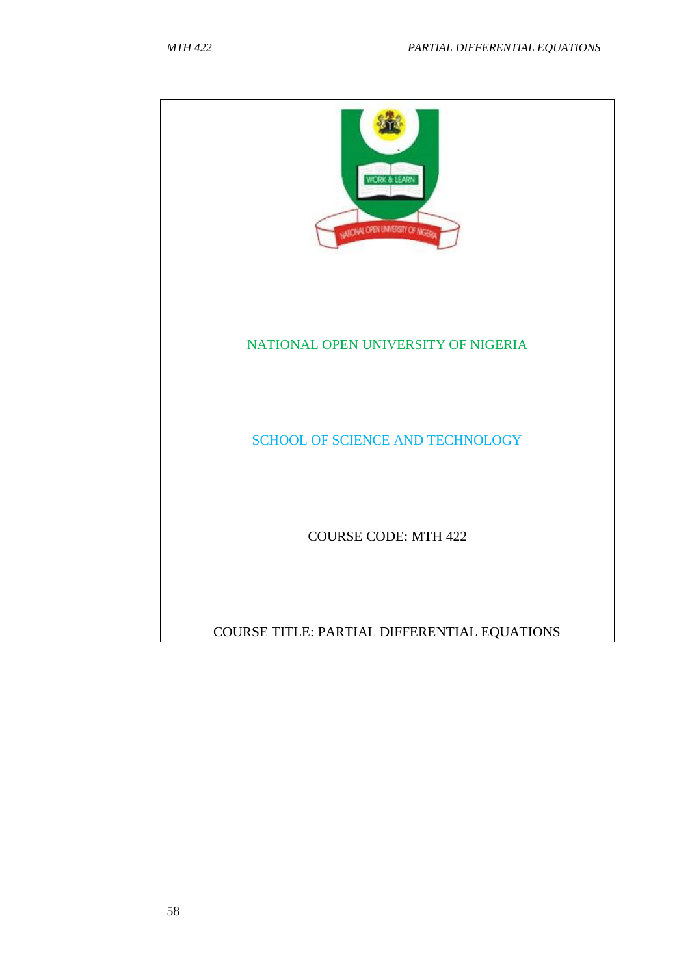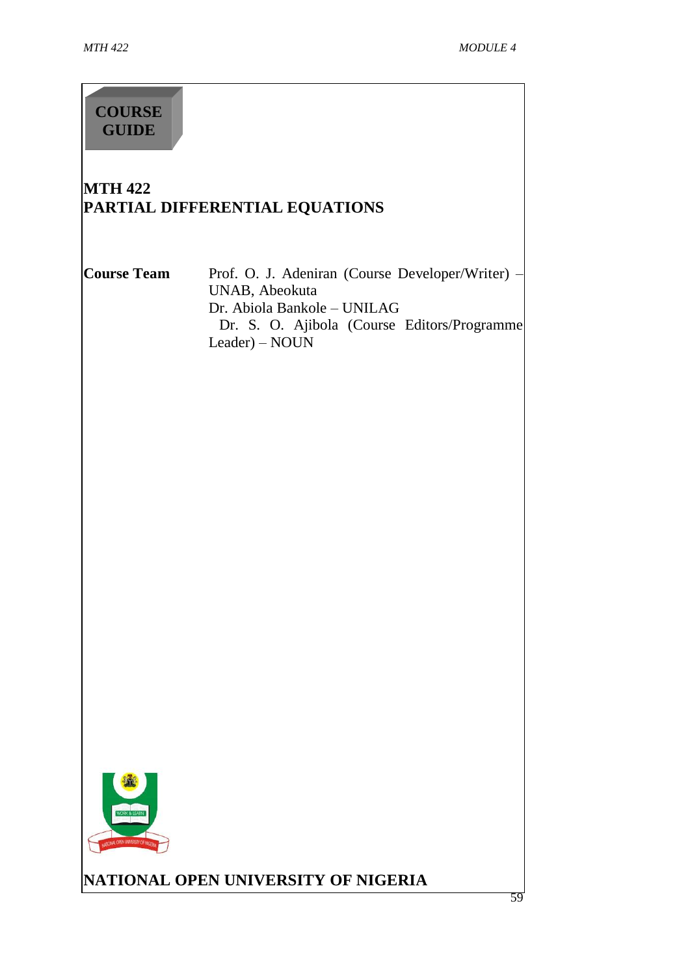## **COURSE GUIDE**

## **MTH 422 PARTIAL DIFFERENTIAL EQUATIONS**

**Course Team** Prof. O. J. Adeniran (Course Developer/Writer) – UNAB, Abeokuta Dr. Abiola Bankole – UNILAG Dr. S. O. Ajibola (Course Editors/Programme Leader) – NOUN



**NATIONAL OPEN UNIVERSITY OF NIGERIA**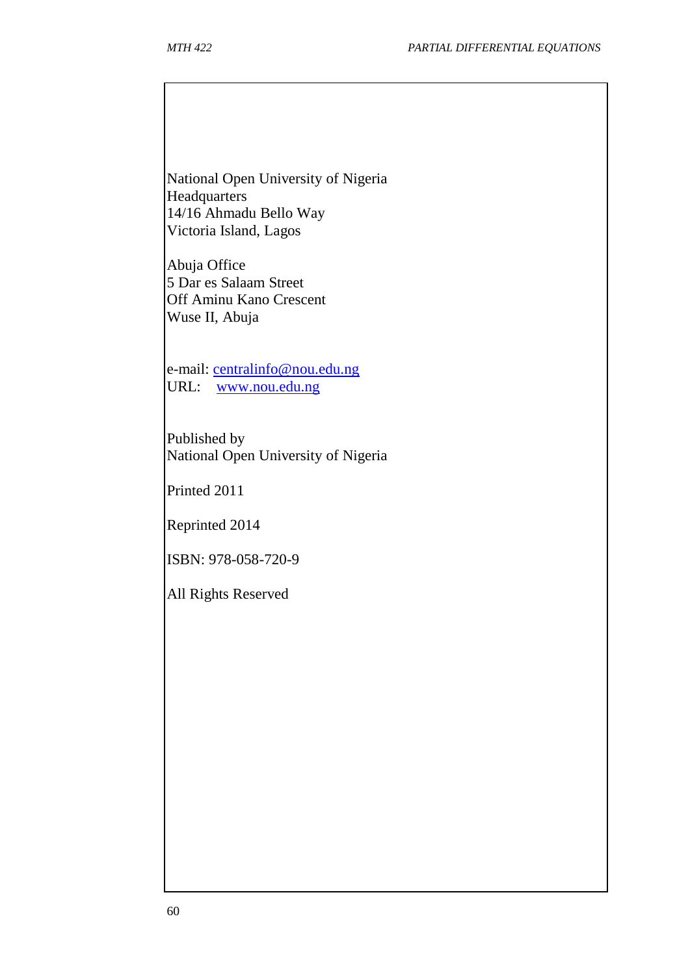National Open University of Nigeria **Headquarters** 14/16 Ahmadu Bello Way Victoria Island, Lagos

Abuja Office 5 Dar es Salaam Street Off Aminu Kano Crescent Wuse II, Abuja

e-mail: [centralinfo@nou.edu.ng](mailto:centralinfo@nou.edu.ng) URL: [www.nou.edu.ng](http://www.nou.edu.ng/)

Published by National Open University of Nigeria

Printed 2011

Reprinted 2014

ISBN: 978-058-720-9

All Rights Reserved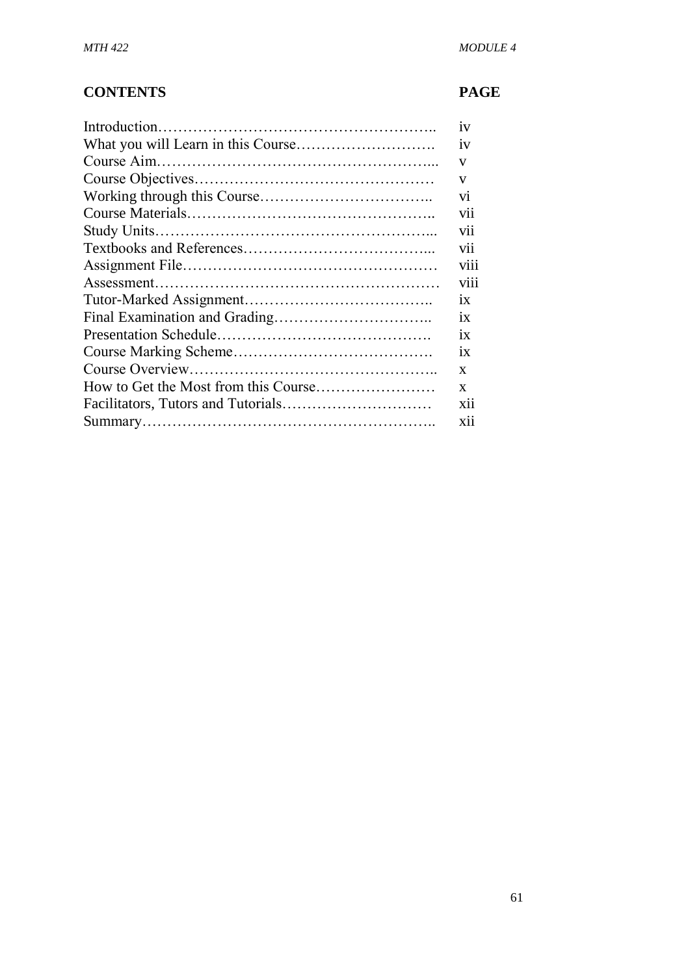## **CONTENTS PAGE**

| 1V              |
|-----------------|
| 1V              |
| V               |
| V               |
| V1              |
| vii             |
| vii             |
| vii             |
| V111            |
| viii            |
| 1X              |
| $\overline{1}X$ |
| ix              |
| 1X              |
| X               |
| X               |
| X <sub>ii</sub> |
| <b>X11</b>      |
|                 |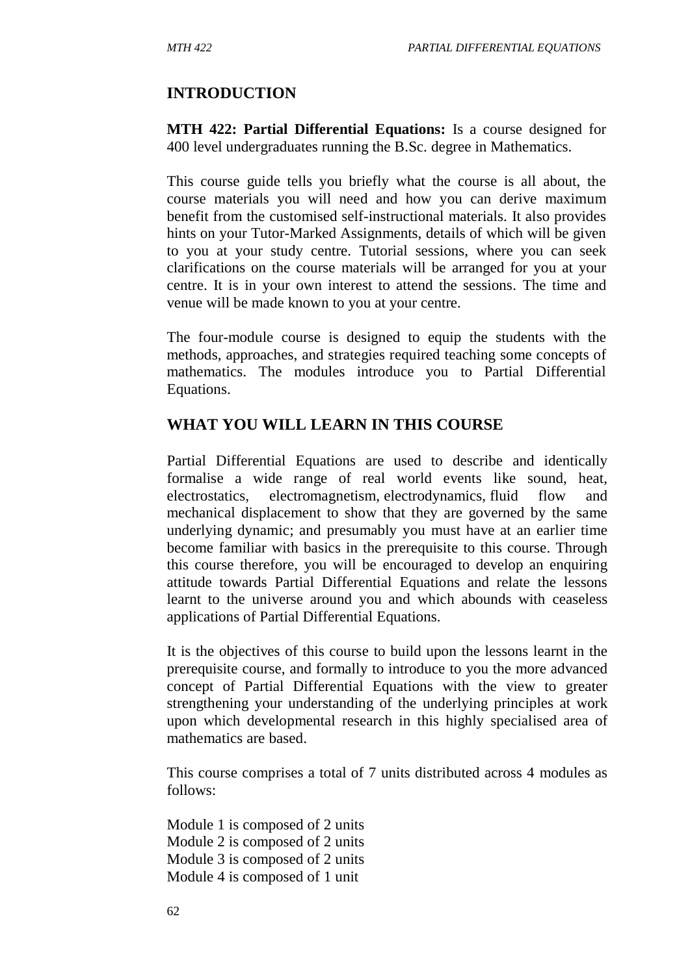## **INTRODUCTION**

**MTH 422: Partial Differential Equations:** Is a course designed for 400 level undergraduates running the B.Sc. degree in Mathematics.

This course guide tells you briefly what the course is all about, the course materials you will need and how you can derive maximum benefit from the customised self-instructional materials. It also provides hints on your Tutor-Marked Assignments, details of which will be given to you at your study centre. Tutorial sessions, where you can seek clarifications on the course materials will be arranged for you at your centre. It is in your own interest to attend the sessions. The time and venue will be made known to you at your centre.

The four-module course is designed to equip the students with the methods, approaches, and strategies required teaching some concepts of mathematics. The modules introduce you to Partial Differential Equations.

#### **WHAT YOU WILL LEARN IN THIS COURSE**

Partial Differential Equations are used to describe and identically formalise a wide range of real world events like sound, heat, electrostatics, electromagnetism, electrodynamics, fluid flow and mechanical displacement to show that they are governed by the same underlying dynamic; and presumably you must have at an earlier time become familiar with basics in the prerequisite to this course. Through this course therefore, you will be encouraged to develop an enquiring attitude towards Partial Differential Equations and relate the lessons learnt to the universe around you and which abounds with ceaseless applications of Partial Differential Equations.

It is the objectives of this course to build upon the lessons learnt in the prerequisite course, and formally to introduce to you the more advanced concept of Partial Differential Equations with the view to greater strengthening your understanding of the underlying principles at work upon which developmental research in this highly specialised area of mathematics are based.

This course comprises a total of 7 units distributed across 4 modules as follows:

Module 1 is composed of 2 units Module 2 is composed of 2 units Module 3 is composed of 2 units Module 4 is composed of 1 unit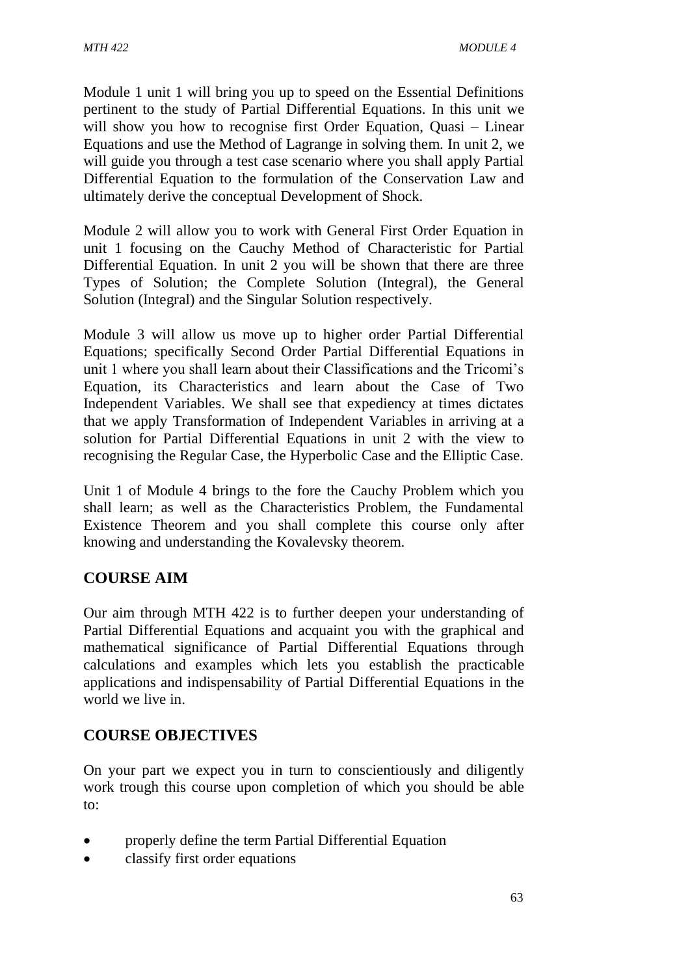Module 1 unit 1 will bring you up to speed on the Essential Definitions pertinent to the study of Partial Differential Equations. In this unit we will show you how to recognise first Order Equation, Quasi – Linear Equations and use the Method of Lagrange in solving them. In unit 2, we will guide you through a test case scenario where you shall apply Partial Differential Equation to the formulation of the Conservation Law and ultimately derive the conceptual Development of Shock.

Module 2 will allow you to work with General First Order Equation in unit 1 focusing on the Cauchy Method of Characteristic for Partial Differential Equation. In unit 2 you will be shown that there are three Types of Solution; the Complete Solution (Integral), the General Solution (Integral) and the Singular Solution respectively.

Module 3 will allow us move up to higher order Partial Differential Equations; specifically Second Order Partial Differential Equations in unit 1 where you shall learn about their Classifications and the Tricomi's Equation, its Characteristics and learn about the Case of Two Independent Variables. We shall see that expediency at times dictates that we apply Transformation of Independent Variables in arriving at a solution for Partial Differential Equations in unit 2 with the view to recognising the Regular Case, the Hyperbolic Case and the Elliptic Case.

Unit 1 of Module 4 brings to the fore the Cauchy Problem which you shall learn; as well as the Characteristics Problem, the Fundamental Existence Theorem and you shall complete this course only after knowing and understanding the Kovalevsky theorem.

## **COURSE AIM**

Our aim through MTH 422 is to further deepen your understanding of Partial Differential Equations and acquaint you with the graphical and mathematical significance of Partial Differential Equations through calculations and examples which lets you establish the practicable applications and indispensability of Partial Differential Equations in the world we live in.

## **COURSE OBJECTIVES**

On your part we expect you in turn to conscientiously and diligently work trough this course upon completion of which you should be able to:

- properly define the term Partial Differential Equation
- classify first order equations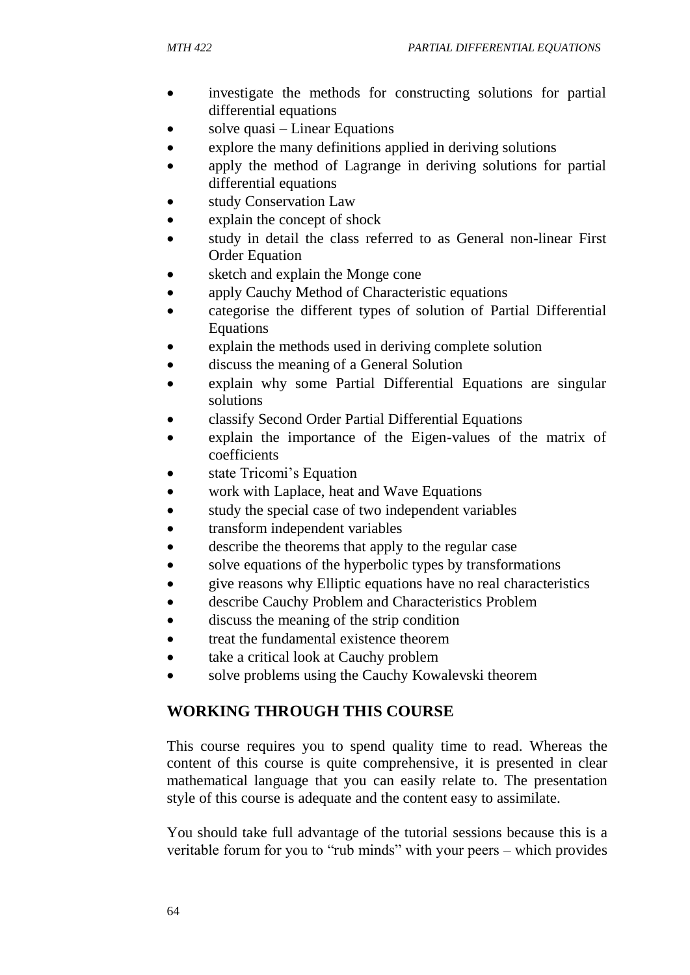- investigate the methods for constructing solutions for partial differential equations
- solve quasi Linear Equations
- explore the many definitions applied in deriving solutions
- apply the method of Lagrange in deriving solutions for partial differential equations
- study Conservation Law
- explain the concept of shock
- study in detail the class referred to as General non-linear First Order Equation
- sketch and explain the Monge cone
- apply Cauchy Method of Characteristic equations
- categorise the different types of solution of Partial Differential Equations
- explain the methods used in deriving complete solution
- discuss the meaning of a General Solution
- explain why some Partial Differential Equations are singular solutions
- classify Second Order Partial Differential Equations
- explain the importance of the Eigen-values of the matrix of coefficients
- state Tricomi's Equation
- work with Laplace, heat and Wave Equations
- study the special case of two independent variables
- transform independent variables
- describe the theorems that apply to the regular case
- solve equations of the hyperbolic types by transformations
- give reasons why Elliptic equations have no real characteristics
- describe Cauchy Problem and Characteristics Problem
- discuss the meaning of the strip condition
- treat the fundamental existence theorem
- take a critical look at Cauchy problem
- solve problems using the Cauchy Kowalevski theorem

## **WORKING THROUGH THIS COURSE**

This course requires you to spend quality time to read. Whereas the content of this course is quite comprehensive, it is presented in clear mathematical language that you can easily relate to. The presentation style of this course is adequate and the content easy to assimilate.

You should take full advantage of the tutorial sessions because this is a veritable forum for you to "rub minds" with your peers – which provides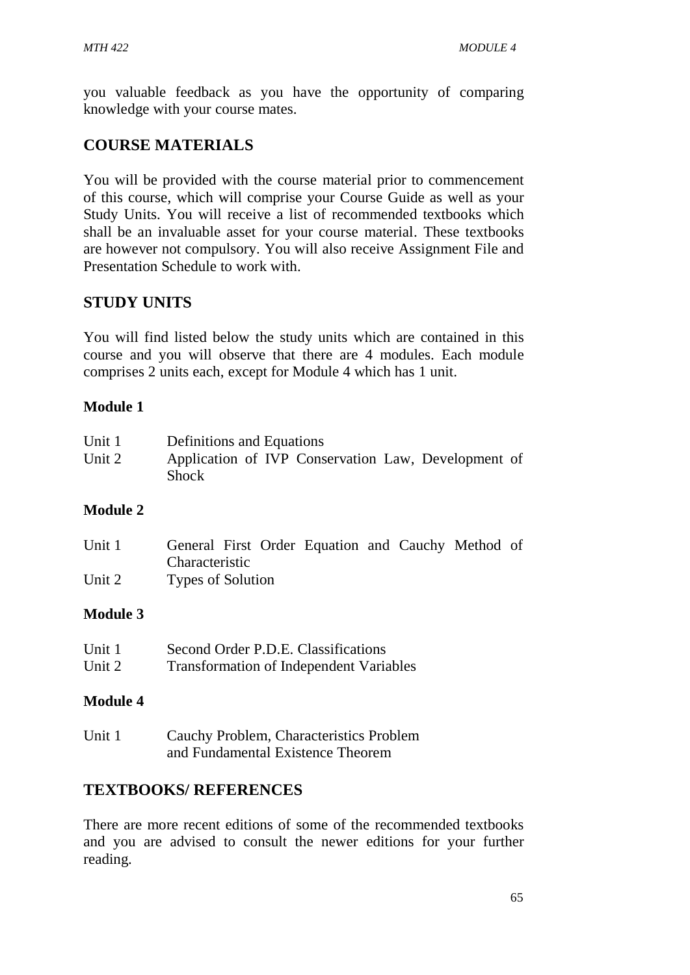you valuable feedback as you have the opportunity of comparing knowledge with your course mates.

## **COURSE MATERIALS**

You will be provided with the course material prior to commencement of this course, which will comprise your Course Guide as well as your Study Units. You will receive a list of recommended textbooks which shall be an invaluable asset for your course material. These textbooks are however not compulsory. You will also receive Assignment File and Presentation Schedule to work with.

## **STUDY UNITS**

You will find listed below the study units which are contained in this course and you will observe that there are 4 modules. Each module comprises 2 units each, except for Module 4 which has 1 unit.

## **Module 1**

| Unit 1 | Definitions and Equations                                    |  |  |
|--------|--------------------------------------------------------------|--|--|
| Unit 2 | Application of IVP Conservation Law, Development of<br>Shock |  |  |

#### **Module 2**

| Unit 1 | General First Order Equation and Cauchy Method of |  |
|--------|---------------------------------------------------|--|
|        | Characteristic                                    |  |
| Unit 2 | <b>Types of Solution</b>                          |  |

#### **Module 3**

| Unit 1 | Second Order P.D.E. Classifications            |
|--------|------------------------------------------------|
| Unit 2 | <b>Transformation of Independent Variables</b> |

#### **Module 4**

Unit 1 Cauchy Problem, Characteristics Problem and Fundamental Existence Theorem

## **TEXTBOOKS/ REFERENCES**

There are more recent editions of some of the recommended textbooks and you are advised to consult the newer editions for your further reading.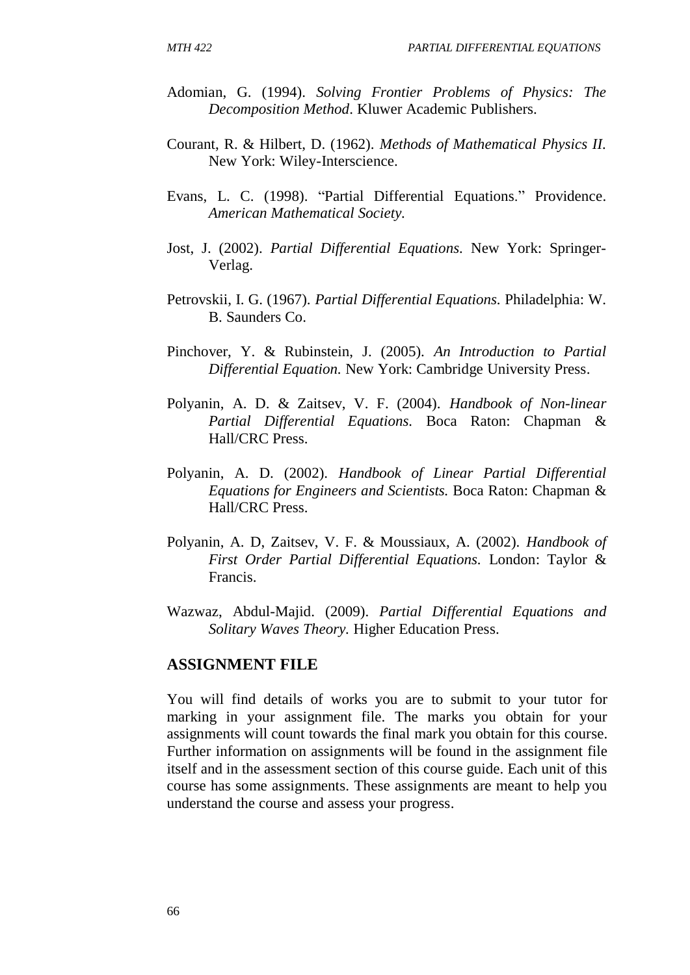- Adomian, G. (1994). *Solving Frontier Problems of Physics: The Decomposition Method*. Kluwer Academic Publishers.
- Courant, R. & Hilbert, D. (1962). *Methods of Mathematical Physics II.* New York: Wiley-Interscience.
- Evans, L. C. (1998). "Partial Differential Equations." Providence. *American Mathematical Society.*
- Jost, J. (2002). *Partial Differential Equations.* New York: Springer-Verlag.
- Petrovskii, I. G. (1967). *Partial Differential Equations.* Philadelphia: W. B. Saunders Co.
- Pinchover, Y. & Rubinstein, J. (2005). *An Introduction to Partial Differential Equation.* New York: Cambridge University Press.
- Polyanin, A. D. & Zaitsev, V. F. (2004). *Handbook of Non-linear Partial Differential Equations.* Boca Raton: Chapman & Hall/CRC Press.
- Polyanin, A. D. (2002). *Handbook of Linear Partial Differential Equations for Engineers and Scientists.* Boca Raton: Chapman & Hall/CRC Press.
- Polyanin, A. D, Zaitsev, V. F. & Moussiaux, A. (2002). *Handbook of First Order Partial Differential Equations.* London: Taylor & Francis.
- Wazwaz, Abdul-Majid. (2009). *Partial Differential Equations and Solitary Waves Theory.* Higher Education Press.

#### **ASSIGNMENT FILE**

You will find details of works you are to submit to your tutor for marking in your assignment file. The marks you obtain for your assignments will count towards the final mark you obtain for this course. Further information on assignments will be found in the assignment file itself and in the assessment section of this course guide. Each unit of this course has some assignments. These assignments are meant to help you understand the course and assess your progress.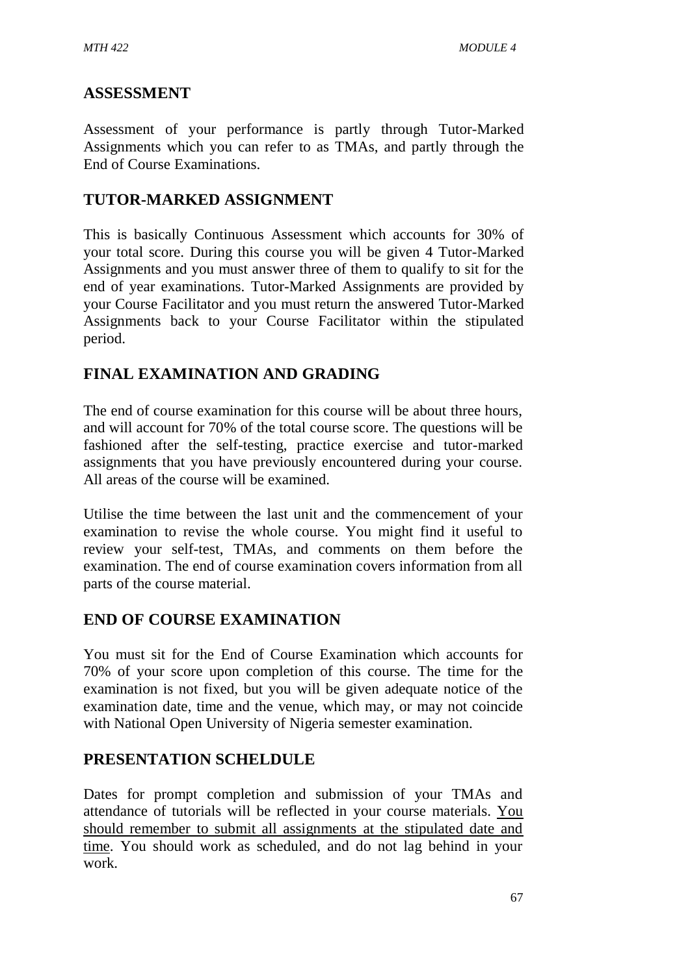## **ASSESSMENT**

Assessment of your performance is partly through Tutor-Marked Assignments which you can refer to as TMAs, and partly through the End of Course Examinations.

## **TUTOR-MARKED ASSIGNMENT**

This is basically Continuous Assessment which accounts for 30% of your total score. During this course you will be given 4 Tutor-Marked Assignments and you must answer three of them to qualify to sit for the end of year examinations. Tutor-Marked Assignments are provided by your Course Facilitator and you must return the answered Tutor-Marked Assignments back to your Course Facilitator within the stipulated period.

## **FINAL EXAMINATION AND GRADING**

The end of course examination for this course will be about three hours, and will account for 70% of the total course score. The questions will be fashioned after the self-testing, practice exercise and tutor-marked assignments that you have previously encountered during your course. All areas of the course will be examined.

Utilise the time between the last unit and the commencement of your examination to revise the whole course. You might find it useful to review your self-test, TMAs, and comments on them before the examination. The end of course examination covers information from all parts of the course material.

## **END OF COURSE EXAMINATION**

You must sit for the End of Course Examination which accounts for 70% of your score upon completion of this course. The time for the examination is not fixed, but you will be given adequate notice of the examination date, time and the venue, which may, or may not coincide with National Open University of Nigeria semester examination.

## **PRESENTATION SCHELDULE**

Dates for prompt completion and submission of your TMAs and attendance of tutorials will be reflected in your course materials. You should remember to submit all assignments at the stipulated date and time. You should work as scheduled, and do not lag behind in your work.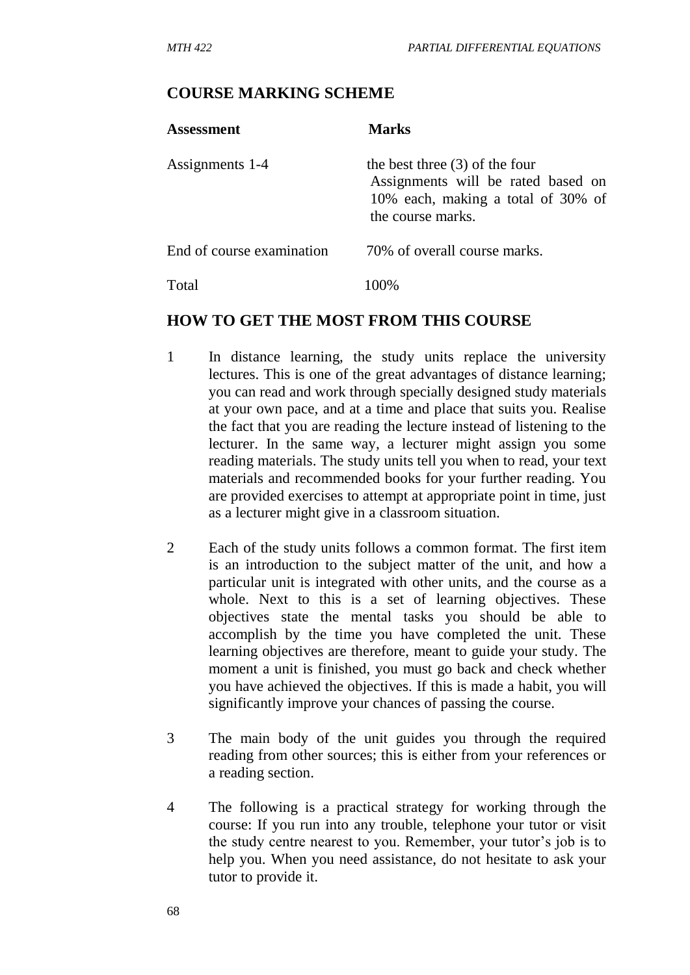#### **COURSE MARKING SCHEME**

| <b>Assessment</b>         | <b>Marks</b>                                                                                                                      |
|---------------------------|-----------------------------------------------------------------------------------------------------------------------------------|
| Assignments 1-4           | the best three $(3)$ of the four<br>Assignments will be rated based on<br>10% each, making a total of 30% of<br>the course marks. |
| End of course examination | 70% of overall course marks.                                                                                                      |
| Total                     |                                                                                                                                   |

#### **HOW TO GET THE MOST FROM THIS COURSE**

- 1 In distance learning, the study units replace the university lectures. This is one of the great advantages of distance learning; you can read and work through specially designed study materials at your own pace, and at a time and place that suits you. Realise the fact that you are reading the lecture instead of listening to the lecturer. In the same way, a lecturer might assign you some reading materials. The study units tell you when to read, your text materials and recommended books for your further reading. You are provided exercises to attempt at appropriate point in time, just as a lecturer might give in a classroom situation.
- 2 Each of the study units follows a common format. The first item is an introduction to the subject matter of the unit, and how a particular unit is integrated with other units, and the course as a whole. Next to this is a set of learning objectives. These objectives state the mental tasks you should be able to accomplish by the time you have completed the unit. These learning objectives are therefore, meant to guide your study. The moment a unit is finished, you must go back and check whether you have achieved the objectives. If this is made a habit, you will significantly improve your chances of passing the course.
- 3 The main body of the unit guides you through the required reading from other sources; this is either from your references or a reading section.
- 4 The following is a practical strategy for working through the course: If you run into any trouble, telephone your tutor or visit the study centre nearest to you. Remember, your tutor's job is to help you. When you need assistance, do not hesitate to ask your tutor to provide it.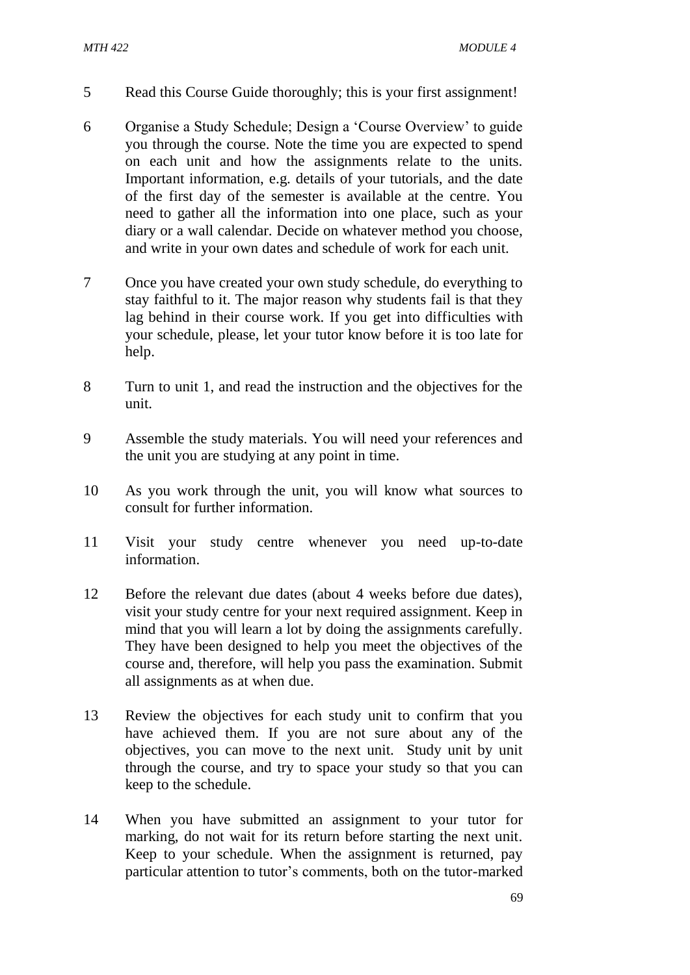- 5 Read this Course Guide thoroughly; this is your first assignment!
- 6 Organise a Study Schedule; Design a 'Course Overview' to guide you through the course. Note the time you are expected to spend on each unit and how the assignments relate to the units. Important information, e.g. details of your tutorials, and the date of the first day of the semester is available at the centre. You need to gather all the information into one place, such as your diary or a wall calendar. Decide on whatever method you choose, and write in your own dates and schedule of work for each unit.
- 7 Once you have created your own study schedule, do everything to stay faithful to it. The major reason why students fail is that they lag behind in their course work. If you get into difficulties with your schedule, please, let your tutor know before it is too late for help.
- 8 Turn to unit 1, and read the instruction and the objectives for the unit.
- 9 Assemble the study materials. You will need your references and the unit you are studying at any point in time.
- 10 As you work through the unit, you will know what sources to consult for further information.
- 11 Visit your study centre whenever you need up-to-date information.
- 12 Before the relevant due dates (about 4 weeks before due dates), visit your study centre for your next required assignment. Keep in mind that you will learn a lot by doing the assignments carefully. They have been designed to help you meet the objectives of the course and, therefore, will help you pass the examination. Submit all assignments as at when due.
- 13 Review the objectives for each study unit to confirm that you have achieved them. If you are not sure about any of the objectives, you can move to the next unit. Study unit by unit through the course, and try to space your study so that you can keep to the schedule.
- 14 When you have submitted an assignment to your tutor for marking, do not wait for its return before starting the next unit. Keep to your schedule. When the assignment is returned, pay particular attention to tutor's comments, both on the tutor-marked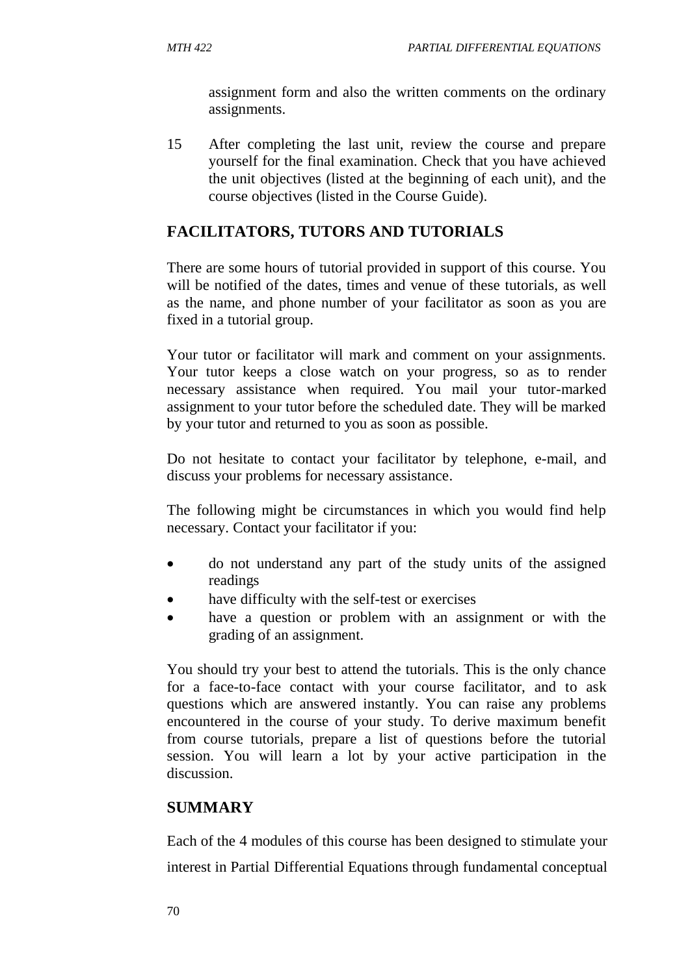assignment form and also the written comments on the ordinary assignments.

15 After completing the last unit, review the course and prepare yourself for the final examination. Check that you have achieved the unit objectives (listed at the beginning of each unit), and the course objectives (listed in the Course Guide).

## **FACILITATORS, TUTORS AND TUTORIALS**

There are some hours of tutorial provided in support of this course. You will be notified of the dates, times and venue of these tutorials, as well as the name, and phone number of your facilitator as soon as you are fixed in a tutorial group.

Your tutor or facilitator will mark and comment on your assignments. Your tutor keeps a close watch on your progress, so as to render necessary assistance when required. You mail your tutor-marked assignment to your tutor before the scheduled date. They will be marked by your tutor and returned to you as soon as possible.

Do not hesitate to contact your facilitator by telephone, e-mail, and discuss your problems for necessary assistance.

The following might be circumstances in which you would find help necessary. Contact your facilitator if you:

- do not understand any part of the study units of the assigned readings
- have difficulty with the self-test or exercises
- have a question or problem with an assignment or with the grading of an assignment.

You should try your best to attend the tutorials. This is the only chance for a face-to-face contact with your course facilitator, and to ask questions which are answered instantly. You can raise any problems encountered in the course of your study. To derive maximum benefit from course tutorials, prepare a list of questions before the tutorial session. You will learn a lot by your active participation in the discussion.

## **SUMMARY**

Each of the 4 modules of this course has been designed to stimulate your interest in Partial Differential Equations through fundamental conceptual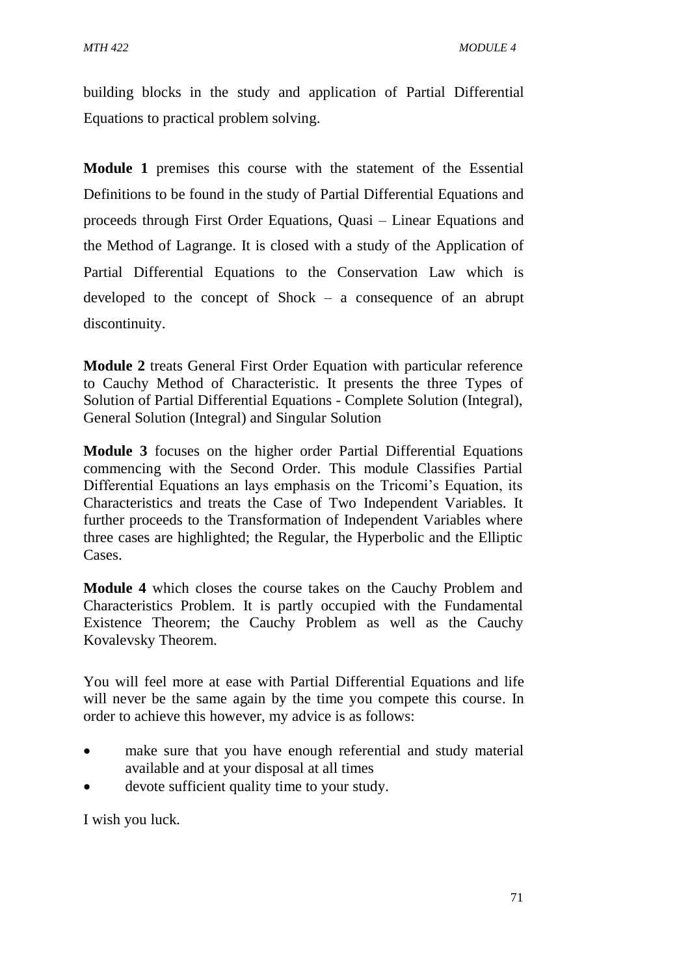building blocks in the study and application of Partial Differential Equations to practical problem solving.

**Module 1** premises this course with the statement of the Essential Definitions to be found in the study of Partial Differential Equations and proceeds through First Order Equations, Quasi – Linear Equations and the Method of Lagrange. It is closed with a study of the Application of Partial Differential Equations to the Conservation Law which is developed to the concept of Shock – a consequence of an abrupt discontinuity.

**Module 2** treats General First Order Equation with particular reference to Cauchy Method of Characteristic. It presents the three Types of Solution of Partial Differential Equations - Complete Solution (Integral), General Solution (Integral) and Singular Solution

**Module 3** focuses on the higher order Partial Differential Equations commencing with the Second Order. This module Classifies Partial Differential Equations an lays emphasis on the Tricomi's Equation, its Characteristics and treats the Case of Two Independent Variables. It further proceeds to the Transformation of Independent Variables where three cases are highlighted; the Regular, the Hyperbolic and the Elliptic Cases.

**Module 4** which closes the course takes on the Cauchy Problem and Characteristics Problem. It is partly occupied with the Fundamental Existence Theorem; the Cauchy Problem as well as the Cauchy Kovalevsky Theorem.

You will feel more at ease with Partial Differential Equations and life will never be the same again by the time you compete this course. In order to achieve this however, my advice is as follows:

- make sure that you have enough referential and study material available and at your disposal at all times
- devote sufficient quality time to your study.

I wish you luck.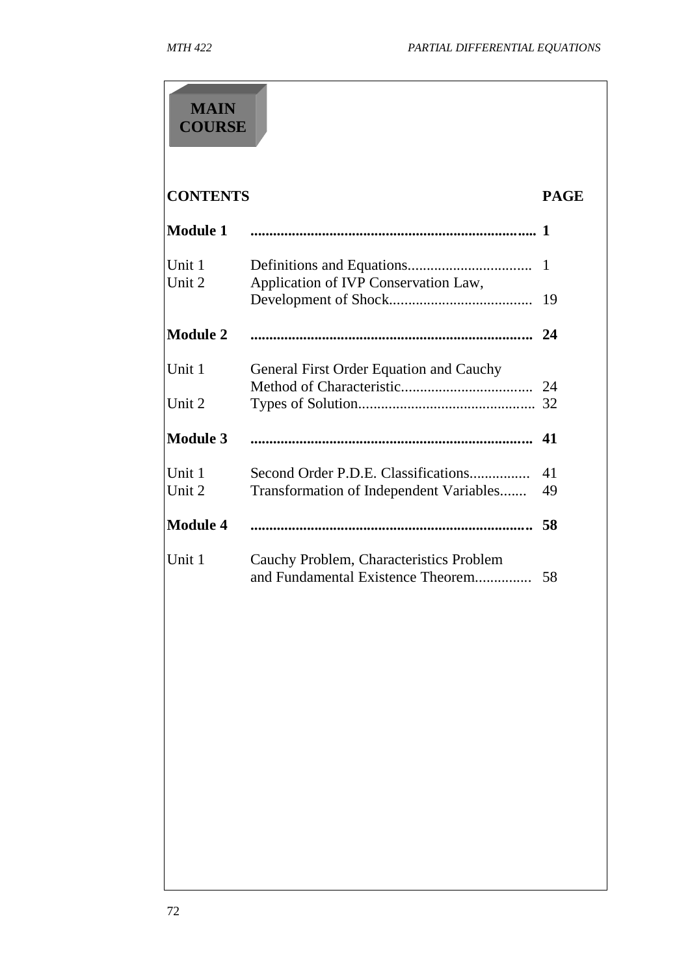# **CONTENTS PAGE Module 1 ............................................................................ 1** Unit 1 Definitions and Equations................................. 1 Unit 2 Application of IVP Conservation Law, Development of Shock...................................... 19 **Module 2 ........................................................................... 24** Unit 1 General First Order Equation and Cauchy Method of Characteristic................................... 24 Unit 2 Types of Solution............................................... 32 **Module 3 ........................................................................... 41** Unit 1 Second Order P.D.E. Classifications................ 41 Unit 2 Transformation of Independent Variables....... 49 **Module 4 ........................................................................... 58** Unit 1 Cauchy Problem, Characteristics Problem and Fundamental Existence Theorem............... 58 **MAIN COURSE**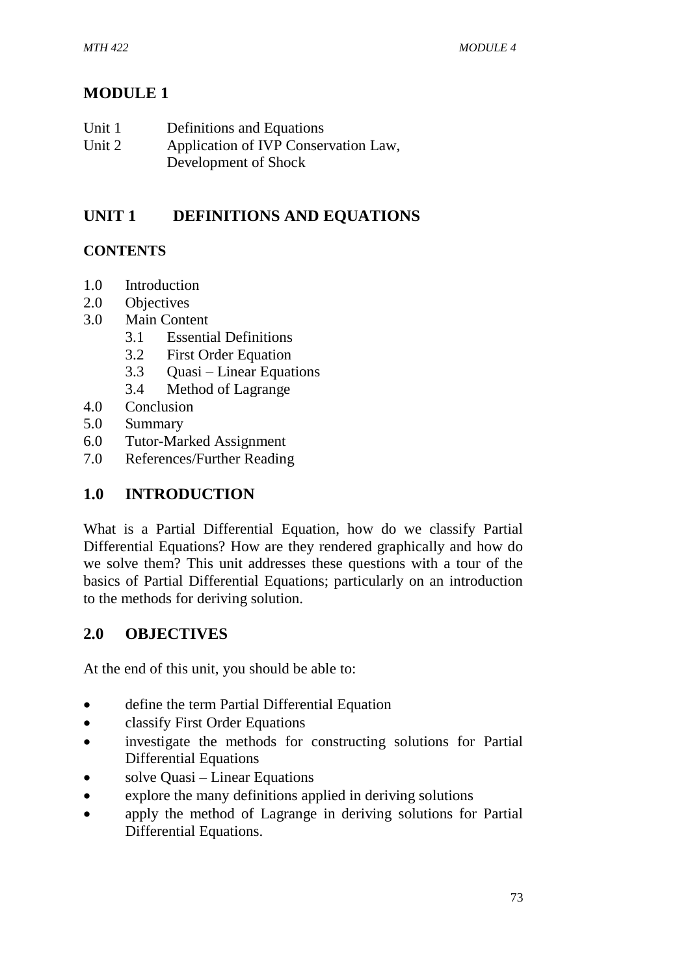## **MODULE 1**

| Unit 1 | Definitions and Equations            |
|--------|--------------------------------------|
| Unit 2 | Application of IVP Conservation Law, |
|        | Development of Shock                 |

## **UNIT 1 DEFINITIONS AND EQUATIONS**

## **CONTENTS**

- 1.0 Introduction
- 2.0 Objectives
- 3.0 Main Content
	- 3.1 Essential Definitions
	- 3.2 First Order Equation
	- 3.3 Quasi Linear Equations
	- 3.4 Method of Lagrange
- 4.0 Conclusion
- 5.0 Summary
- 6.0 Tutor-Marked Assignment
- 7.0 References/Further Reading

## **1.0 INTRODUCTION**

What is a Partial Differential Equation, how do we classify Partial Differential Equations? How are they rendered graphically and how do we solve them? This unit addresses these questions with a tour of the basics of Partial Differential Equations; particularly on an introduction to the methods for deriving solution.

## **2.0 OBJECTIVES**

At the end of this unit, you should be able to:

- define the term Partial Differential Equation
- classify First Order Equations
- investigate the methods for constructing solutions for Partial Differential Equations
- solve Quasi Linear Equations
- explore the many definitions applied in deriving solutions
- apply the method of Lagrange in deriving solutions for Partial Differential Equations.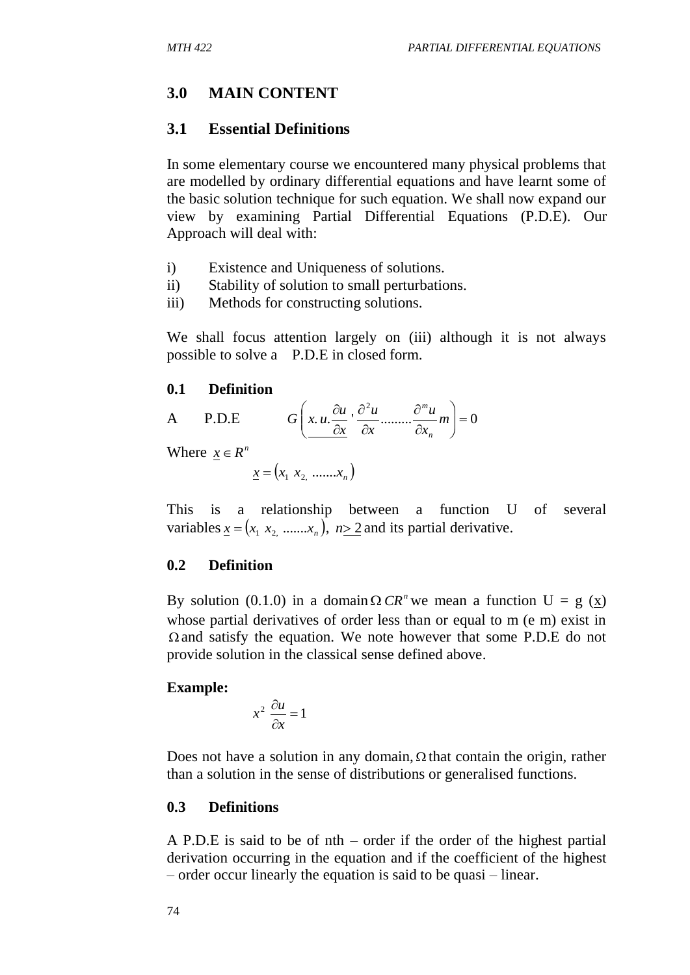## **3.0 MAIN CONTENT**

#### **3.1 Essential Definitions**

In some elementary course we encountered many physical problems that are modelled by ordinary differential equations and have learnt some of the basic solution technique for such equation. We shall now expand our view by examining Partial Differential Equations (P.D.E). Our Approach will deal with:

- i) Existence and Uniqueness of solutions.
- ii) Stability of solution to small perturbations.
- iii) Methods for constructing solutions.

We shall focus attention largely on (iii) although it is not always possible to solve a P.D.E in closed form.

#### **0.1 Definition**

A P.D.E 
$$
G\left(x, u \cdot \frac{\partial u}{\partial x}, \frac{\partial^2 u}{\partial x}, \dots, \frac{\partial^m u}{\partial x_m}\right) = 0
$$

Where  $x \in R^n$ 

$$
\underline{x} = (x_1 \ x_2 \ \dots \dots \ x_n)
$$

This is a relationship between a function U of several variables  $\underline{x} = (x_1, x_2, \dots, x_n)$ ,  $n \ge 2$  and its partial derivative.

#### **0.2 Definition**

By solution (0.1.0) in a domain  $\Omega$  *CR*<sup>*n*</sup> we mean a function U = g (<u>x</u>) whose partial derivatives of order less than or equal to m (e m) exist in  $\Omega$  and satisfy the equation. We note however that some P.D.E do not provide solution in the classical sense defined above.

#### **Example:**

$$
x^2 \frac{\partial u}{\partial x} = 1
$$

Does not have a solution in any domain,  $\Omega$  that contain the origin, rather than a solution in the sense of distributions or generalised functions.

#### **0.3 Definitions**

A P.D.E is said to be of nth – order if the order of the highest partial derivation occurring in the equation and if the coefficient of the highest – order occur linearly the equation is said to be quasi – linear.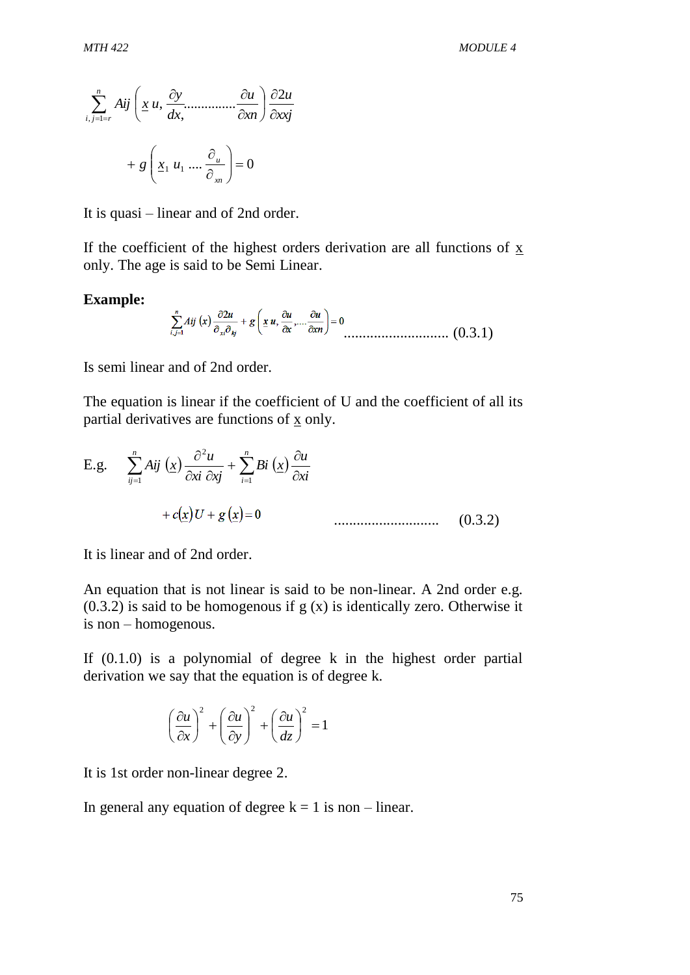$$
\sum_{i,j=1=r}^{n} Aij \left( \underline{x} u, \frac{\partial y}{\partial x}, \dots, \frac{\partial u}{\partial x} \right) \frac{\partial 2u}{\partial x \partial y}
$$

$$
+ g \left( \underline{x}_1 u_1 \dots, \frac{\partial u}{\partial x_n} \right) = 0
$$

It is quasi – linear and of 2nd order.

If the coefficient of the highest orders derivation are all functions of x only. The age is said to be Semi Linear.

#### **Example:**

............................ (0.3.1)

Is semi linear and of 2nd order.

The equation is linear if the coefficient of U and the coefficient of all its partial derivatives are functions of  $\bar{x}$  only.

E.g. 
$$
\sum_{ij=1}^{n} Aij \left(\underline{x}\right) \frac{\partial^2 u}{\partial x^i} + \sum_{i=1}^{n} Bi \left(\underline{x}\right) \frac{\partial u}{\partial x^i} + c(\underline{x})U + g\left(\underline{x}\right) = 0
$$
 (0.3.2)

It is linear and of 2nd order.

An equation that is not linear is said to be non-linear. A 2nd order e.g.  $(0.3.2)$  is said to be homogenous if g  $(x)$  is identically zero. Otherwise it is non – homogenous.

If  $(0.1.0)$  is a polynomial of degree k in the highest order partial derivation we say that the equation is of degree k.

$$
\left(\frac{\partial u}{\partial x}\right)^2 + \left(\frac{\partial u}{\partial y}\right)^2 + \left(\frac{\partial u}{\partial z}\right)^2 = 1
$$

It is 1st order non-linear degree 2.

In general any equation of degree  $k = 1$  is non – linear.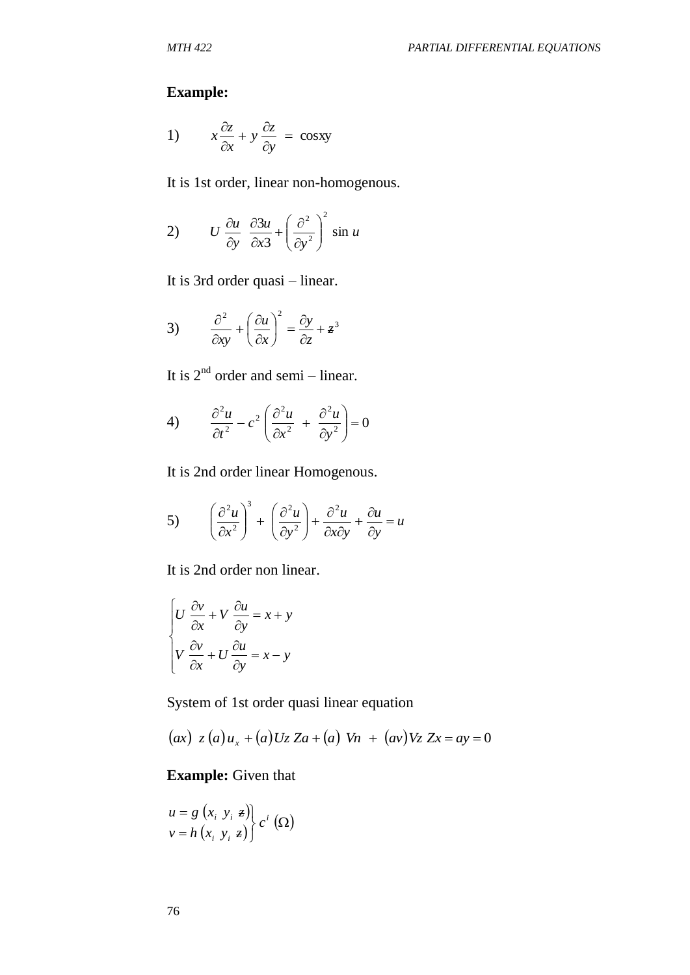## **Example:**

1) 
$$
x \frac{\partial z}{\partial x} + y \frac{\partial z}{\partial y} = \cos xy
$$

It is 1st order, linear non-homogenous.

2) 
$$
U \frac{\partial u}{\partial y} \frac{\partial 3u}{\partial x^3} + \left(\frac{\partial^2}{\partial y^2}\right)^2 \sin u
$$

It is 3rd order quasi – linear.

3) 
$$
\frac{\partial^2}{\partial xy} + \left(\frac{\partial u}{\partial x}\right)^2 = \frac{\partial y}{\partial z} + z^3
$$

It is  $2<sup>nd</sup>$  order and semi – linear.

4) 
$$
\frac{\partial^2 u}{\partial t^2} - c^2 \left( \frac{\partial^2 u}{\partial x^2} + \frac{\partial^2 u}{\partial y^2} \right) = 0
$$

It is 2nd order linear Homogenous.

5) 
$$
\left(\frac{\partial^2 u}{\partial x^2}\right)^3 + \left(\frac{\partial^2 u}{\partial y^2}\right) + \frac{\partial^2 u}{\partial x \partial y} + \frac{\partial u}{\partial y} = u
$$

It is 2nd order non linear.

$$
\begin{cases}\nU \frac{\partial v}{\partial x} + V \frac{\partial u}{\partial y} = x + y \\
V \frac{\partial v}{\partial x} + U \frac{\partial u}{\partial y} = x - y\n\end{cases}
$$

System of 1st order quasi linear equation

$$
(ax)
$$
  $z(a)u_x + (a)Uz Za + (a)Vn + (av)Vz Zx = ay = 0$ 

## **Example:** Given that

$$
\begin{aligned} u &= g(x_i, y_i, z) \\ v &= h(x_i, y_i, z) \end{aligned} \bigg\} c^i \left( \Omega \right)
$$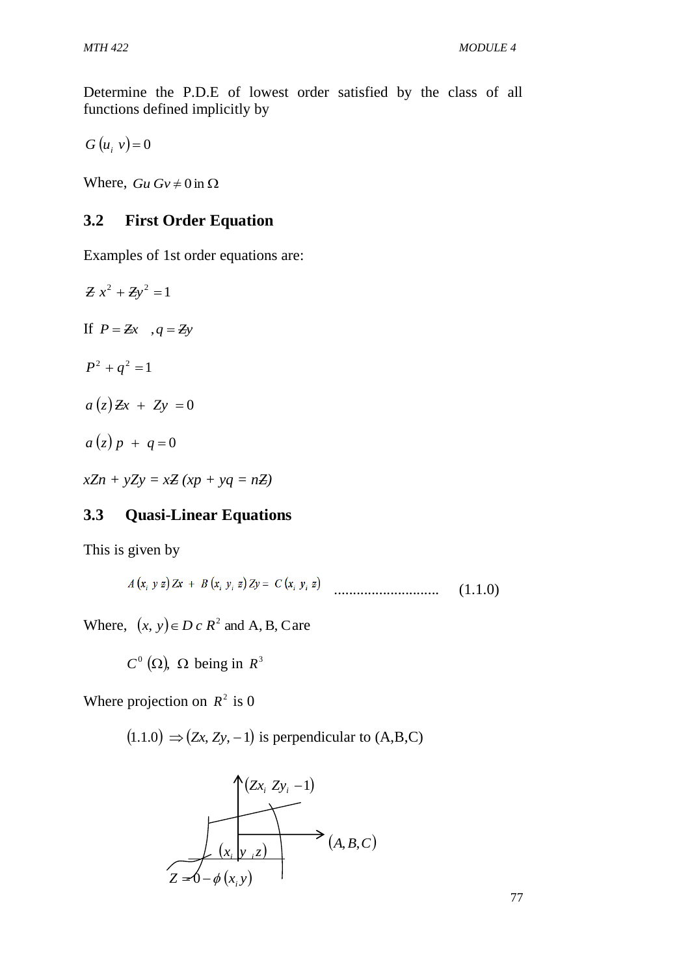Determine the P.D.E of lowest order satisfied by the class of all functions defined implicitly by

*G*  $(u_i, v) = 0$ 

Where,  $Gu Gv \neq 0$  in  $\Omega$ 

## **3.2 First Order Equation**

Examples of 1st order equations are:

 $Zx^2 + Zy^2 = 1$ If  $P = Zx$ ,  $q = Zy$  $P^2 + q^2 = 1$  $a(z) \, Zx + Zy = 0$  $a(z)p + q=0$ 

 $xZn + yZy = xZ (xp + yq = nZ)$ 

## **3.3 Quasi-Linear Equations**

This is given by

$$
A(x_i, y z) Zx + B(x_i, y_i z) Zy = C(x_i, y_i z)
$$
 (1.1.0)

Where,  $(x, y) \in D \subset R^2$  and A, B, Care

$$
C^0
$$
 ( $\Omega$ ),  $\Omega$  being in  $R^3$ 

Where projection on  $R^2$  is 0

 $(1.1.0) \Rightarrow (Zx, Zy, -1)$  is perpendicular to  $(A, B, C)$ 

$$
(Zx_i, Zy_i - 1)
$$
\n
$$
(x_i, y_i, z)
$$
\n
$$
(A, B, C)
$$
\n
$$
Z = 0 - \phi(x_i, y)
$$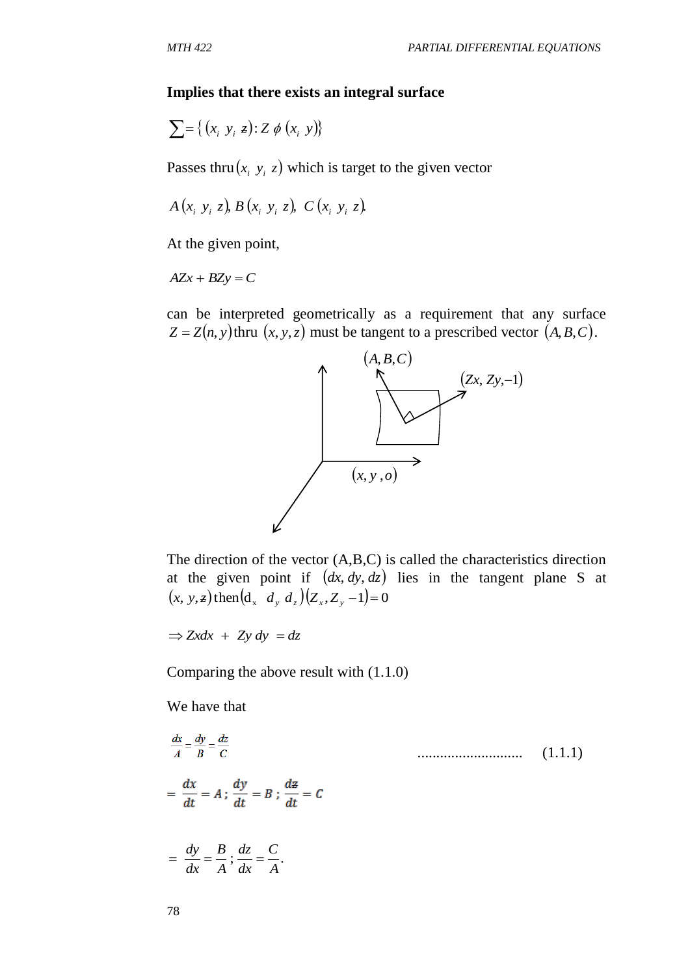#### **Implies that there exists an integral surface**

$$
\sum = \{ (x_i \ y_i \ z) : Z \phi (x_i \ y) \}
$$

Passes thru $(x_i, y_i, z)$  which is target to the given vector

$$
A(x_i, y_i, z), B(x_i, y_i, z), C(x_i, y_i, z)
$$

At the given point,

 $AZx + BZy = C$ 

can be interpreted geometrically as a requirement that any surface  $Z = Z(n, y)$  thru  $(x, y, z)$  must be tangent to a prescribed vector  $(A, B, C)$ .



The direction of the vector (A,B,C) is called the characteristics direction at the given point if  $(dx, dy, dz)$  lies in the tangent plane S at  $(x, y, z)$  then  $\left(d_x d_y d_z\right)$   $\left(Z_x, Z_y - 1\right) = 0$ 

 $\Rightarrow$  *Zxdx* + *Zy dy* = *dz* 

Comparing the above result with (1.1.0)

We have that

$$
\frac{dx}{A} = \frac{dy}{B} = \frac{dz}{C}
$$
\n
$$
= \frac{dx}{dt} = A; \frac{dy}{dt} = B; \frac{dz}{dt} = C
$$
\n
$$
= \frac{dy}{dx} = \frac{B}{A}; \frac{dz}{dx} = \frac{C}{A}.
$$
\n(1.1.1)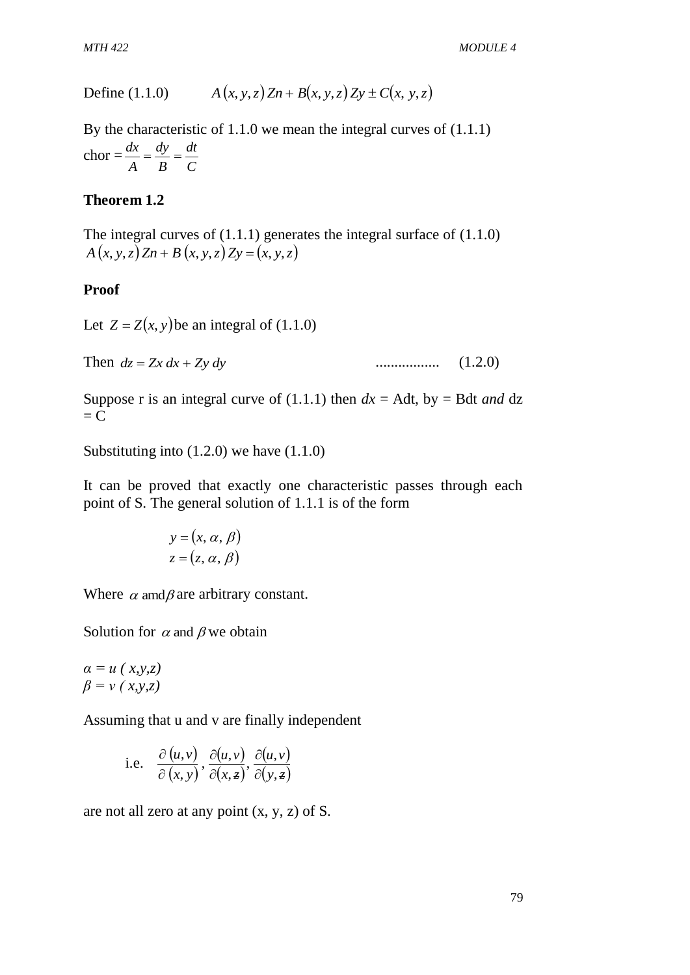*MTH 422 MODULE 4*

Define (1.1.0) 
$$
A(x, y, z) Zn + B(x, y, z) Zy \pm C(x, y, z)
$$

By the characteristic of 1.1.0 we mean the integral curves of (1.1.1)  $chor =$ *C dt B dy A*  $\frac{dx}{dt} = \frac{dy}{dt} =$ 

#### **Theorem 1.2**

The integral curves of (1.1.1) generates the integral surface of (1.1.0)  $A(x, y, z) Zn + B(x, y, z) Zy = (x, y, z)$ 

#### **Proof**

Let  $Z = Z(x, y)$  be an integral of (1.1.0)

Then  $dz = Zx dx + Zy dy$ *dz Zx dx Zy dy* ................. (1.2.0)

Suppose r is an integral curve of  $(1.1.1)$  then  $dx =$  Adt, by = Bdt *and* dz  $= C$ 

Substituting into (1.2.0) we have (1.1.0)

It can be proved that exactly one characteristic passes through each point of S. The general solution of 1.1.1 is of the form

$$
y = (x, \alpha, \beta)
$$
  

$$
z = (z, \alpha, \beta)
$$

Where  $\alpha$  amd  $\beta$  are arbitrary constant.

Solution for  $\alpha$  and  $\beta$  we obtain

 $\alpha = u(x, y, z)$ *β = v ( x,y,z)*

Assuming that u and v are finally independent

i.e. 
$$
\frac{\partial(u,v)}{\partial(x,y)}, \frac{\partial(u,v)}{\partial(x,z)}, \frac{\partial(u,v)}{\partial(y,z)}
$$

are not all zero at any point  $(x, y, z)$  of S.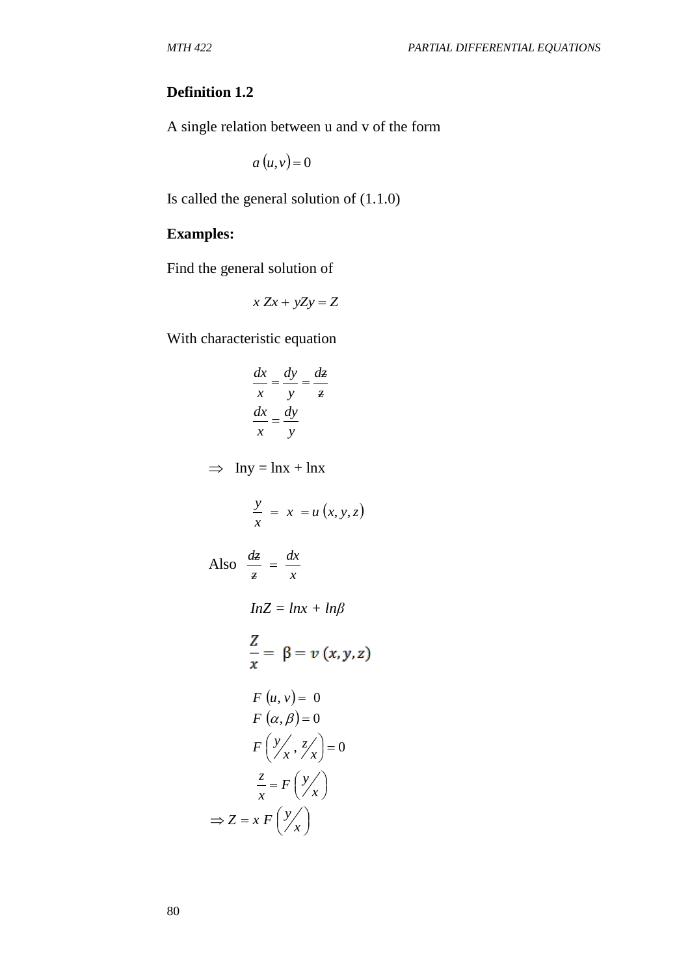## **Definition 1.2**

A single relation between u and v of the form

 $a(u,v) = 0$ 

Is called the general solution of (1.1.0)

### **Examples:**

Find the general solution of

$$
x\,Zx + yZy = Z
$$

With characteristic equation

$$
\frac{dx}{x} = \frac{dy}{y} = \frac{dz}{z}
$$

$$
\frac{dx}{x} = \frac{dy}{y}
$$

 $\implies$  Iny = lnx + lnx

$$
\frac{y}{x} = x = u(x, y, z)
$$
  
Also 
$$
\frac{dz}{z} = \frac{dx}{x}
$$
  

$$
InZ = Inx + In\beta
$$
  

$$
\frac{Z}{x} = \beta = v(x, y, z)
$$
  

$$
F(u, v) = 0
$$
  

$$
F(\alpha, \beta) = 0
$$
  

$$
F(\frac{y}{x}, \frac{z}{x}) = 0
$$
  

$$
\frac{z}{x} = F(\frac{y}{x})
$$

 $\int$  $\backslash$ 

*x*

$$
\Rightarrow Z = x F \left(\frac{y}{2}\right)
$$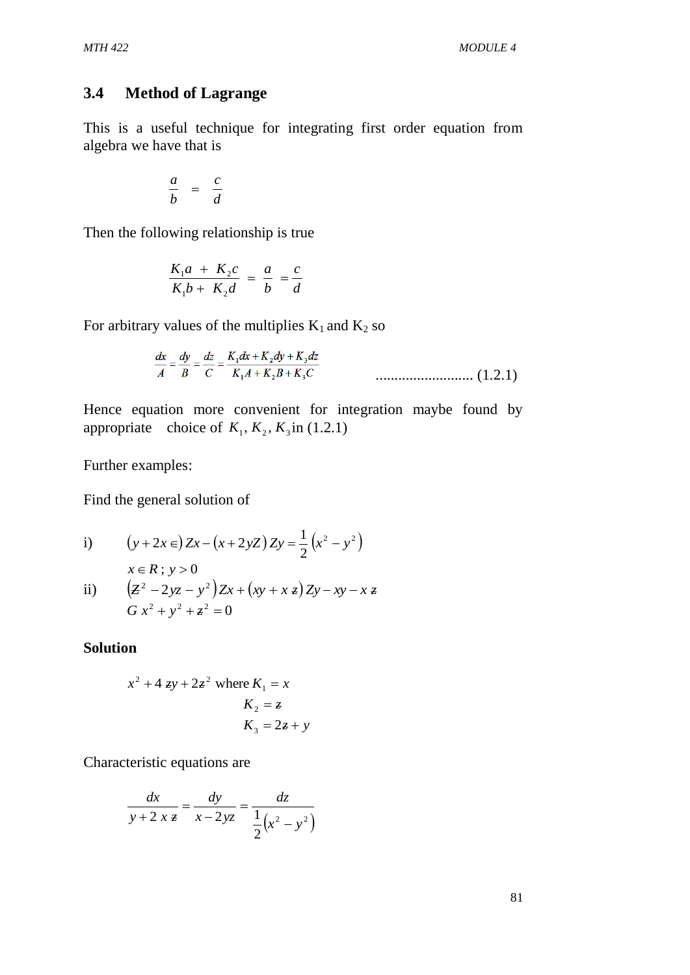#### **3.4 Method of Lagrange**

This is a useful technique for integrating first order equation from algebra we have that is

$$
\frac{a}{b} = \frac{c}{d}
$$

Then the following relationship is true

$$
\frac{K_1a + K_2c}{K_1b + K_2d} = \frac{a}{b} = \frac{c}{d}
$$

For arbitrary values of the multiplies  $K_1$  and  $K_2$  so

$$
\frac{dx}{A} = \frac{dy}{B} = \frac{dz}{C} = \frac{K_1 dx + K_2 dy + K_3 dz}{K_1 A + K_2 B + K_3 C}
$$
\n................. (1.2.1)

Hence equation more convenient for integration maybe found by appropriate choice of  $K_1, K_2, K_3$  in (1.2.1)

Further examples:

Find the general solution of

i) 
$$
(y+2x \in) \mathbb{Z}x - (x+2y\mathbb{Z}) \mathbb{Z}y = \frac{1}{2}(x^2 - y^2)
$$

$$
x \in R \; ; \; y > 0
$$

ii) 
$$
(z^2 - 2yz - y^2)Zx + (xy + xz)Zy - xy - xz
$$
  
 $Gx^2 + y^2 + z^2 = 0$ 

**Solution** 

$$
x2 + 4 zy + 2z2 where K1 = x
$$
  

$$
K2 = z
$$
  

$$
K3 = 2z + y
$$

Characteristic equations are

$$
\frac{dx}{y+2 x z} = \frac{dy}{x-2yz} = \frac{dz}{\frac{1}{2}(x^2 - y^2)}
$$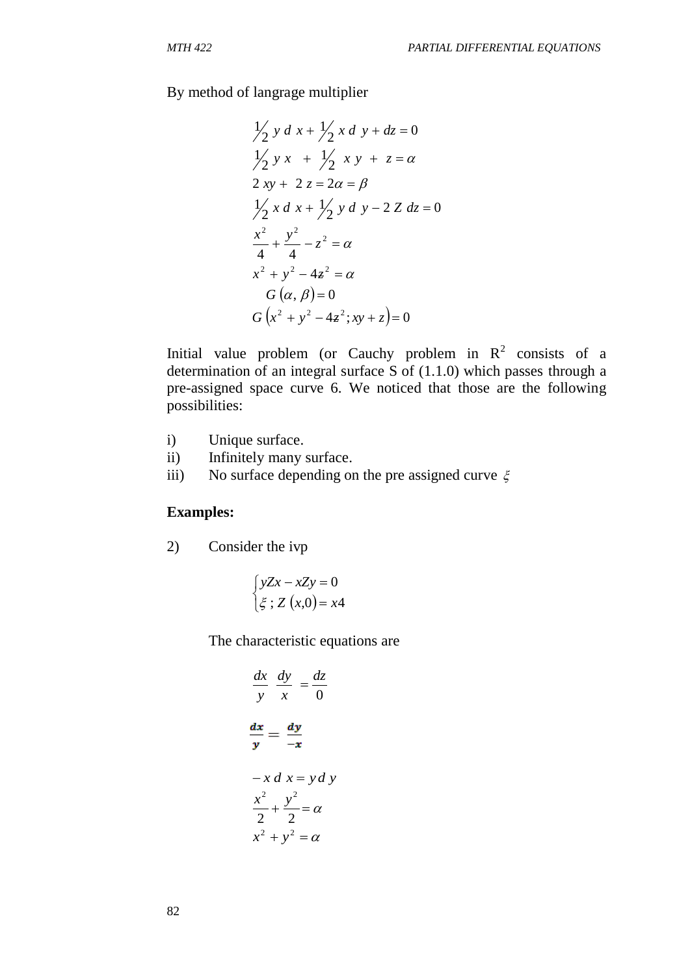By method of langrage multiplier

$$
\frac{1}{2} y d x + \frac{1}{2} x d y + dz = 0
$$
  
\n
$$
\frac{1}{2} y x + \frac{1}{2} x y + z = \alpha
$$
  
\n
$$
2 xy + 2 z = 2\alpha = \beta
$$
  
\n
$$
\frac{1}{2} x d x + \frac{1}{2} y d y - 2 Z dz = 0
$$
  
\n
$$
\frac{x^2}{4} + \frac{y^2}{4} - z^2 = \alpha
$$
  
\n
$$
x^2 + y^2 - 4z^2 = \alpha
$$
  
\n
$$
G(\alpha, \beta) = 0
$$
  
\n
$$
G(x^2 + y^2 - 4z^2; xy + z) = 0
$$

Initial value problem (or Cauchy problem in  $R^2$  consists of a determination of an integral surface S of (1.1.0) which passes through a pre-assigned space curve 6. We noticed that those are the following possibilities:

- i) Unique surface.
- ii) Infinitely many surface.
- iii) No surface depending on the pre assigned curve  $\xi$

#### **Examples:**

2) Consider the ivp

$$
\begin{cases}\nyZx - xZy = 0 \\
\xi : Z(x,0) = x4\n\end{cases}
$$

The characteristic equations are

$$
\frac{dx}{y} \frac{dy}{x} = \frac{dz}{0}
$$

$$
\frac{dx}{y} = \frac{dy}{-x}
$$

$$
-x \, dx = y \, dy
$$

$$
\frac{x^2}{2} + \frac{y^2}{2} = \alpha
$$

$$
x^2 + y^2 = \alpha
$$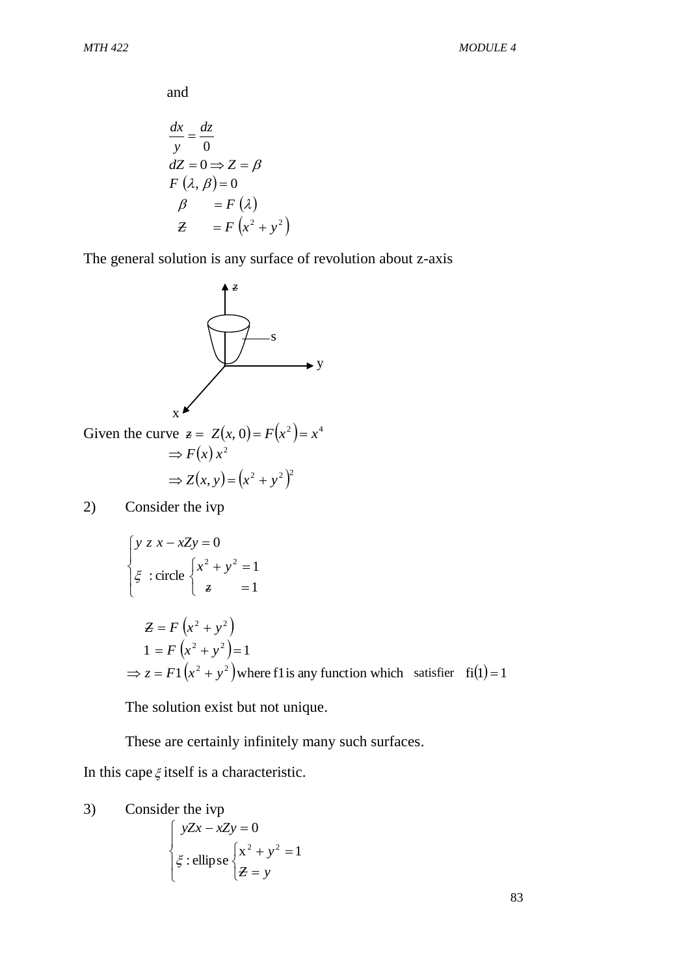and

$$
\frac{dx}{y} = \frac{dz}{0}
$$
  
\n
$$
dZ = 0 \Rightarrow Z = \beta
$$
  
\n
$$
F(\lambda, \beta) = 0
$$
  
\n
$$
\beta = F(\lambda)
$$
  
\n
$$
Z = F(x^2 + y^2)
$$

The general solution is any surface of revolution about z-axis



2) Consider the ivp

$$
\begin{cases}\ny z x - xZy = 0 \\
\xi : \text{circle}\begin{cases}\nx^2 + y^2 = 1 \\
\xi = 1\n\end{cases} \\
Z = F(x^2 + y^2) \\
1 = F(x^2 + y^2) = 1 \\
\Rightarrow z = F1(x^2 + y^2) \text{ where f1 is any function which satisfies } f_1(1) = 1\n\end{cases}
$$

The solution exist but not unique.

These are certainly infinitely many such surfaces.

In this cape  $\xi$  itself is a characteristic.

3) Consider the *ivp*  
\n
$$
\begin{cases}\nyZx - xZy = 0 \\
\xi : \text{ellipse } \begin{cases} x^2 + y^2 = 1 \\
Z = y \end{cases}\n\end{cases}
$$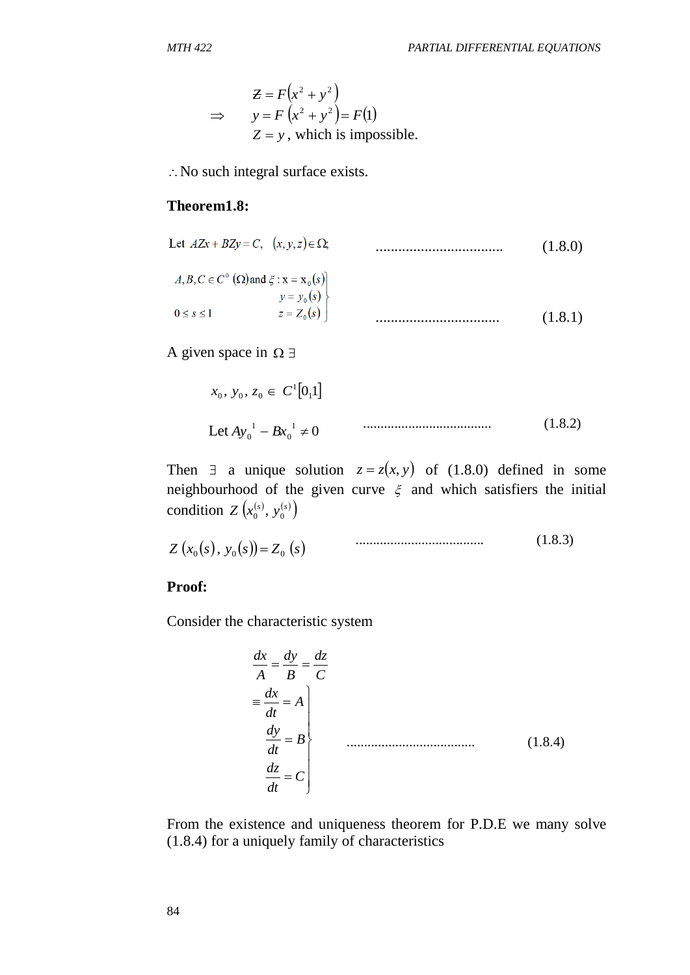$$
\mathcal{Z} = F(x^2 + y^2)
$$
  
\n
$$
\Rightarrow y = F(x^2 + y^2) = F(1)
$$
  
\n
$$
\mathcal{Z} = y
$$
, which is impossible.

: No such integral surface exists.

#### **Theorem1.8:**

Let 
$$
AZx + BZy = C
$$
,  $(x, y, z) \in \Omega$ ; (1.8.0)

$$
A, B, C \in C^{0} (\Omega) \text{ and } \xi : \mathbf{x} = \mathbf{x}_{0}(s)
$$
  
\n
$$
y = y_{0}(s)
$$
  
\n
$$
0 \le s \le 1
$$
  
\n
$$
z = Z_{0}(s)
$$
  
\n
$$
...
$$
  
\n
$$
(1.8.1)
$$

A given space in  $\Omega \exists$ 

$$
x_0, y_0, z_0 \in C^1[0,1]
$$
  
Let  $Ay_0^1 - Bx_0^1 \neq 0$ 

Then  $\exists$  a unique solution  $z = z(x, y)$  of (1.8.0) defined in some neighbourhood of the given curve  $\xi$  and which satisfiers the initial condition  $Z(x_0^{(s)}, y_0^{(s)})$ 

$$
Z(x_0(s), y_0(s)) = Z_0(s) \tag{1.8.3}
$$

#### **Proof:**

Consider the characteristic system

$$
z = F(x2 + y2)
$$
  
\n⇒ y = F (x<sup>2</sup> + y<sup>2</sup>) = F(f)  
\nZ = y, which is impossible.  
\n.. No such integral surface exists.  
\n**Theorem1.8:**  
\nLet *AZx* + *BZy* = *C*, (x, y, z) ∈ Ω  
\n  
\n*A, B, C ∈ C<sup>o</sup> (Ω) and ξ : x = x<sub>o</sub>(s)*  
\n  
\n*y* = *y<sub>o</sub>(s)*  
\n0 ≤ *s* ≤ 1  
\n  
\n*x<sub>o</sub>*, *y<sub>o</sub>*, *z<sub>o</sub>* ∈ *C<sup>1</sup>[0,1]*  
\n  
\nLet *Ay<sub>o</sub>*<sup>1</sup> – *Bx<sub>o</sub>*<sup>1</sup> ≠ 0  
\n  
\nThen  $\exists$  a unique solution  $z = z(x, y)$  of (1.8.0) defined in  
\nneighborhood of the given curve ξ and which satisfies the  
\ncondition *Z* (x<sub>o</sub><sup>(s)</sup>, y<sub>o</sub><sup>(s)</sup>) = Z<sub>o</sub> (s)  
\n  
\n**Proof:**  
\nConsider the characteristic system  
\n
$$
\frac{dx}{A} = \frac{dy}{B} = \frac{dz}{C}
$$
  
\n
$$
= \frac{dx}{dt} = A
$$
  
\n
$$
\frac{dy}{dt} = B
$$
  
\nFrom the existence and uniqueness theorem for P.D.E we many  
\n(1.8.4) for a uniquely family of characteristics

From the existence and uniqueness theorem for P.D.E we many solve (1.8.4) for a uniquely family of characteristics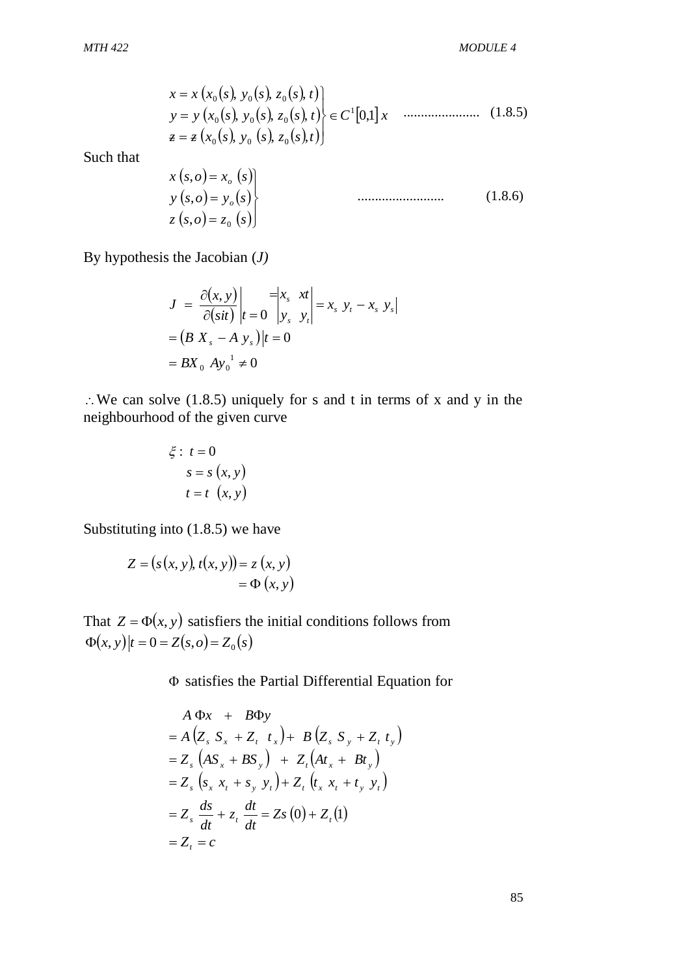$$
x = x (x_0(s), y_0(s), z_0(s), t)
$$
  
\n
$$
y = y (x_0(s), y_0(s), z_0(s), t)
$$
  
\n
$$
\overline{z} = z (x_0(s), y_0(s), z_0(s), t)
$$
  
\n
$$
(1.8.5)
$$

Such that

$$
x(s, o) = x_o(s)
$$
  
\n
$$
y(s, o) = y_o(s)
$$
  
\n
$$
z(s, o) = z_o(s)
$$
 (1.8.6)

By hypothesis the Jacobian (*J)*

$$
J = \frac{\partial(x, y)}{\partial(sit)}\bigg|_{t=0} = \begin{vmatrix} x_s & x t \\ y_s & y_t \end{vmatrix} = x_s y_t - x_s y_s
$$
  
=  $(B X_s - A y_s)\big|_{t=0}$   
=  $B X_0 Ay_0^{-1} \neq 0$ 

 We can solve (1.8.5) uniquely for s and t in terms of x and y in the neighbourhood of the given curve

$$
\xi: t = 0
$$
  

$$
s = s(x, y)
$$
  

$$
t = t(x, y)
$$

Substituting into (1.8.5) we have

$$
Z = (s(x, y), t(x, y)) = z(x, y)
$$

$$
= \Phi(x, y)
$$

That  $Z = \Phi(x, y)$  satisfiers the initial conditions follows from  $\Phi(x, y) | t = 0 = Z(s, o) = Z_0(s)$ 

satisfies the Partial Differential Equation for

$$
x = x(x_0(s), y_0(s), z_0(s), t)
$$
  
\n
$$
y = y(x_0(s), y_0(s), z_0(s), t)
$$
  
\n
$$
z = z(x_0(s), y_0(s), z_0(s), t)
$$
  
\n
$$
x(s, o) = x_o(s)
$$
  
\n
$$
y(s, o) = y_o(s)
$$
  
\n
$$
y(s, o) = z_o(s)
$$
  
\n
$$
z(s, o) = z_o(s)
$$
  
\n
$$
z(s, o) = z_o(s)
$$
  
\n
$$
z(s, o) = z_o(s)
$$
  
\n
$$
z(s, o) = z_o(s)
$$
  
\n
$$
y(s, o) = x_o(s)
$$
  
\n
$$
z(s, o) = z_o(s)
$$
  
\n
$$
z(s, o) = z_o(s)
$$
  
\n
$$
y = \frac{\partial(x, y)}{\partial(sii)}|t = 0
$$
  
\n
$$
= BX_o Ay_o^{-1} \neq 0
$$
  
\nwe (1.8.5) uniquely for s and t in terms of x and y in the  
\nd of the given curve  
\n
$$
\xi : t = 0
$$
  
\n
$$
s = s(x, y)
$$
  
\n
$$
t = t(x, y)
$$
  
\n
$$
t = t(x, y)
$$
  
\n
$$
t = t(x, y)
$$
  
\n
$$
y = \Phi(x, y)
$$
  
\n
$$
y) satisfies the initial conditions follows from\n
$$
Z(s, o) = Z_o(s)
$$
  
\n
$$
\Phi \text{ satisfies the Partial Differential Equation for}
$$
  
\n
$$
A \Phi x + B \Phi y
$$
  
\n
$$
= A (Z_s S_x + Z_t t_x) + B (Z_s S_y + Z_t t_y)
$$
  
\n
$$
= Z_s (S_x x_t + S_y x_t) + Z_t (A x_x + B t_y)
$$
  
\n
$$
= Z_s (S_x x_t + S_y x_t) + Z_t (A x_x + B x_y)
$$
  
\n
$$
= Z_s \frac{ds}{dt} + z_t \frac{dt}{dt} = Zs(0) + Z_t(1)
$$
  
\n
$$
= Z_t = c
$$
$$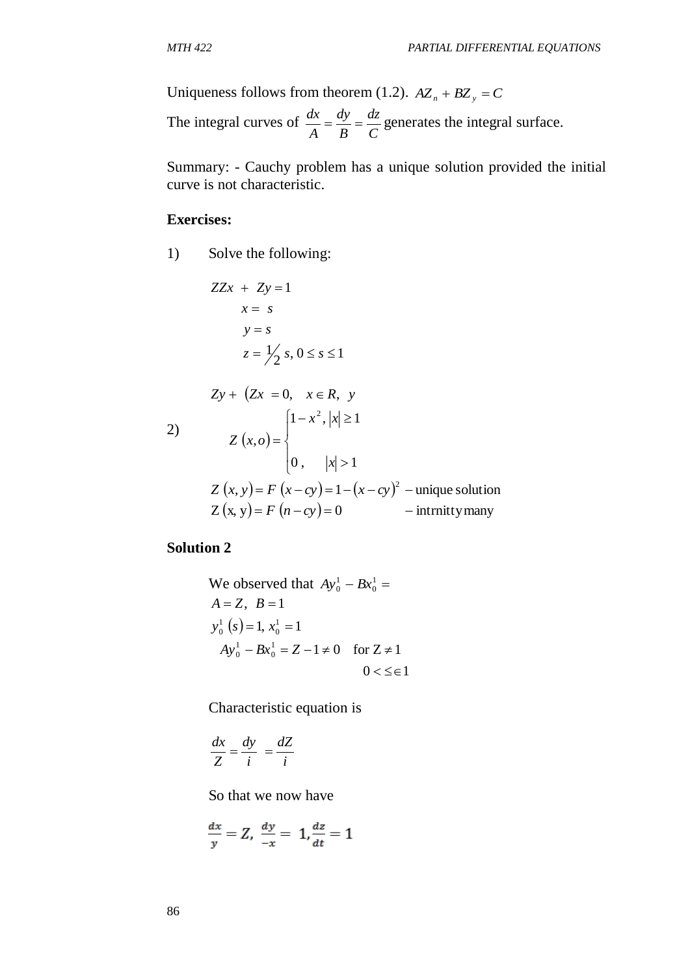Uniqueness follows from theorem (1.2).  $AZ_n + BZ_y = C$ 

The integral curves of *C dz B dy A*  $\frac{dx}{dt} = \frac{dy}{dt} = \frac{dz}{dt}$  generates the integral surface.

Summary: - Cauchy problem has a unique solution provided the initial curve is not characteristic.

#### **Exercises:**

1) Solve the following:

$$
ZZx + Zy = 1
$$
  
\n
$$
x = s
$$
  
\n
$$
y = s
$$
  
\n
$$
z = \frac{1}{2} s, 0 \le s \le 1
$$
  
\n
$$
Zy + (Zx = 0, x \in R, y
$$
  
\n2)  
\n
$$
Z (x, o) =\begin{cases} 1 - x^2, |x| \ge 1 \\ 0, |x| > 1 \end{cases}
$$
  
\n
$$
Z (x, y) = F (x - cy) = 1 - (x - cy)^2 - unique solution
$$
  
\n
$$
Z (x, y) = F (n - cy) = 0 - intrnity many
$$

**Solution 2**

We observed that  $Ay_0^1 - Bx_0^1 =$  $Ay_0^1 - Bx_0^1$  $(s) = 1, x_0<sup>1</sup> = 1$  $0 < \leq \in \infty$  $_0^1 = Z - 1 \neq 0$  for  $Z \neq 1$  $A = Z$ ,  $B = 1$  $\mathbf{0}$ 1  $Ay_0^1 - Bx_0^1 = Z - 1 \neq 0$  for  $Z \neq$ 0 1  $y_0^1$   $(s) = 1, x_0^1 =$ 

Characteristic equation is

$$
\frac{dx}{Z} = \frac{dy}{i} = \frac{dZ}{i}
$$

So that we now have

$$
\frac{dx}{y} = Z, \ \frac{dy}{-x} = 1, \frac{dz}{dt} = 1
$$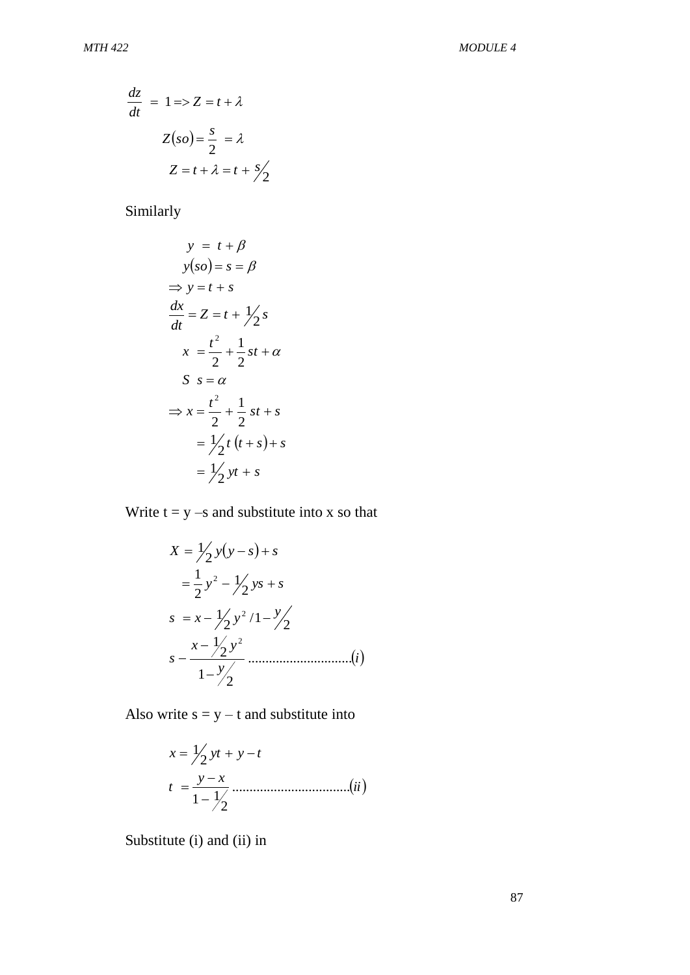$$
\frac{dz}{dt} = 1 \Rightarrow Z = t + \lambda
$$

$$
Z(so) = \frac{s}{2} = \lambda
$$

$$
Z = t + \lambda = t + \frac{s}{2}
$$

Similarly

$$
y = t + \beta
$$
  
\n
$$
y(so) = s = \beta
$$
  
\n
$$
\Rightarrow y = t + s
$$
  
\n
$$
\frac{dx}{dt} = Z = t + \frac{1}{2}s
$$
  
\n
$$
x = \frac{t^2}{2} + \frac{1}{2}st + \alpha
$$
  
\n
$$
S = \alpha
$$
  
\n
$$
\Rightarrow x = \frac{t^2}{2} + \frac{1}{2}st + s
$$
  
\n
$$
= \frac{1}{2}t(t + s) + s
$$
  
\n
$$
= \frac{1}{2}yt + s
$$

Write  $t = y - s$  and substitute into x so that

$$
X = \frac{1}{2}y(y-s) + s
$$
  
=  $\frac{1}{2}y^2 - \frac{1}{2}ys + s$   

$$
s = x - \frac{1}{2}y^2/1 - \frac{y}{2}
$$
  

$$
s - \frac{x - \frac{1}{2}y^2}{1 - \frac{y}{2}}
$$
............(i)

Also write  $s = y - t$  and substitute into

$$
x = \frac{1}{2}yt + y - t
$$
  

$$
t = \frac{y - x}{1 - 1/2}
$$
.................(ii)

Substitute (i) and (ii) in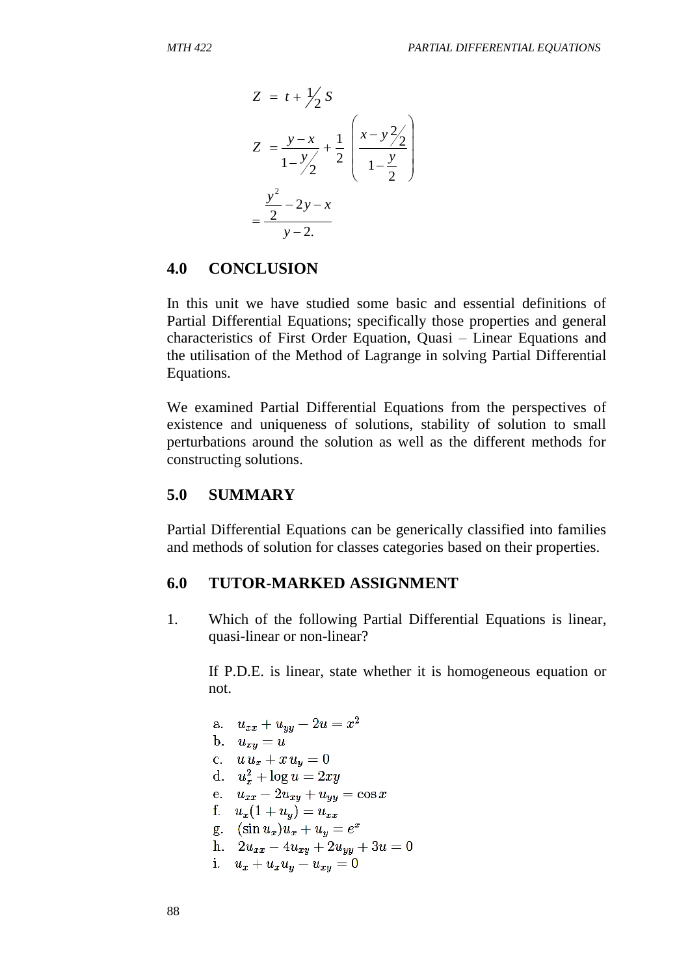$$
Z = t + \frac{1}{2} S
$$
  
\n
$$
Z = \frac{y - x}{1 - \frac{y}{2}} + \frac{1}{2} \left( \frac{x - y^2}{1 - \frac{y}{2}} \right)
$$
  
\n
$$
= \frac{\frac{y^2}{2} - 2y - x}{y - 2}
$$

#### **4.0 CONCLUSION**

In this unit we have studied some basic and essential definitions of Partial Differential Equations; specifically those properties and general characteristics of First Order Equation, Quasi – Linear Equations and the utilisation of the Method of Lagrange in solving Partial Differential Equations.

We examined Partial Differential Equations from the perspectives of existence and uniqueness of solutions, stability of solution to small perturbations around the solution as well as the different methods for constructing solutions.

#### **5.0 SUMMARY**

Partial Differential Equations can be generically classified into families and methods of solution for classes categories based on their properties.

#### **6.0 TUTOR-MARKED ASSIGNMENT**

1. Which of the following Partial Differential Equations is linear, quasi-linear or non-linear?

If P.D.E. is linear, state whether it is homogeneous equation or not.

a.  $u_{xx} + u_{yy} - 2u = x^2$ b.  $u_{xy} = u$ c.  $u u_x + x u_y = 0$ d.  $u_x^2 + \log u = 2xy$ e.  $u_{xx} - 2u_{xy} + u_{yy} = \cos x$ f.  $u_x(1+u_y) = u_{xx}$ g.  $(\sin u_x)u_x + u_y = e^x$ h.  $2u_{xx} - 4u_{xy} + 2u_{yy} + 3u = 0$ i.  $u_x + u_x u_y - u_{xy} = 0$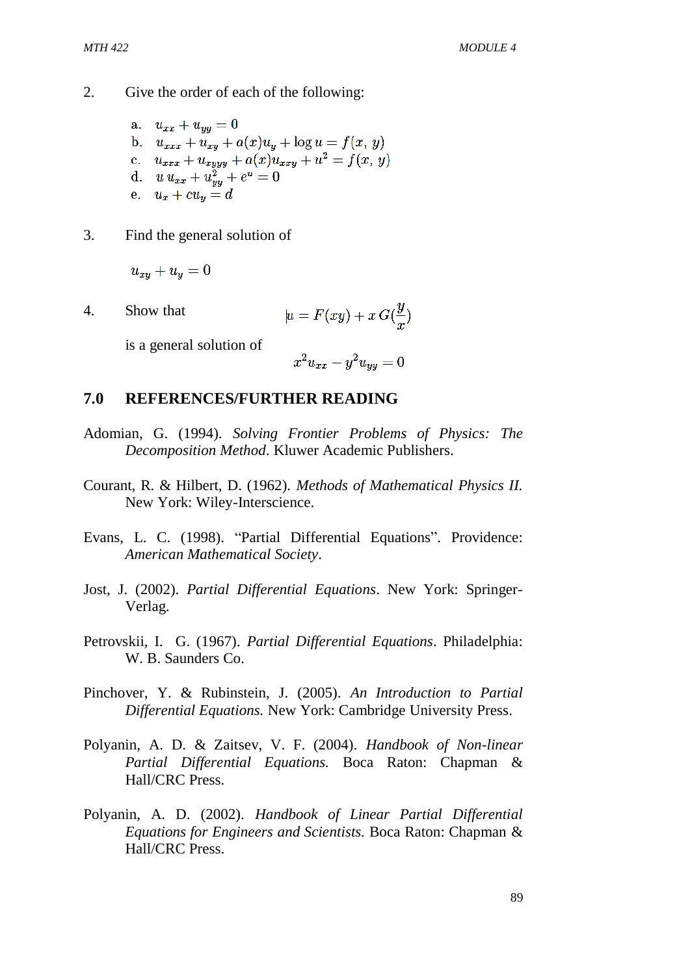- 2. Give the order of each of the following:
	- a.  $u_{xx} + u_{yy} = 0$ b.  $u_{xxx} + u_{xy} + a(x)u_y + \log u = f(x, y)$ c.  $u_{xxx} + u_{xyyy} + a(x)u_{xxy} + u^2 = f(x, y)$ d.  $u u_{xx} + u_{yy}^2 + e^u = 0$ e.  $u_x + cu_y = d$
- 3. Find the general solution of

$$
u_{xy}+u_y=0\\
$$

4. Show that  $\mu = F(xy) + x G(\frac{y}{x})$ 

is a general solution of

$$
x^2 u_{xx} - y^2 u_{yy} = 0
$$

#### **7.0 REFERENCES/FURTHER READING**

- Adomian, G. (1994). *Solving Frontier Problems of Physics: The Decomposition Method*. Kluwer Academic Publishers.
- Courant, R. & Hilbert, D. (1962). *Methods of Mathematical Physics II.*  New York: Wiley-Interscience.
- Evans, L. C. (1998). "Partial Differential Equations". Providence: *American Mathematical Society*.
- Jost, J. (2002). *Partial Differential Equations*. New York: Springer-Verlag.
- Petrovskii, I. G. (1967). *Partial Differential Equations*. Philadelphia: W. B. Saunders Co.
- Pinchover, Y. & Rubinstein, J. (2005). *An Introduction to Partial Differential Equations.* New York: Cambridge University Press.
- Polyanin, A. D. & Zaitsev, V. F. (2004). *Handbook of Non-linear Partial Differential Equations.* Boca Raton: Chapman & Hall/CRC Press.
- Polyanin, A. D. (2002). *Handbook of Linear Partial Differential Equations for Engineers and Scientists.* Boca Raton: Chapman & Hall/CRC Press.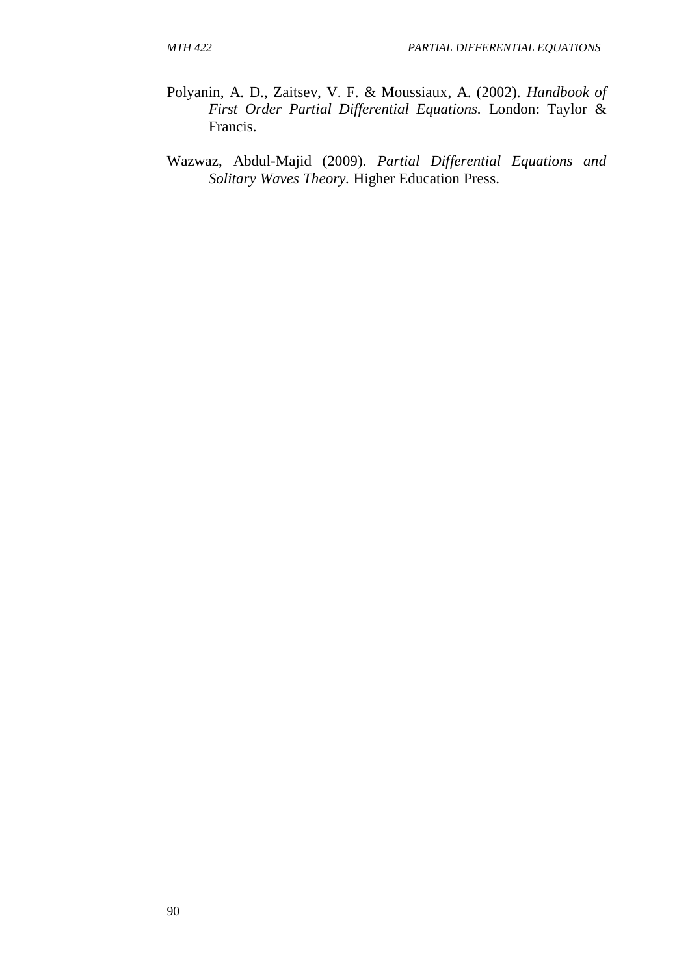- Polyanin, A. D., Zaitsev, V. F. & Moussiaux, A. (2002). *Handbook of First Order Partial Differential Equations.* London: Taylor & Francis.
- Wazwaz, Abdul-Majid (2009). *Partial Differential Equations and Solitary Waves Theory.* Higher Education Press.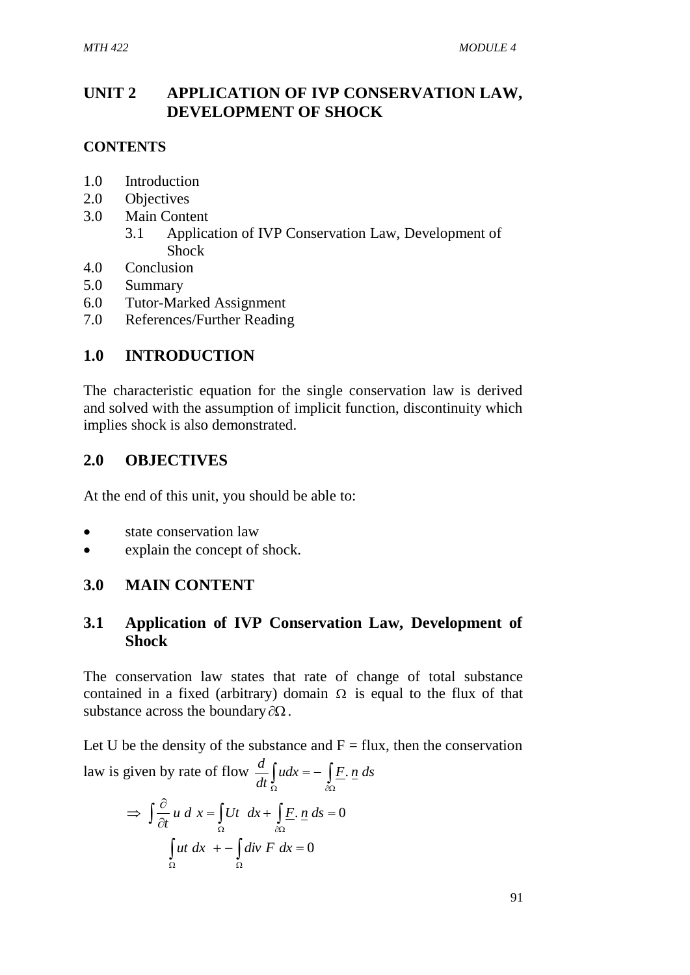## **UNIT 2 APPLICATION OF IVP CONSERVATION LAW, DEVELOPMENT OF SHOCK**

## **CONTENTS**

- 1.0 Introduction
- 2.0 Objectives
- 3.0 Main Content
	- 3.1 Application of IVP Conservation Law, Development of Shock
- 4.0 Conclusion
- 5.0 Summary
- 6.0 Tutor-Marked Assignment
- 7.0 References/Further Reading

## **1.0 INTRODUCTION**

The characteristic equation for the single conservation law is derived and solved with the assumption of implicit function, discontinuity which implies shock is also demonstrated.

## **2.0 OBJECTIVES**

At the end of this unit, you should be able to:

- state conservation law
- explain the concept of shock.

## **3.0 MAIN CONTENT**

## **3.1 Application of IVP Conservation Law, Development of Shock**

The conservation law states that rate of change of total substance contained in a fixed (arbitrary) domain  $\Omega$  is equal to the flux of that substance across the boundary  $\partial\Omega$ .

Let U be the density of the substance and  $F = flux$ , then the conservation law is given by rate of flow  $\frac{d}{dt} \int_{\Omega} u dx = - \int_{\partial \Omega}$  $udx = -\int \underline{F} \cdot \underline{n} ds$ *dt*  $\frac{d}{dx}$   $\int u dx = - \int \underline{F}$ .

$$
\Rightarrow \int \frac{\partial}{\partial t} u \, d x = \int_{\Omega} Ut \, dx + \int_{\partial \Omega} \underline{F} \cdot \underline{n} \, ds = 0
$$
  

$$
\int_{\Omega} ut \, dx \, + - \int_{\Omega} \underline{div} \, F \, dx = 0
$$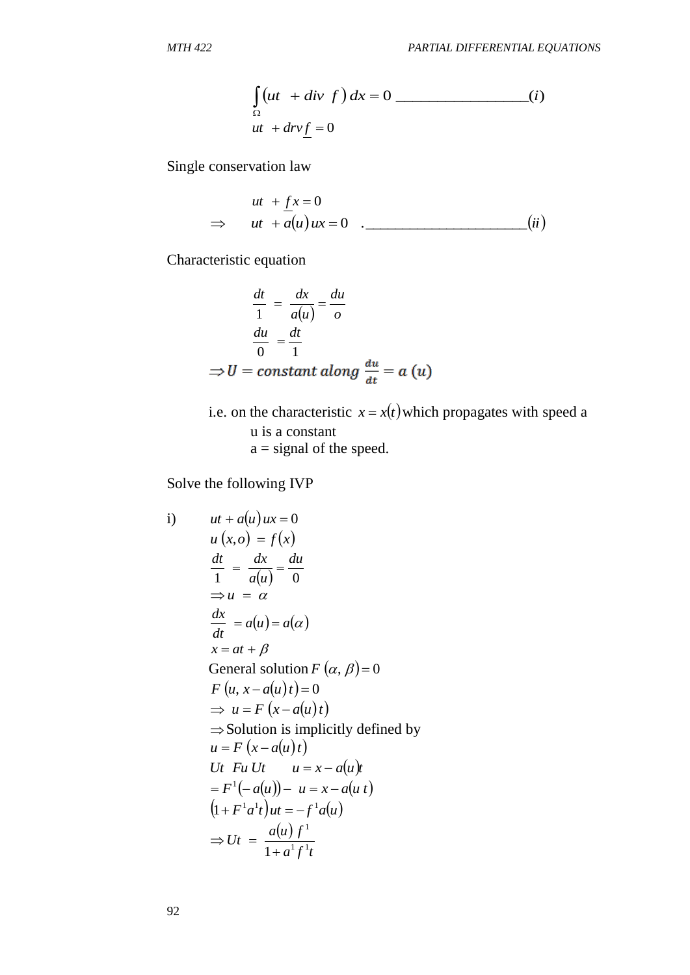$$
\int_{\Omega} (ut + div f) dx = 0
$$
\n
$$
ut + div \underline{f} = 0
$$
\n
$$
(i)
$$

Single conservation law

$$
ut + \underline{f}x = 0
$$
  
\n
$$
\Rightarrow ut + \overline{a}(u)ux = 0 .
$$
 (ii)

Characteristic equation

$$
\frac{dt}{1} = \frac{dx}{a(u)} = \frac{du}{o}
$$

$$
\frac{du}{0} = \frac{dt}{1}
$$

$$
\Rightarrow U = constant \, along \, \frac{du}{dt} = a \, (u)
$$

i.e. on the characteristic  $x = x(t)$  which propagates with speed a u is a constant  $a =$  signal of the speed.

Solve the following IVP

$$
\int_{\Omega} (ut + div f) dx = 0
$$
\n  
\n
$$
ut + div f = 0
$$
\n  
\nSingle conservation law  
\n
$$
ut + \int_{\Omega} x = 0
$$
\n  
\n⇒ 
$$
ut + \overline{u}(u)ux = 0
$$
\n  
\n
$$
\frac{dt}{1} = \frac{dx}{a(u)} = \frac{du}{o}
$$
\n  
\n
$$
\frac{du}{0} = \frac{dt}{1}
$$
\n  
\n⇒ 
$$
U = \text{constant along } \frac{du}{dt} = a
$$
 (u)  
\ni.e. on the characteristic  $x = x(t)$  which propagates with u  
\n
$$
u = \text{signal of the speed.}
$$
\nSolve the following IVP  
\n
$$
u + a(u) u x = 0
$$
\n
$$
u (x, o) = f(x)
$$
\n
$$
\frac{dt}{1} = \frac{dx}{a(u)} = \frac{du}{0}
$$
\n⇒ 
$$
u = \alpha
$$
\n
$$
\frac{dx}{dt} = a(u) = a(\alpha)
$$
\n
$$
x = at + \beta
$$
\nGeneral solution F (α, β) = 0\nF (u, x - a(u) t) = 0\n⇒ u = F (x - a(u) t)\n⇒ Solution is implicitly defined by  
\n
$$
u = F (x - a(u) t)
$$
\n
$$
Ut F u Ut \t u = x - a(u) t
$$
\n
$$
= F^{-1}(-a(u)) - u = x - a(u) t
$$
\n
$$
(1 + F^{-1}a^{1}t)u = -f^{-1}a(u)
$$
\n⇒ 
$$
Ut = \frac{a(u) f^{-1}}{1 + a^{1}f^{-1}}
$$
\n92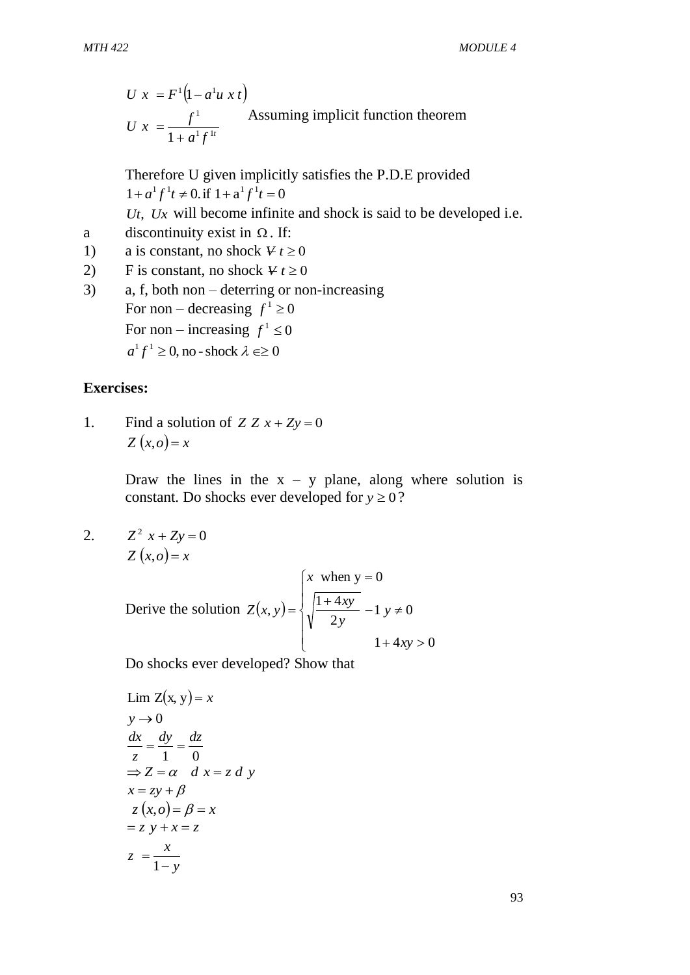$$
U x = F^{1} (1 - a^{1} u x t)
$$
  
 
$$
U x = \frac{f^{1}}{1 + a^{1} f^{1t}}
$$
 Assuming implicit function theorem

Therefore U given implicitly satisfies the P.D.E provided  $1 + a^1 f^1 t \neq 0$ . if  $1 + a^1 f^1 t = 0$ *Ut*, *Ux* will become infinite and shock is said to be developed i.e.

- a discontinuity exist in  $\Omega$ . If:
- 1) a is constant, no shock  $V_t \ge 0$
- 2) F is constant, no shock  $V_t \ge 0$
- 3) a, f, both non deterring or non-increasing For non – decreasing  $f^1 \ge 0$ For non – increasing  $f^1 \le 0$  $a^1 f^1 \ge 0$ , no - shock  $\lambda \in \ge 0$

#### **Exercises:**

1. Find a solution of  $Z Z x + Z y = 0$  $Z(x, o) = x$ 

> Draw the lines in the  $x - y$  plane, along where solution is constant. Do shocks ever developed for  $y \ge 0$ ?

2.  $Z^2$  *x* + *Zy* = 0  $Z(x, o) = x$ 

U 
$$
x = F^1(1-a^1u \, x \, t)
$$
  
\nU  $x = \frac{f^1}{1+a^1f^1t}$  Assuming implicit function theorem  
\nTherefore U given implicitly satisfies the P.D.E provided  
\n $1+a^1f^1t \neq 0$  iff  $1+a^1f^1t = 0$   
\nUt, Ux will become infinite and shock is said to be developed i.e.  
\ndiscontinuity exist in  $\Omega$ . If:  
\na is constant, no shock  $Vt \ge 0$   
\nF is constant, no shock  $Vt \ge 0$   
\nF is constant, no shock  $Vt \ge 0$   
\nFor non – decreasing  $f^1 \ge 0$   
\nFor non – increasing  $f^1 \ge 0$   
\nFor non – increasing  $f^1 \ge 0$   
\n $a^1f^1 \ge 0$ , no - shock  $\lambda \ge 0$   
\n  
\n**ses:**  
\nFind a solution of Z Z x + Zy = 0  
\nZ (x, o) = x  
\nDraw the lines in the x - y plane, along where solution is  
\nconstant. Do shocks ever developed for  $y \ge 0$ ?  
\n $Z^2 x + Zy = 0$   
\n $Z(x, o) = x$   
\n $Z(x, o) = x$   
\n $Z(x, o) = x$   
\n $Q(x, o) = x$   
\n $Q(x, o) = x$   
\n $Q(x, o) = x$   
\n $Q(x, o) = x$   
\n $Q(x, o) = x$   
\n $Q(x, o) = x$   
\n $Q(x, o) = x$   
\n $Q(x, o) = x$   
\n $Q(x, o) = x$   
\n $Q(x, o) = 0$   
\n $Q(x, o) = 0$   
\n $Q(x, o) = 0$   
\n $Q(x, o) = 0$   
\n $Q(x, o) = 0$   
\n $Q(x, o) = 0$   
\n $Q(x, o) = 0$   
\n $Q(x, o) = 0$   
\n $Q(x, o) = 0$   
\n $Q(x, o) = 0$   
\n $Q(x, o) = 0$   
\

Do shocks ever developed? Show that

$$
\lim_{z \to 0} Z(x, y) = x
$$
\n
$$
y \to 0
$$
\n
$$
\frac{dx}{z} = \frac{dy}{1} = \frac{dz}{0}
$$
\n
$$
\Rightarrow Z = \alpha \quad d \quad x = z \quad d \quad y
$$
\n
$$
x = zy + \beta
$$
\n
$$
z (x, 0) = \beta = x
$$
\n
$$
z = \frac{x}{1 - y}
$$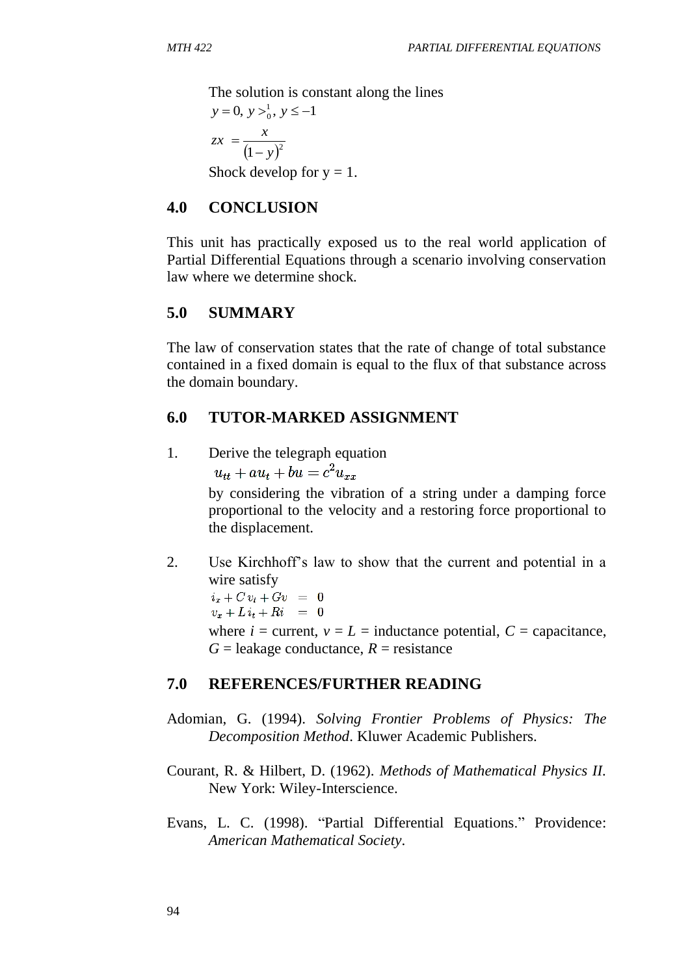The solution is constant along the lines

$$
y = 0, y >_01, y \le -1
$$
  

$$
zx = \frac{x}{(1-y)^2}
$$
  
Shock develop for y = 1.

#### **4.0 CONCLUSION**

This unit has practically exposed us to the real world application of Partial Differential Equations through a scenario involving conservation law where we determine shock.

## **5.0 SUMMARY**

The law of conservation states that the rate of change of total substance contained in a fixed domain is equal to the flux of that substance across the domain boundary.

#### **6.0 TUTOR-MARKED ASSIGNMENT**

1. Derive the telegraph equation

 $u_{tt} + au_t + bu = c^2 u_{xx}$ 

by considering the vibration of a string under a damping force proportional to the velocity and a restoring force proportional to the displacement.

2. Use Kirchhoff's law to show that the current and potential in a wire satisfy

 $i_x+Cv_t+Gv = 0$  $v_x + Li_t + Ri = 0$ where  $i =$  current,  $v = L =$  inductance potential,  $C =$  capacitance,  $G =$  leakage conductance,  $R =$  resistance

## **7.0 REFERENCES/FURTHER READING**

- Adomian, G. (1994). *Solving Frontier Problems of Physics: The Decomposition Method*. Kluwer Academic Publishers.
- Courant, R. & Hilbert, D. (1962). *Methods of Mathematical Physics II.* New York: Wiley-Interscience.
- Evans, L. C. (1998). "Partial Differential Equations." Providence: *American Mathematical Society*.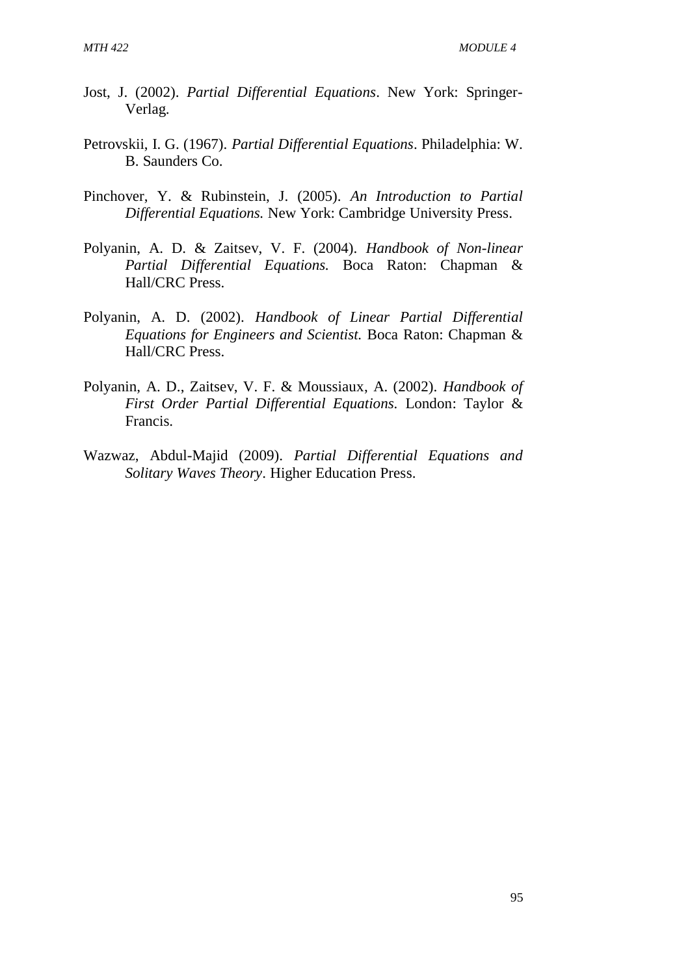- Jost, J. (2002). *Partial Differential Equations*. New York: Springer-Verlag.
- Petrovskii, I. G. (1967). *Partial Differential Equations*. Philadelphia: W. B. Saunders Co.
- Pinchover, Y. & Rubinstein, J. (2005). *An Introduction to Partial Differential Equations.* New York: Cambridge University Press.
- Polyanin, A. D. & Zaitsev, V. F. (2004). *Handbook of Non-linear Partial Differential Equations.* Boca Raton: Chapman & Hall/CRC Press.
- Polyanin, A. D. (2002). *Handbook of Linear Partial Differential Equations for Engineers and Scientist.* Boca Raton: Chapman & Hall/CRC Press.
- Polyanin, A. D., Zaitsev, V. F. & Moussiaux, A. (2002). *Handbook of First Order Partial Differential Equations.* London: Taylor & Francis.
- Wazwaz, Abdul-Majid (2009). *Partial Differential Equations and Solitary Waves Theory*. Higher Education Press.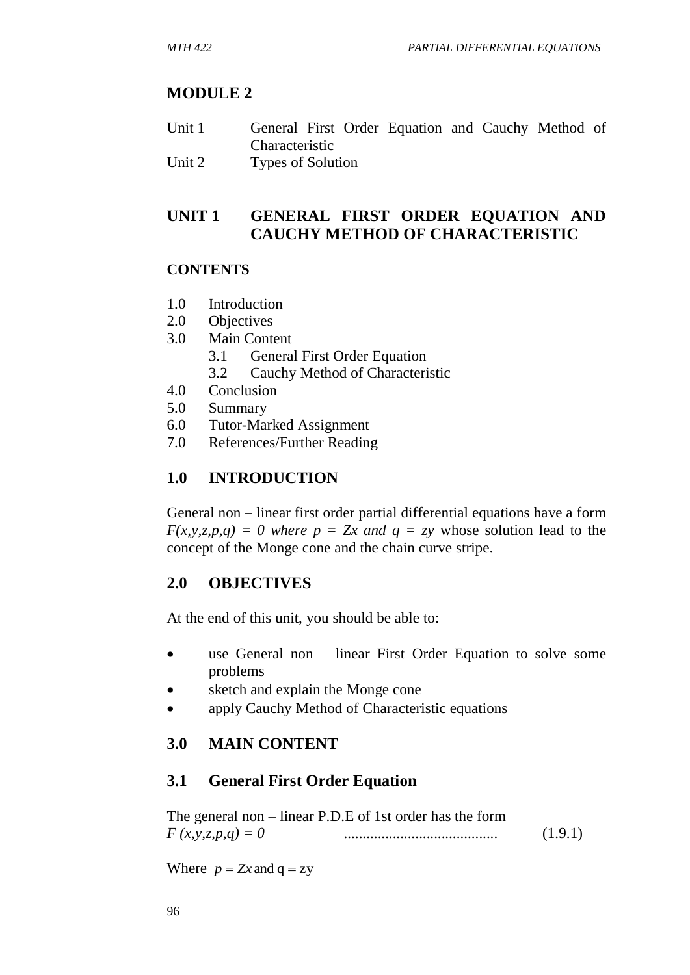# **MODULE 2**

- Unit 1 General First Order Equation and Cauchy Method of Characteristic
- Unit 2 Types of Solution

# **UNIT 1 GENERAL FIRST ORDER EQUATION AND CAUCHY METHOD OF CHARACTERISTIC**

## **CONTENTS**

- 1.0 Introduction
- 2.0 Objectives
- 3.0 Main Content
	- 3.1 General First Order Equation
	- 3.2 Cauchy Method of Characteristic
- 4.0 Conclusion
- 5.0 Summary
- 6.0 Tutor-Marked Assignment
- 7.0 References/Further Reading

# **1.0 INTRODUCTION**

General non – linear first order partial differential equations have a form  $F(x, y, z, p, q) = 0$  where  $p = Zx$  and  $q = zy$  whose solution lead to the concept of the Monge cone and the chain curve stripe.

# **2.0 OBJECTIVES**

At the end of this unit, you should be able to:

- use General non linear First Order Equation to solve some problems
- sketch and explain the Monge cone
- apply Cauchy Method of Characteristic equations

# **3.0 MAIN CONTENT**

# **3.1 General First Order Equation**

The general non – linear P.D.E of 1st order has the form *F (x,y,z,p,q) = 0* ......................................... (1.9.1)

Where  $p = Zx$  and  $q = zy$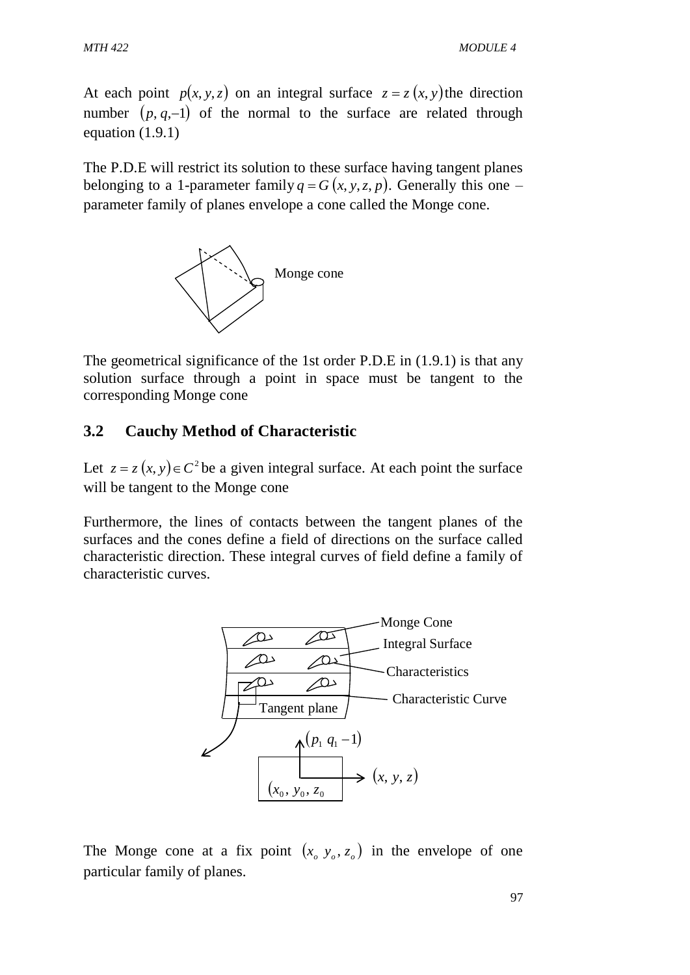At each point  $p(x, y, z)$  on an integral surface  $z = z(x, y)$  the direction number  $(p, q, -1)$  of the normal to the surface are related through equation (1.9.1)

The P.D.E will restrict its solution to these surface having tangent planes belonging to a 1-parameter family  $q = G(x, y, z, p)$ . Generally this one – parameter family of planes envelope a cone called the Monge cone.



The geometrical significance of the 1st order P.D.E in (1.9.1) is that any solution surface through a point in space must be tangent to the corresponding Monge cone

# **3.2 Cauchy Method of Characteristic**

Let  $z = z(x, y) \in C^2$  be a given integral surface. At each point the surface will be tangent to the Monge cone

Furthermore, the lines of contacts between the tangent planes of the surfaces and the cones define a field of directions on the surface called characteristic direction. These integral curves of field define a family of characteristic curves.



The Monge cone at a fix point  $(x_0, y_0, z_0)$  in the envelope of one particular family of planes.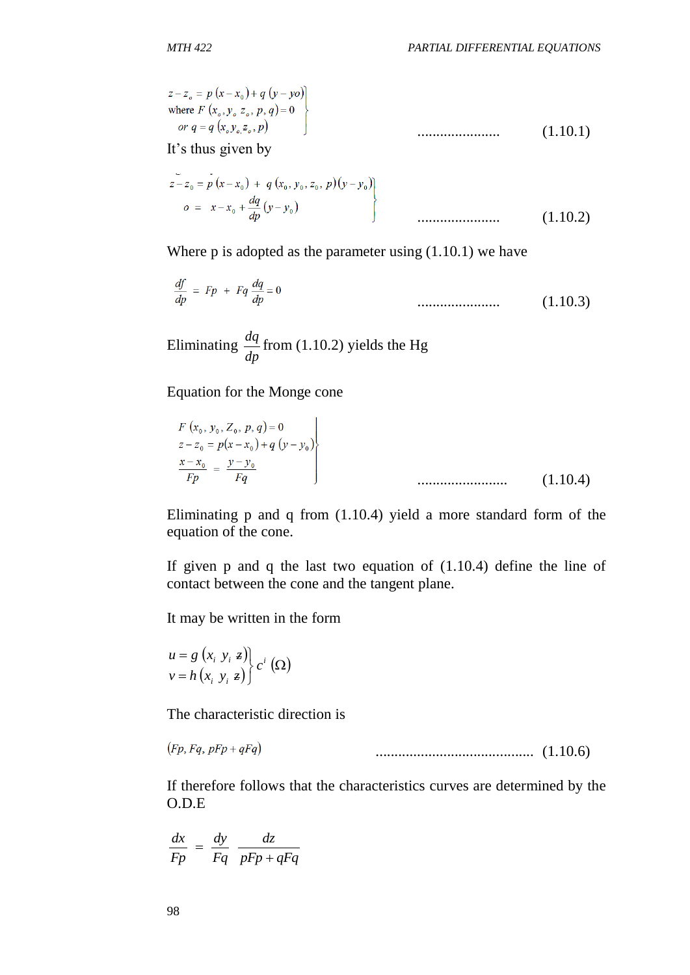$$
z-z_o = p(x-x_o) + q(y-yo)
$$
  
where  $F(x_o, y_o z_o, p, q) = 0$   
or  $q = q(x_o, y_o, z_o, p)$  (1.10.1)

It's thus given by

$$
z-z_0 = p(x-x_0) + q(x_0, y_0, z_0, p)(y-y_0)
$$
  

$$
o = x-x_0 + \frac{dq}{dp}(y-y_0)
$$
 (1.10.2)

Where  $p$  is adopted as the parameter using  $(1.10.1)$  we have

$$
\frac{df}{dp} = Fp + Fq \frac{dq}{dp} = 0 \tag{1.10.3}
$$

Eliminating *dp*  $\frac{dq}{dt}$  from (1.10.2) yields the Hg

 $\mathcal{L}_{\mathcal{A}}$ 

Equation for the Monge cone

$$
F(x_0, y_0, Z_0, p, q) = 0
$$
  
\n
$$
z - z_0 = p(x - x_0) + q (y - y_0)
$$
  
\n
$$
\frac{x - x_0}{Fp} = \frac{y - y_0}{Fq}
$$
  
\n
$$
\dots
$$
  
\n(1.10.4)

Eliminating p and q from (1.10.4) yield a more standard form of the equation of the cone.

If given p and q the last two equation of (1.10.4) define the line of contact between the cone and the tangent plane.

It may be written in the form

$$
\begin{aligned}\nu &= g(x_i, y_i, z) \\
v &= h(x_i, y_i, z)\end{aligned} c^i (\Omega)
$$

The characteristic direction is

 $(Fp, Fq, pFp + qFq)$ .......................................... (1.10.6)

If therefore follows that the characteristics curves are determined by the O.D.E

$$
\frac{dx}{Fp} = \frac{dy}{Fq} \frac{dz}{pFp + qFq}
$$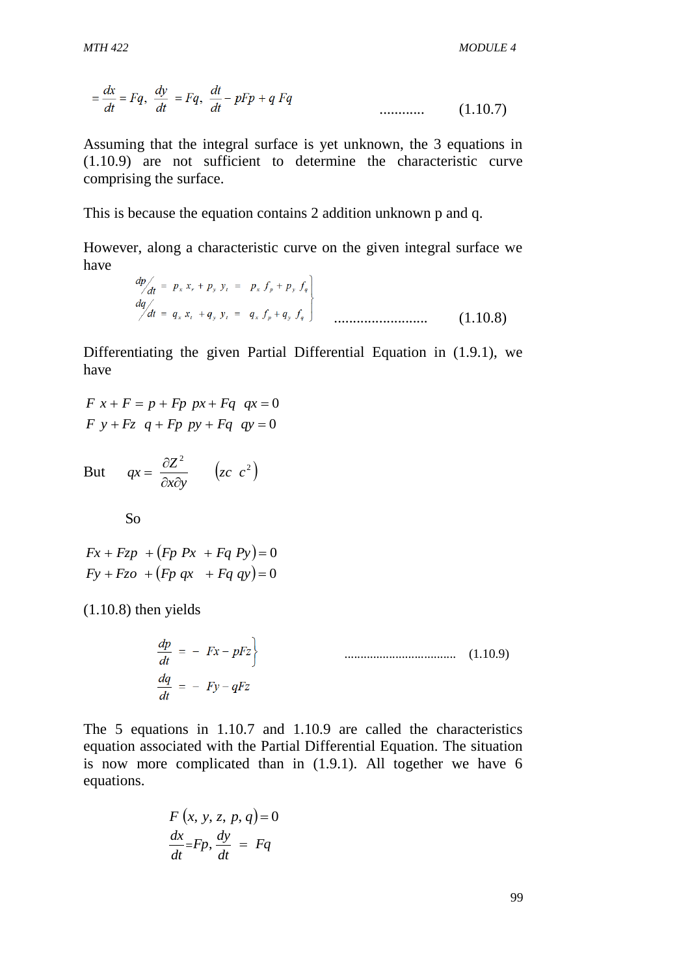$$
\equiv \frac{dx}{dt} = Fq, \quad \frac{dy}{dt} = Fq, \quad \frac{dt}{dt} - pFp + qFq \quad \dots \dots \dots \dots \tag{1.10.7}
$$

Assuming that the integral surface is yet unknown, the 3 equations in (1.10.9) are not sufficient to determine the characteristic curve comprising the surface.

This is because the equation contains 2 addition unknown p and q.

However, along a characteristic curve on the given integral surface we have

$$
\begin{array}{lcl}\n\frac{dp}{dt} & = & p_x x_r + p_y y_t = & p_x f_p + p_y f_q \\
\frac{dq}{dt} & = & q_x x_t + q_y y_t = & q_x f_p + q_y f_q\n\end{array}
$$
\n
$$
\tag{1.10.8}
$$

Differentiating the given Partial Differential Equation in (1.9.1), we have

$$
F x + F = p + Fp px + Fq qx = 0
$$
  

$$
F y + Fz q + Fp py + Fq qy = 0
$$

But  $qx = \frac{\partial Z^2}{\partial z^2}$   $(zc^2)$ *zc c x y*  $qx = \frac{\partial Z}{\partial x}$  $\partial x \partial$  $=\frac{\partial}{\partial x}$ 

So

$$
Fx + Fzp + (Fp Px + Fq Py) = 0
$$
  

$$
Fy + Fzo + (Fp qx + Fq qy) = 0
$$

(1.10.8) then yields

$$
\frac{dp}{dt} = -Fx - pFz
$$
\n
$$
\frac{dq}{dt} = -Fy - qFz
$$
\n(1.10.9)

The 5 equations in 1.10.7 and 1.10.9 are called the characteristics equation associated with the Partial Differential Equation. The situation is now more complicated than in (1.9.1). All together we have 6 equations.

$$
F(x, y, z, p, q) = 0
$$
  

$$
\frac{dx}{dt} = Fp, \frac{dy}{dt} = Fq
$$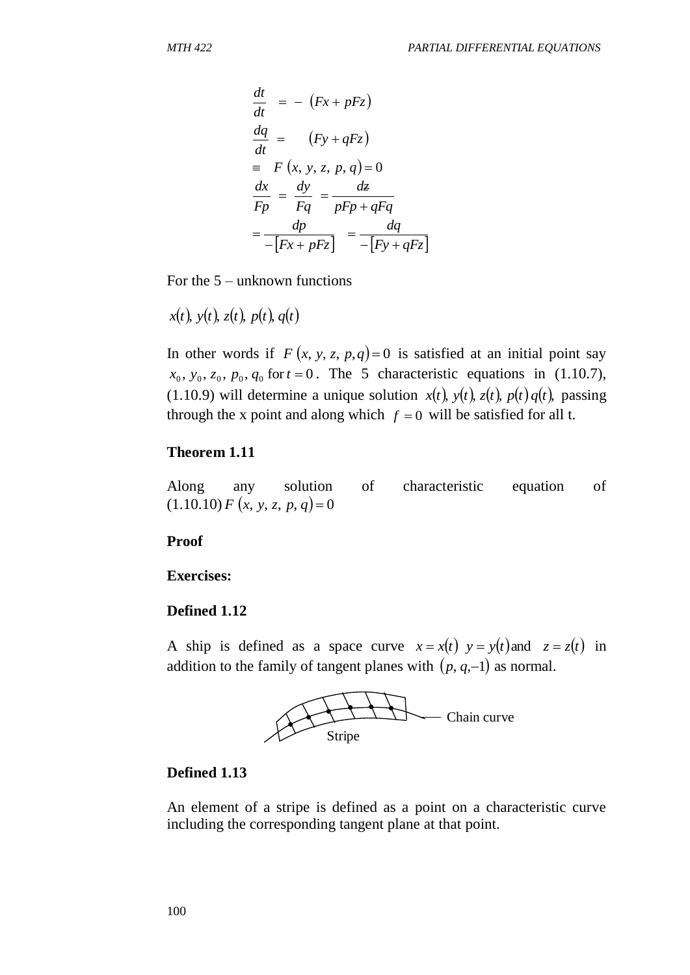$$
\frac{dt}{dt} = -(Fx + pFz)
$$
\n
$$
\frac{dq}{dt} = (Fy + qFz)
$$
\n
$$
= F (x, y, z, p, q) = 0
$$
\n
$$
\frac{dx}{Fp} = \frac{dy}{Fq} = \frac{d\epsilon}{pFp + qFq}
$$
\n
$$
= \frac{dp}{-[Fx + pFz]} = \frac{dq}{-[Fy + qFz]}
$$
\nFor the 5 – unknown functions\n
$$
x(t), y(t), z(t), p(t), q(t)
$$
\nIn other words if  $F (x, y, z, p, q) = 0$  is sat\n
$$
x_0, y_0, z_0, p_0, q_0
$$
 for  $t = 0$ . The 5 character\n(1.10.9) will determine a unique solution\nthrough the x point and along which  $f = 0$ \n**Theorem 1.11**\nAlong\n
$$
any \quad \text{solution of char:}
$$
\n(1.10.10)  $F (x, y, z, p, q) = 0$ \n**Proof**\n**Exercises:**\n**Defined 1.12**\nA ship is defined as a space curve  $x =$  addition to the family of tangent planes with\n
$$
x = f(x, y, z, p, q) = 0
$$
\nTo find\n
$$
x = f(x, y, z, p, q) = 0
$$
\nTo find that  $z = 0$  and  $z = 0$  and  $z = 0$  and  $z = 0$  and  $z = 0$  and  $z = 0$  and  $z = 0$  and  $z = 0$  and  $z = 0$  and  $z = 0$  and  $z = 0$  and  $z = 0$  and  $z = 0$  and  $z = 0$  and  $z = 0$  and  $z = 0$  and  $z = 0$  and  $z = 0$  and  $z = 0$  and  $z = 0$  and  $z = 0$  and  $z = 0$  and  $z = 0$  and  $z = 0$  and  $z = 0$  and  $z = 0$  and  $z = 0$  and  $z = 0$  and

For the 5 – unknown functions

$$
x(t), y(t), z(t), p(t), q(t)
$$

In other words if  $F(x, y, z, p, q) = 0$  is satisfied at an initial point say  $x_0, y_0, z_0, p_0, q_0$  for  $t = 0$ . The 5 characteristic equations in (1.10.7), (1.10.9) will determine a unique solution  $x(t)$ ,  $y(t)$ ,  $z(t)$ ,  $p(t)q(t)$ , passing through the x point and along which  $f = 0$  will be satisfied for all t.

#### **Theorem 1.11**

Along any solution of characteristic equation of  $(1.10.10) F (x, y, z, p, q) = 0$ 

#### **Proof**

**Exercises:** 

#### **Defined 1.12**

A ship is defined as a space curve  $x = x(t)$   $y = y(t)$  and  $z = z(t)$  in addition to the family of tangent planes with  $(p, q, -1)$  as normal.



#### **Defined 1.13**

An element of a stripe is defined as a point on a characteristic curve including the corresponding tangent plane at that point.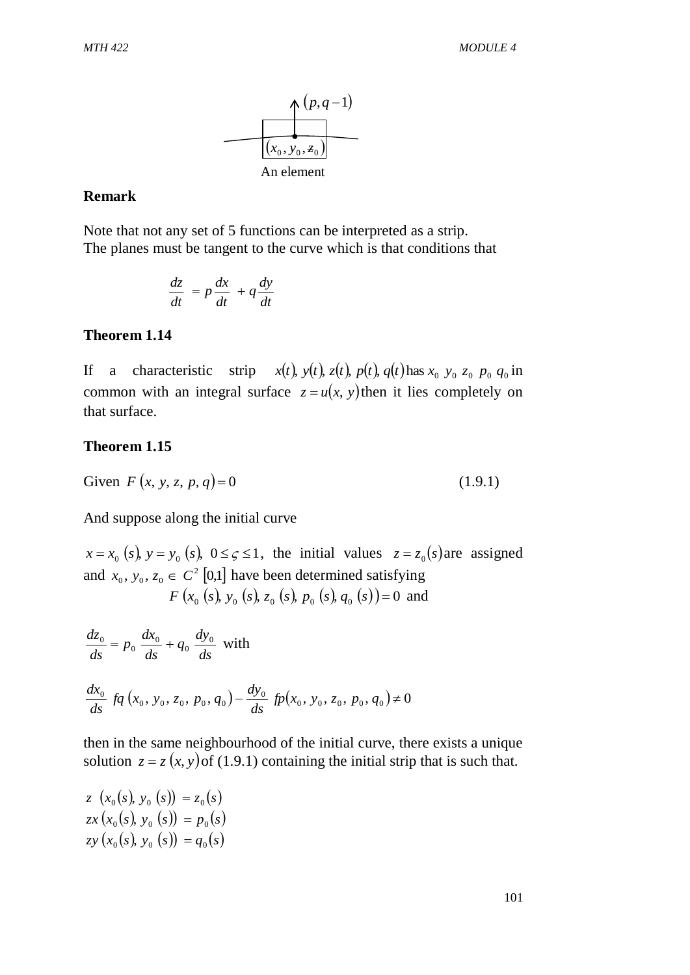

#### **Remark**

Note that not any set of 5 functions can be interpreted as a strip. The planes must be tangent to the curve which is that conditions that

$$
\frac{dz}{dt} = p\frac{dx}{dt} + q\frac{dy}{dt}
$$

#### **Theorem 1.14**

If a characteristic strip  $x(t)$ ,  $y(t)$ ,  $z(t)$ ,  $p(t)$ ,  $q(t)$  has  $x_0$ ,  $y_0$ ,  $z_0$ ,  $p_0$ ,  $q_0$  in common with an integral surface  $z = u(x, y)$  then it lies completely on that surface.

#### **Theorem 1.15**

Given 
$$
F(x, y, z, p, q) = 0
$$
 (1.9.1)

And suppose along the initial curve

 $x = x_0$  (*s*),  $y = y_0$  (*s*),  $0 \le \zeta \le 1$ , the initial values  $z = z_0$  (*s*) are assigned and  $x_0, y_0, z_0 \in C^2$  [0,1] have been determined satisfying *F* ( $x_0$  (*s*),  $y_0$  (*s*),  $z_0$  (*s*),  $p_0$  (*s*),  $q_0$  (*s*))=0 and

$$
\frac{dz_0}{ds} = p_0 \frac{dx_0}{ds} + q_0 \frac{dy_0}{ds} \text{ with}
$$
\n
$$
\frac{dx_0}{ds} f q(x_0, y_0, z_0, p_0, q_0) - \frac{dy_0}{ds} f p(x_0, y_0, z_0, p_0, q_0) \neq 0
$$

then in the same neighbourhood of the initial curve, there exists a unique solution  $z = z(x, y)$  of (1.9.1) containing the initial strip that is such that.

 $z(x_0(s), y_0(s)) = z_0(s)$  $zx(x_0(s), y_0(s)) = p_0(s)$  $zy(x_0(s), y_0(s)) = q_0(s)$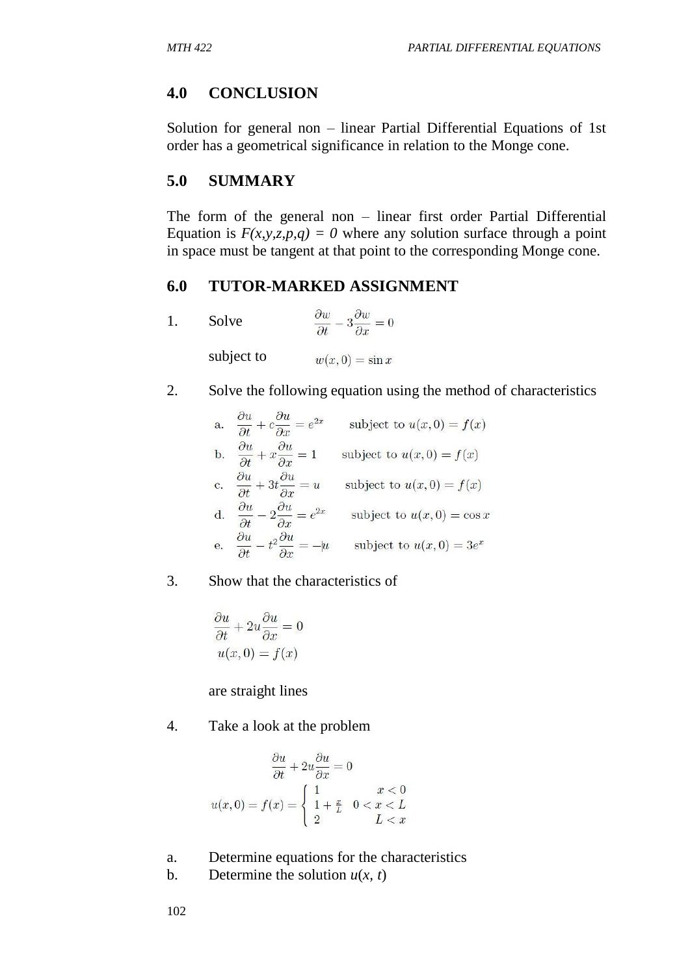# **4.0 CONCLUSION**

Solution for general non – linear Partial Differential Equations of 1st order has a geometrical significance in relation to the Monge cone.

# **5.0 SUMMARY**

The form of the general non – linear first order Partial Differential Equation is  $F(x, y, z, p, q) = 0$  where any solution surface through a point in space must be tangent at that point to the corresponding Monge cone.

## **6.0 TUTOR-MARKED ASSIGNMENT**

| Solve      | $\frac{\partial w}{\partial x} - 3\frac{\partial w}{\partial y} = 0$ |
|------------|----------------------------------------------------------------------|
| subject to | $w(x, 0) = \sin x$                                                   |

2. Solve the following equation using the method of characteristics

| a. | $\partial u$                                                                     | subject to $u(x, 0) = f(x)$   |
|----|----------------------------------------------------------------------------------|-------------------------------|
| b. | $\partial u$<br>$\partial u$<br>$+x\frac{\partial}{\partial x}=1$                | subject to $u(x, 0) = f(x)$   |
| c. | дu<br>$+3t\frac{\partial u}{\partial x} = u$                                     | subject to $u(x, 0) = f(x)$   |
| d. | $2\frac{\partial u}{\partial x} = e^{2x}$<br>$\partial u$<br>Эt.<br>$\partial r$ | subject to $u(x, 0) = \cos x$ |
| е. | дu<br>$2\partial u$<br>$-u$                                                      | subject to $u(x, 0) = 3e^x$   |

3. Show that the characteristics of

$$
\frac{\partial u}{\partial t} + 2u \frac{\partial u}{\partial x} = 0
$$
  
 
$$
u(x, 0) = f(x)
$$

are straight lines

4. Take a look at the problem

$$
\frac{\partial u}{\partial t} + 2u \frac{\partial u}{\partial x} = 0
$$

$$
u(x, 0) = f(x) = \begin{cases} 1 & x < 0 \\ 1 + \frac{x}{L} & 0 < x < L \\ 2 & L < x \end{cases}
$$

- a. Determine equations for the characteristics
- b. Determine the solution  $u(x, t)$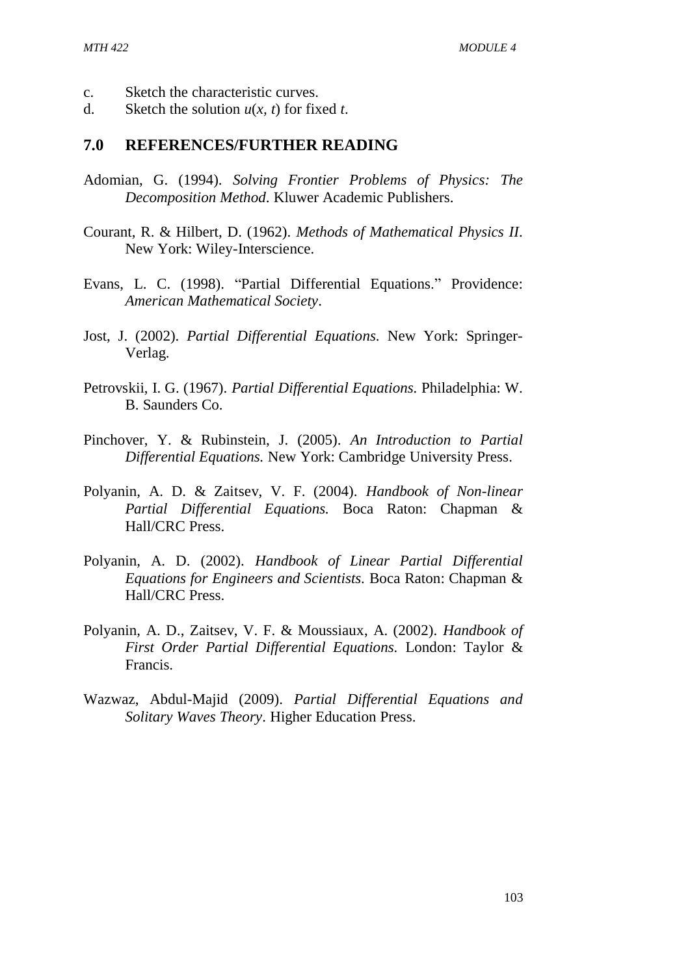- c. Sketch the characteristic curves.
- d. Sketch the solution  $u(x, t)$  for fixed *t*.

#### **7.0 REFERENCES/FURTHER READING**

- Adomian, G. (1994). *Solving Frontier Problems of Physics: The Decomposition Method*. Kluwer Academic Publishers.
- Courant, R. & Hilbert, D. (1962). *Methods of Mathematical Physics II*. New York: Wiley-Interscience.
- Evans, L. C. (1998). "Partial Differential Equations." Providence: *American Mathematical Society*.
- Jost, J. (2002). *Partial Differential Equations.* New York: Springer-Verlag.
- Petrovskii, I. G. (1967). *Partial Differential Equations.* Philadelphia: W. B. Saunders Co.
- Pinchover, Y. & Rubinstein, J. (2005). *An Introduction to Partial Differential Equations.* New York: Cambridge University Press.
- Polyanin, A. D. & Zaitsev, V. F. (2004). *Handbook of Non-linear Partial Differential Equations.* Boca Raton: Chapman & Hall/CRC Press.
- Polyanin, A. D. (2002). *Handbook of Linear Partial Differential Equations for Engineers and Scientists.* Boca Raton: Chapman & Hall/CRC Press.
- Polyanin, A. D., Zaitsev, V. F. & Moussiaux, A. (2002). *Handbook of First Order Partial Differential Equations.* London: Taylor & Francis.
- Wazwaz, Abdul-Majid (2009). *Partial Differential Equations and Solitary Waves Theory*. Higher Education Press.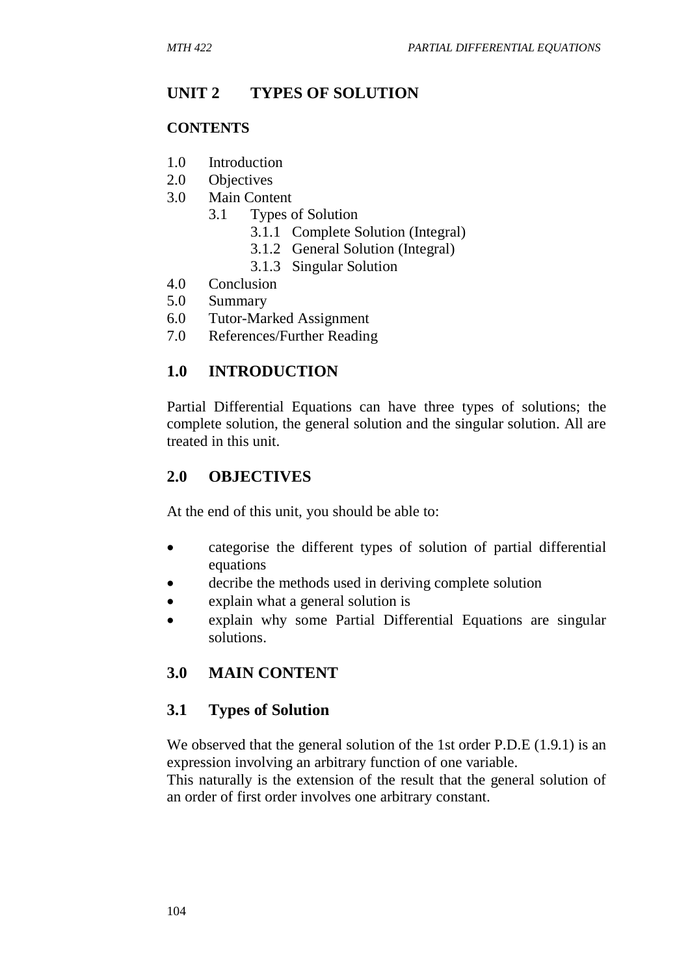# **UNIT 2 TYPES OF SOLUTION**

## **CONTENTS**

- 1.0 Introduction
- 2.0 Objectives
- 3.0 Main Content
	- 3.1 Types of Solution
		- 3.1.1 Complete Solution (Integral)
		- 3.1.2 General Solution (Integral)
		- 3.1.3 Singular Solution
- 4.0 Conclusion
- 5.0 Summary
- 6.0 Tutor-Marked Assignment
- 7.0 References/Further Reading

# **1.0 INTRODUCTION**

Partial Differential Equations can have three types of solutions; the complete solution, the general solution and the singular solution. All are treated in this unit.

# **2.0 OBJECTIVES**

At the end of this unit, you should be able to:

- categorise the different types of solution of partial differential equations
- decribe the methods used in deriving complete solution
- explain what a general solution is
- explain why some Partial Differential Equations are singular solutions.

# **3.0 MAIN CONTENT**

# **3.1 Types of Solution**

We observed that the general solution of the 1st order P.D.E (1.9.1) is an expression involving an arbitrary function of one variable.

This naturally is the extension of the result that the general solution of an order of first order involves one arbitrary constant.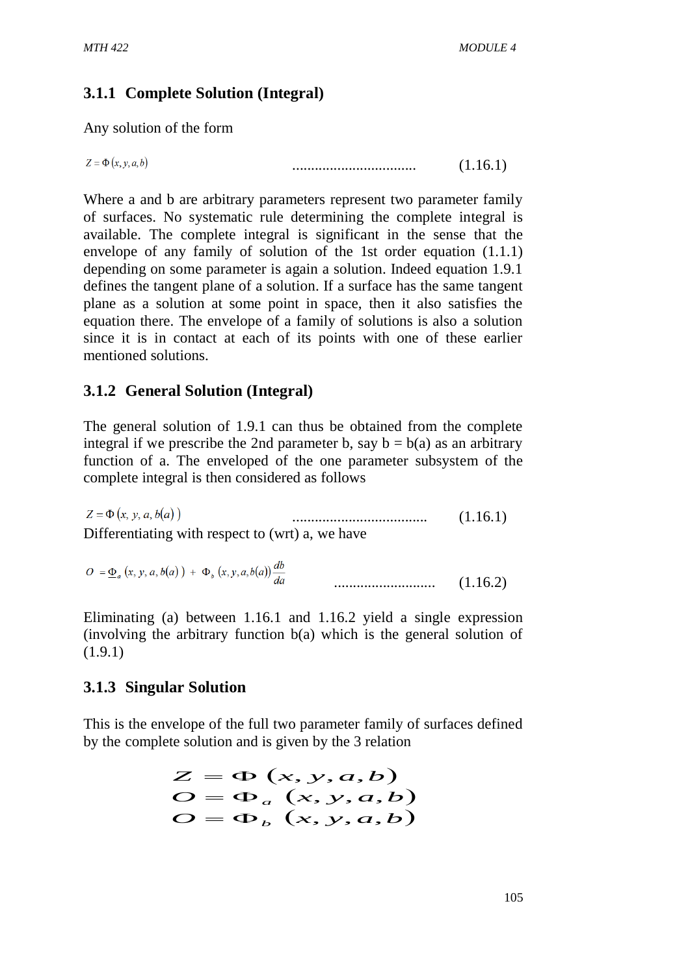# **3.1.1 Complete Solution (Integral)**

Any solution of the form

$$
z = \Phi(x, y, a, b) \tag{1.16.1}
$$

Where a and b are arbitrary parameters represent two parameter family of surfaces. No systematic rule determining the complete integral is available. The complete integral is significant in the sense that the envelope of any family of solution of the 1st order equation (1.1.1) depending on some parameter is again a solution. Indeed equation 1.9.1 defines the tangent plane of a solution. If a surface has the same tangent plane as a solution at some point in space, then it also satisfies the equation there. The envelope of a family of solutions is also a solution since it is in contact at each of its points with one of these earlier mentioned solutions.

# **3.1.2 General Solution (Integral)**

The general solution of 1.9.1 can thus be obtained from the complete integral if we prescribe the 2nd parameter b, say  $b = b(a)$  as an arbitrary function of a. The enveloped of the one parameter subsystem of the complete integral is then considered as follows

 $Z = \Phi(x, y, a, b(a))$ .................................... (1.16.1) Differentiating with respect to (wrt) a, we have

$$
O = \underline{\Phi}_a(x, y, a, b(a)) + \Phi_b(x, y, a, b(a)) \frac{db}{da}
$$
 (1.16.2)

Eliminating (a) between 1.16.1 and 1.16.2 yield a single expression (involving the arbitrary function b(a) which is the general solution of (1.9.1)

## **3.1.3 Singular Solution**

This is the envelope of the full two parameter family of surfaces defined by the complete solution and is given by the 3 relation

$$
Z = \Phi(x, y, a, b)
$$
  
\n
$$
O = \Phi_a(x, y, a, b)
$$
  
\n
$$
O = \Phi_b(x, y, a, b)
$$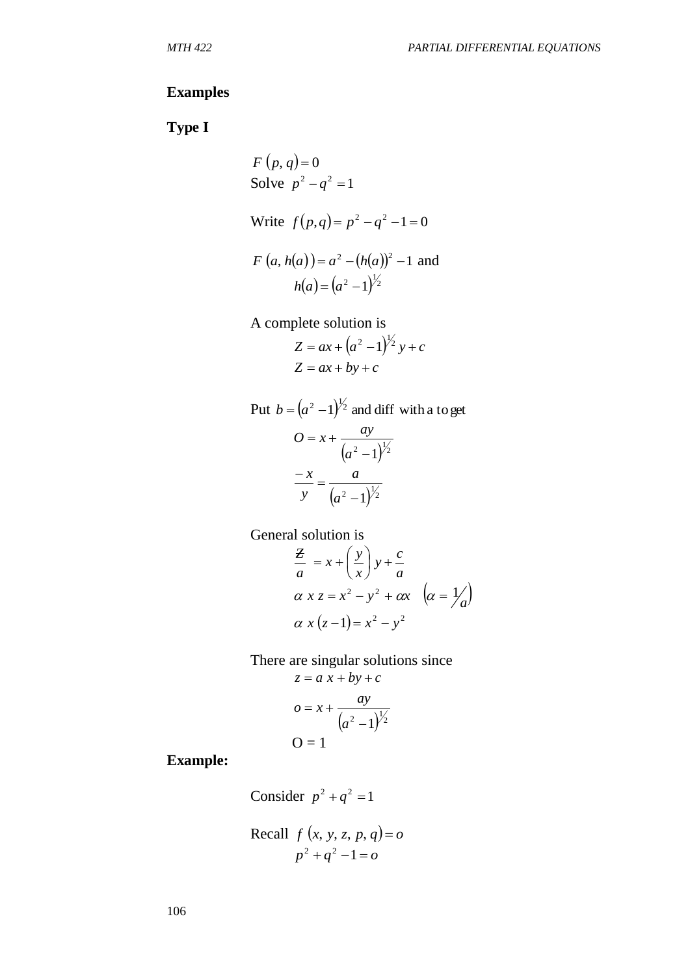#### **Examples**

**Type I** 

Solve 
$$
p^2 - q^2 = 1
$$
  
\nWrite  $f(p,q) = p^2 - q^2 - 1 = 0$   
\n $F(a, h(a)) = a^2 - (h(a))^2 - 1$  and  
\n $h(a) = (a^2 - 1)^{\frac{1}{2}}$   
\nA complete solution is  
\n $Z = ax + (a^2 - 1)^{\frac{1}{2}}y + c$   
\n $Z = ax + by + c$ 

 $F(n, a) = 0$ 

Put  $b = (a^2 - 1)^{1/2}$  and diff with a to get  $(a^2-1)^{1/2}$  $= x +$ *a*  $Q = x + \frac{ay}{a}$  $(a^2-1)^{1/2}$  $\frac{-x}{-}$ *a a y x*

General solution is

$$
\frac{Z}{a} = x + \left(\frac{y}{x}\right)y + \frac{c}{a}
$$
  
\n
$$
\alpha x z = x^2 - y^2 + \alpha x \quad \left(\alpha = \frac{1}{a}\right)
$$
  
\n
$$
\alpha x (z - 1) = x^2 - y^2
$$

There are singular solutions since

$$
z = a x + by + c
$$

$$
o = x + \frac{ay}{(a^2 - 1)^{\frac{1}{2}}}
$$

$$
O = 1
$$

**Example:** 

Consider  $p^2 + q^2 = 1$ 

Recall  $f(x, y, z, p, q) = 0$  $p^{2} + q^{2} - 1 = 0$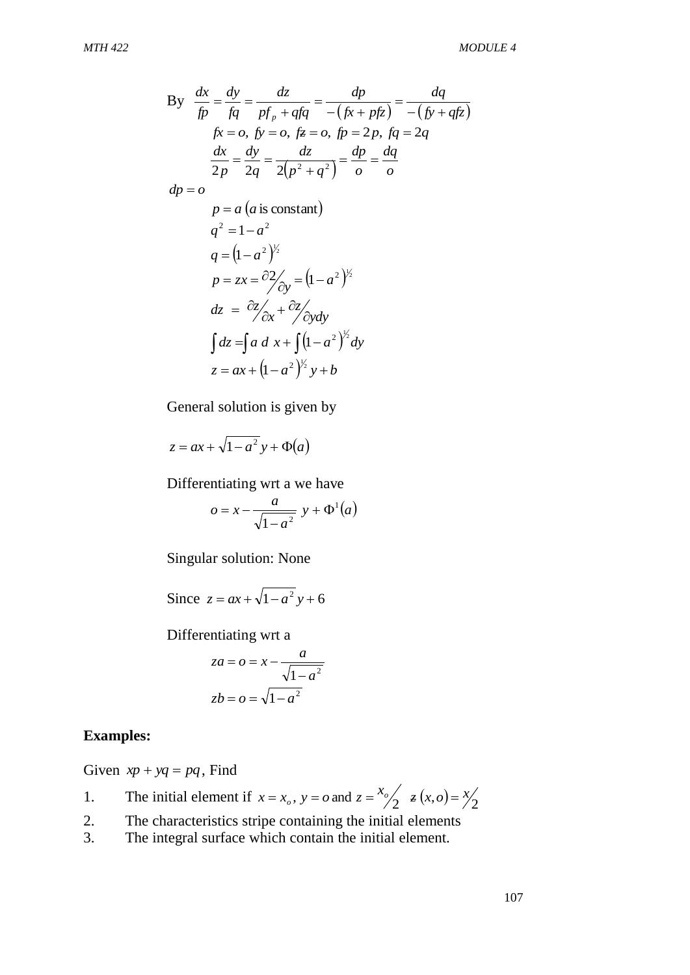By 
$$
\frac{dx}{fp} = \frac{dy}{fq} = \frac{dz}{pf_p + qfq} = \frac{dp}{-(fx + pfz)} = \frac{dq}{-(fy + qfz)}
$$
  
\n
$$
fx = o, fy = o, fz = o, fp = 2p, fq = 2q
$$
  
\n
$$
\frac{dx}{2p} = \frac{dy}{2q} = \frac{dz}{2(p^2 + q^2)} = \frac{dp}{o} = \frac{dq}{o}
$$
  
\n
$$
dp = o
$$
  
\n
$$
p = a (a \text{ is constant})
$$
  
\n
$$
q^2 = 1 - a^2
$$
  
\n
$$
q = (1 - a^2)^{\frac{1}{2}}
$$
  
\n
$$
p = zx = \frac{\partial 2}{\partial y} = (1 - a^2)^{\frac{1}{2}}
$$
  
\n
$$
dz = \frac{\partial z}{\partial x} + \frac{\partial z}{\partial y} dy
$$
  
\n
$$
\int dz = \int a \, d \, x + \int (1 - a^2)^{\frac{1}{2}} dy
$$
  
\n
$$
z = ax + (1 - a^2)^{\frac{1}{2}} y + b
$$

General solution is given by

$$
z = ax + \sqrt{1 - a^2} y + \Phi(a)
$$

Differentiating wrt a we have

$$
o = x - \frac{a}{\sqrt{1 - a^2}} y + \Phi^1(a)
$$

Singular solution: None

Since  $z = ax + \sqrt{1 - a^2} y + 6$ 

Differentiating wrt a

$$
za = o = x - \frac{a}{\sqrt{1 - a^2}}
$$

$$
zb = o = \sqrt{1 - a^2}
$$

#### **Examples:**

Given  $xp + yq = pq$ , Find

- 1. The initial element if  $x = x_o$ ,  $y = o$  and  $z = \frac{x_o}{2} \neq (x, o) = \frac{x}{2}$
- 2. The characteristics stripe containing the initial elements
- 3. The integral surface which contain the initial element.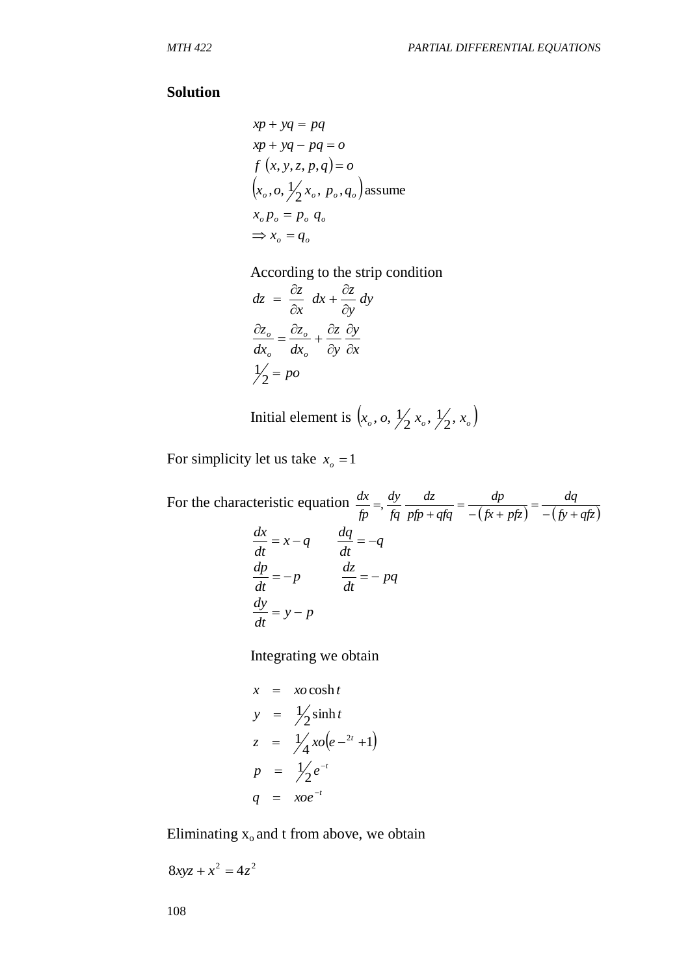#### **Solution**

$$
xp + yq = pq
$$
  
\n
$$
xp + yq - pq = o
$$
  
\n
$$
f(x, y, z, p, q) = o
$$
  
\n
$$
(x_o, o, \frac{1}{2}x_o, p_o, q_o)
$$
assume  
\n
$$
x_o p_o = p_o q_o
$$
  
\n
$$
\Rightarrow x_o = q_o
$$

According to the strip condition

$$
dz = \frac{\partial z}{\partial x} dx + \frac{\partial z}{\partial y} dy
$$

$$
\frac{\partial z_o}{\partial x_o} = \frac{\partial z_o}{\partial x_o} + \frac{\partial z}{\partial y} \frac{\partial y}{\partial x}
$$

$$
\frac{1}{2} = p\omega
$$

Initial element is  $(x_o, o, \frac{1}{2}x_o, \frac{1}{2}, x_o)$ ,  $o, \frac{1}{2}$ 

For simplicity let us take  $x_0 = 1$ 

For the characteristic equation  $(fx + pfx) - (fy + qfz)$ *dq*  $fx + pfx$ *dp*  $pfp + qfq$ *dz fq dy fp dx*  $-(f y +$  $=$  $-(fx +$  $=$  $\ddot{}$  , *q dt*  $x-q$  *dq dt*  $\frac{dx}{dx} = x - q$   $\frac{dq}{dx} =$ *pq dt p*  $\frac{dz}{dx}$ *dt*  $\frac{dp}{dt} = -p$   $\frac{dz}{dt} = -q$ *y p dt*  $\frac{dy}{dx} = y -$ 

Integrating we obtain

$$
x = x\omega \cosh t
$$
  
\n
$$
y = \frac{1}{2} \sinh t
$$
  
\n
$$
z = \frac{1}{4} x\omega (e^{-2t} + 1)
$$
  
\n
$$
p = \frac{1}{2} e^{-t}
$$
  
\n
$$
q = x\omega e^{-t}
$$

Eliminating  $x_0$  and t from above, we obtain

$$
8xyz + x^2 = 4z^2
$$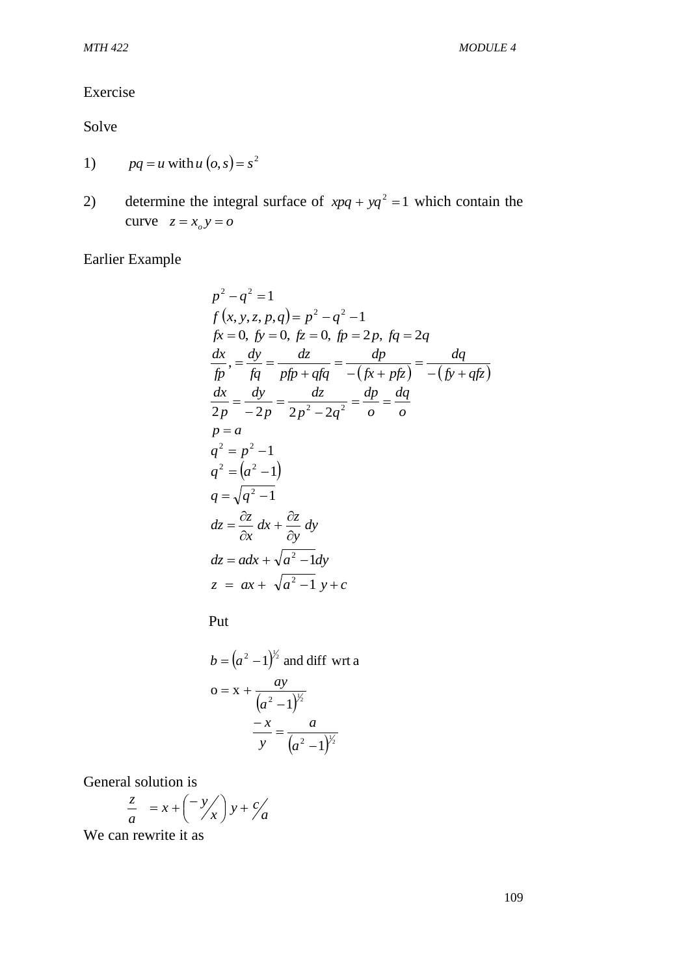#### Exercise

Solve

- 1)  $pq = u$  with  $u(o, s) = s^2$
- 2) determine the integral surface of  $xpq + yq^2 = 1$  which contain the curve  $z = x_0 y = 0$

Earlier Example

$$
p^{2} - q^{2} = 1
$$
  
\n $f(x, y, z, p, q) = p^{2} - q^{2} - 1$   
\n $fx = 0, f y = 0, f z = 0, f p = 2p, f q = 2q$   
\n $\frac{dx}{f p}, = \frac{dy}{f q} = \frac{dz}{p f p + q f q} = \frac{dp}{-(f x + p f z)} = \frac{dq}{-(f y + q f z)}$   
\n $\frac{dx}{2 p} = \frac{dy}{-2 p} = \frac{dz}{2 p^{2} - 2 q^{2}} = \frac{dp}{o} = \frac{dq}{o}$   
\n $p = a$   
\n $q^{2} = p^{2} - 1$   
\n $q^{2} = (a^{2} - 1)$   
\n $q = \sqrt{q^{2} - 1}$   
\n $dz = \frac{\partial z}{\partial x} dx + \frac{\partial z}{\partial y} dy$   
\n $dz = adx + \sqrt{a^{2} - 1} dy$   
\n $z = ax + \sqrt{a^{2} - 1} y + c$ 

Put

$$
b = (a2 - 1)y2 \text{ and diff wrt a}
$$

$$
o = x + \frac{ay}{(a2 - 1)y2}
$$

$$
\frac{-x}{y} = \frac{a}{(a2 - 1)y2}
$$

General solution is

$$
\frac{z}{a} = x + \left(\frac{-y}{x}\right)y + \frac{c}{a}
$$

We can rewrite it as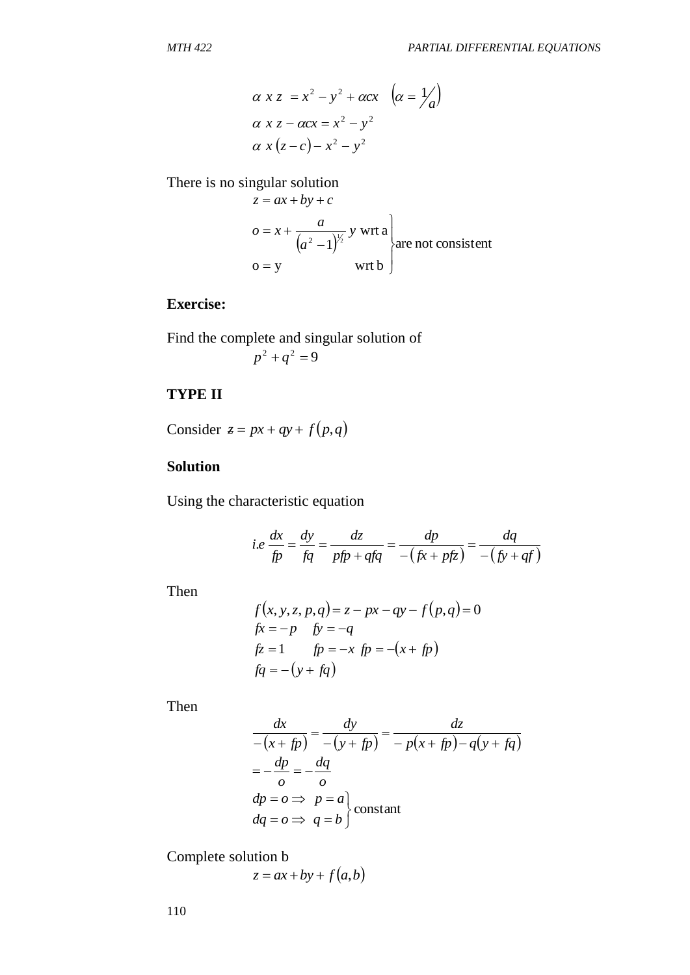$$
\alpha x z = x^2 - y^2 + \alpha c x \quad (\alpha = \frac{1}{a})
$$
  
\n
$$
\alpha x z - \alpha c x = x^2 - y^2
$$
  
\n
$$
\alpha x (z - c) - x^2 - y^2
$$

There is no singular solution

$$
z = ax + by + c
$$
  
\n
$$
o = x + \frac{a}{(a^2 - 1)^{\frac{1}{2}}} y \text{ wrt a}
$$
  
\n
$$
o = y \text{ wrt b}
$$

## **Exercise:**

Find the complete and singular solution of  

$$
p^2 + q^2 = 9
$$

## **TYPE II**

Consider  $z = px + qy + f(p,q)$ 

#### **Solution**

Using the characteristic equation

i.e 
$$
\frac{dx}{fp} = \frac{dy}{fq} = \frac{dz}{pfp + qfq} = \frac{dp}{-(fx + pfx)} = \frac{dq}{-(fy + qf)}
$$

Then

$$
f(x, y, z, p, q) = z - px - qy - f(p, q) = 0
$$
  
\n
$$
fx = -p \quad fy = -q
$$
  
\n
$$
fx = 1 \qquad fp = -x \, fp = -(x + fp)
$$
  
\n
$$
fq = -(y + fq)
$$

Then

$$
\alpha x z = x^2 - y^2 + \alpha cx \quad |\alpha = \frac{1}{a}|
$$
  
\n
$$
\alpha x z - \alpha cx = x^2 - y^2
$$
  
\n
$$
\alpha x (z - c) - x^2 - y^2
$$
  
\nThere is no singular solution  
\n
$$
z = ax + by + c
$$
  
\n
$$
o = x + \frac{a}{(a^2 - 1)^{y_2}} y \text{ wrt a}
$$
  
\n**Exercise:**  
\nFind the complete and singular solution of  
\n
$$
p^2 + q^2 = 9
$$
  
\n**TYPE II**  
\nConsider  $z = px + qy + f(p,q)$   
\n**Solution**  
\nUsing the characteristic equation  
\n
$$
i.e. \frac{dx}{dp} = \frac{dy}{dq} = \frac{dz}{pfp + qfq} = \frac{dp}{-(fx + pfc)} = \frac{dq}{-(fy + r)}
$$
  
\nThen  
\n
$$
f(x, y, z, p, q) = z - px - qy - f(p, q) = 0
$$
  
\n
$$
f(x, y, z, p, q) = z - px - qy - f(p, q) = 0
$$
  
\n
$$
f(x, y, z, p, q) = z - px - qy - f(p, q) = 0
$$
  
\n
$$
f(x, y, z, p, q) = z - px - qy - f(p, q) = 0
$$
  
\n
$$
f(x, y, z, p, q) = z - px - qy - f(p, q) = 0
$$
  
\n
$$
f(x, y, z, p, q) = z - px - qy - f(p, q) = 0
$$
  
\n
$$
f(x, y, z, p, q) = z - px - qy - f(p, q) = 0
$$
  
\n
$$
f(x, y, z, p, q) = z - px - qy - f(p, q) = 0
$$
  
\n
$$
f(x, y, z, p, q) = z - px - qy - f(p, q) = 0
$$
  
\n
$$
f(x, y, z, p, q) = z - px - qy - f(p, q) = 0
$$
  
\n
$$
f(x, y, z, p, q) = z - px - qy - f(p, q) = 0
$$
  
\n
$$
f(x, y, z, p, q) = z -
$$

Complete solution b

$$
z = ax + by + f(a, b)
$$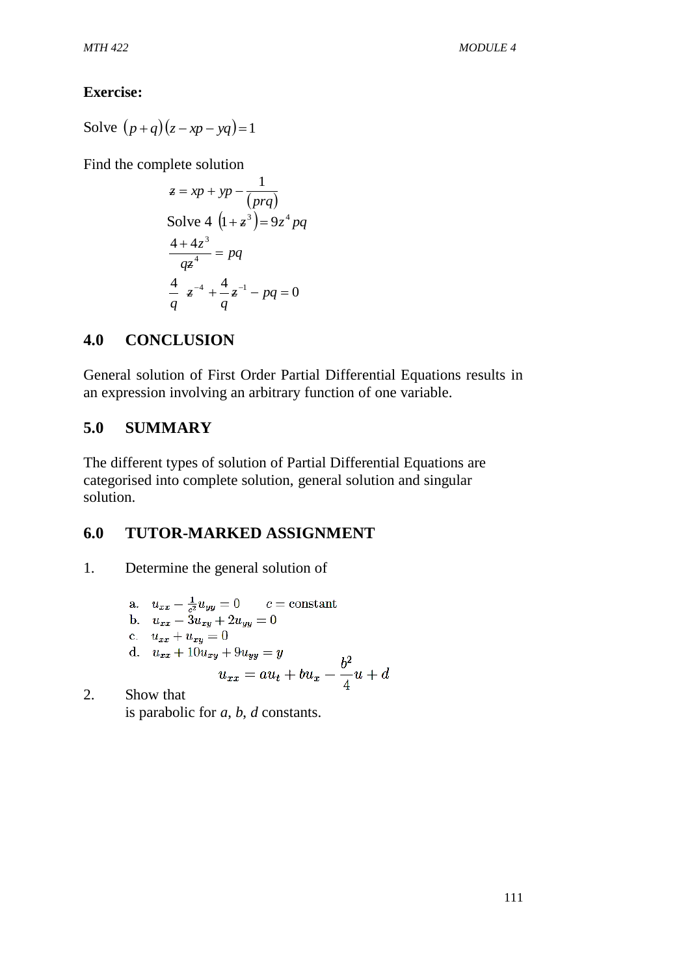# **Exercise:**

Solve  $(p+q)(z-xp-yq)=1$ 

Find the complete solution

$$
z = xp + yp - \frac{1}{(prq)}
$$
  
Solve 4  $(1 + z^3) = 9z^4 pq$   
 $\frac{4 + 4z^3}{qz^4} = pq$   
 $\frac{4}{q}z^{-4} + \frac{4}{q}z^{-1} - pq = 0$ 

# **4.0 CONCLUSION**

General solution of First Order Partial Differential Equations results in an expression involving an arbitrary function of one variable.

# **5.0 SUMMARY**

The different types of solution of Partial Differential Equations are categorised into complete solution, general solution and singular solution.

# **6.0 TUTOR-MARKED ASSIGNMENT**

1. Determine the general solution of

a. 
$$
u_{xx} - \frac{1}{c^2} u_{yy} = 0
$$
  $c = \text{constant}$   
\nb.  $u_{xx} - 3u_{xy} + 2u_{yy} = 0$   
\nc.  $u_{xx} + u_{xy} = 0$   
\nd.  $u_{xx} + 10u_{xy} + 9u_{yy} = y$   
\n $u_{xx} = au_t + bu_x - \frac{b^2}{4}u + d$ 

2. Show that is parabolic for *a*, *b*, *d* constants.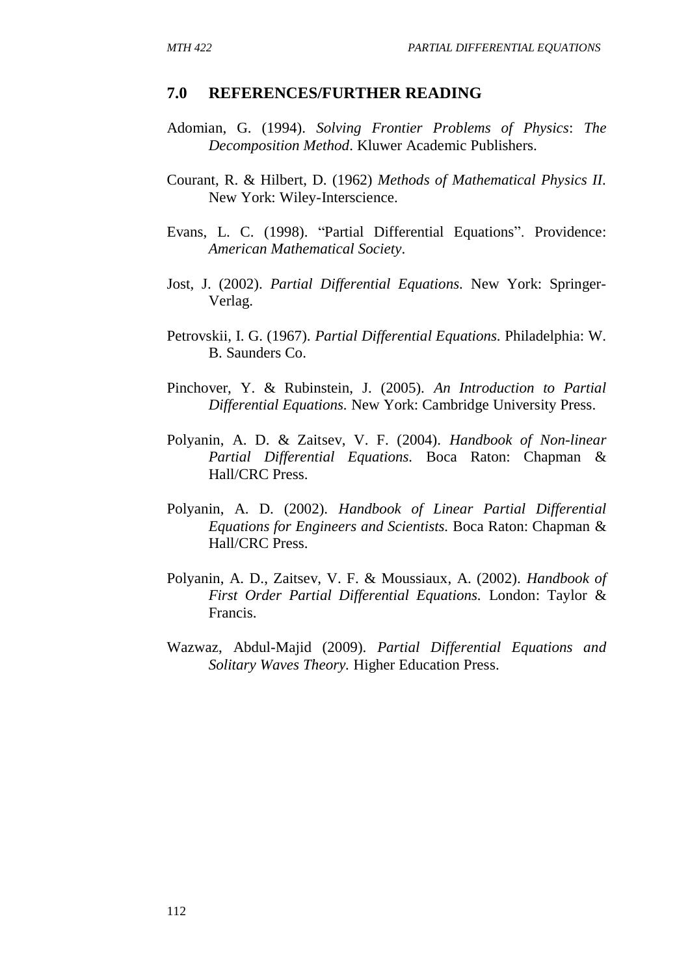#### **7.0 REFERENCES/FURTHER READING**

- Adomian, G. (1994). *Solving Frontier Problems of Physics*: *The Decomposition Method*. Kluwer Academic Publishers.
- Courant, R. & Hilbert, D. (1962) *Methods of Mathematical Physics II.* New York: Wiley-Interscience.
- Evans, L. C. (1998). "Partial Differential Equations". Providence: *American Mathematical Society*.
- Jost, J. (2002). *Partial Differential Equations.* New York: Springer-Verlag.
- Petrovskii, I. G. (1967). *Partial Differential Equations.* Philadelphia: W. B. Saunders Co.
- Pinchover, Y. & Rubinstein, J. (2005). *An Introduction to Partial Differential Equations.* New York: Cambridge University Press.
- Polyanin, A. D. & Zaitsev, V. F. (2004). *Handbook of Non-linear Partial Differential Equations.* Boca Raton: Chapman & Hall/CRC Press.
- Polyanin, A. D. (2002). *Handbook of Linear Partial Differential Equations for Engineers and Scientists.* Boca Raton: Chapman & Hall/CRC Press.
- Polyanin, A. D., Zaitsev, V. F. & Moussiaux, A. (2002). *Handbook of First Order Partial Differential Equations.* London: Taylor & Francis.
- Wazwaz, Abdul-Majid (2009). *Partial Differential Equations and Solitary Waves Theory.* Higher Education Press.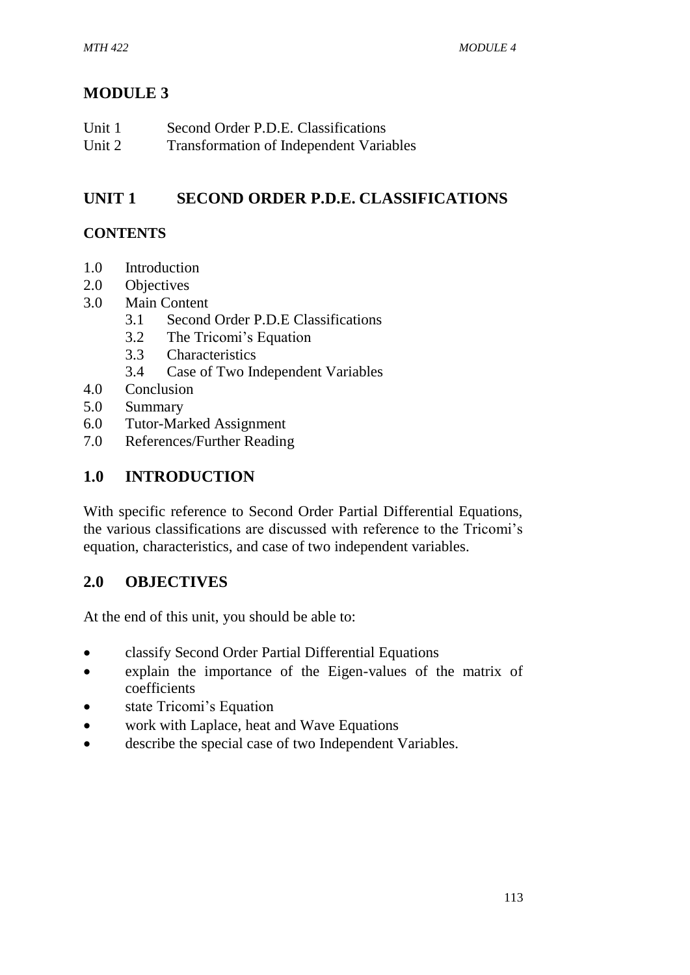# **MODULE 3**

| Unit 1 | Second Order P.D.E. Classifications            |
|--------|------------------------------------------------|
| Unit 2 | <b>Transformation of Independent Variables</b> |

# **UNIT 1 SECOND ORDER P.D.E. CLASSIFICATIONS**

# **CONTENTS**

- 1.0 Introduction
- 2.0 Objectives
- 3.0 Main Content
	- 3.1 Second Order P.D.E Classifications
	- 3.2 The Tricomi's Equation
	- 3.3 Characteristics
	- 3.4 Case of Two Independent Variables
- 4.0 Conclusion
- 5.0 Summary
- 6.0 Tutor-Marked Assignment
- 7.0 References/Further Reading

# **1.0 INTRODUCTION**

With specific reference to Second Order Partial Differential Equations, the various classifications are discussed with reference to the Tricomi's equation, characteristics, and case of two independent variables.

# **2.0 OBJECTIVES**

At the end of this unit, you should be able to:

- classify Second Order Partial Differential Equations
- explain the importance of the Eigen-values of the matrix of coefficients
- state Tricomi's Equation
- work with Laplace, heat and Wave Equations
- describe the special case of two Independent Variables.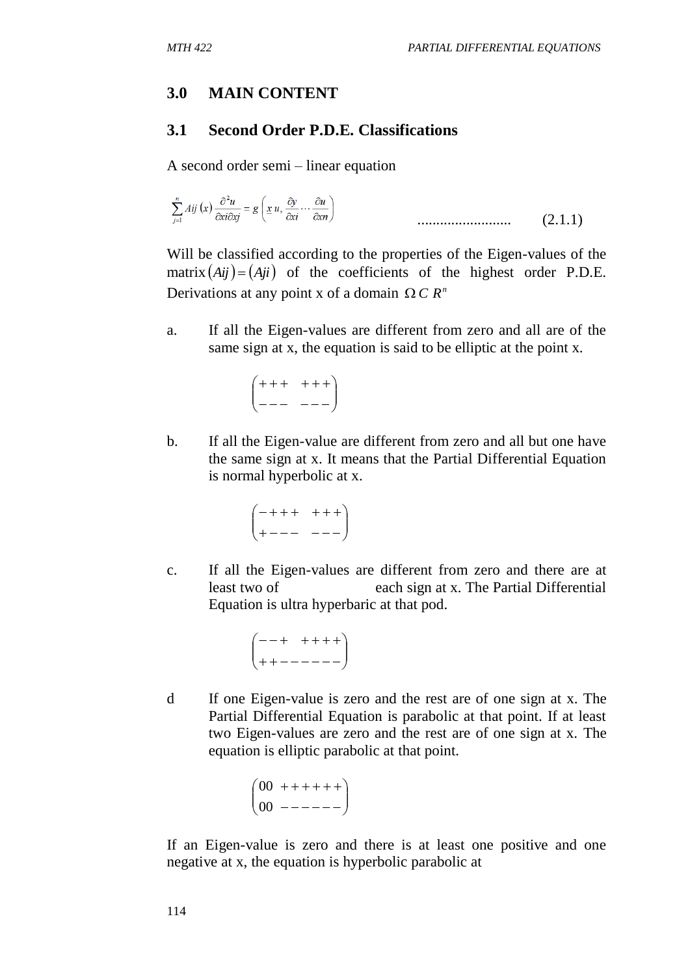## **3.0 MAIN CONTENT**

## **3.1 Second Order P.D.E. Classifications**

A second order semi – linear equation

......................... (2.1.1)

Will be classified according to the properties of the Eigen-values of the matrix  $(Aij) = (Aji)$  of the coefficients of the highest order P.D.E. Derivations at any point x of a domain  $\Omega C R^n$ 

a. If all the Eigen-values are different from zero and all are of the same sign at x, the equation is said to be elliptic at the point x.

$$
\begin{pmatrix} +++&+++\\ --&---\end{pmatrix}
$$

b. If all the Eigen-value are different from zero and all but one have the same sign at x. It means that the Partial Differential Equation is normal hyperbolic at x.

$$
\begin{pmatrix} -++&++\\ +--&-- \end{pmatrix}
$$

c. If all the Eigen-values are different from zero and there are at least two of each sign at x. The Partial Differential Equation is ultra hyperbaric at that pod.

$$
\begin{pmatrix}--+&+++\\ +&-&-----\end{pmatrix}
$$

d If one Eigen-value is zero and the rest are of one sign at x. The Partial Differential Equation is parabolic at that point. If at least two Eigen-values are zero and the rest are of one sign at x. The equation is elliptic parabolic at that point.

$$
\begin{pmatrix} 00 & +++-+ \\ 00 & ----- \end{pmatrix}
$$

If an Eigen-value is zero and there is at least one positive and one negative at x, the equation is hyperbolic parabolic at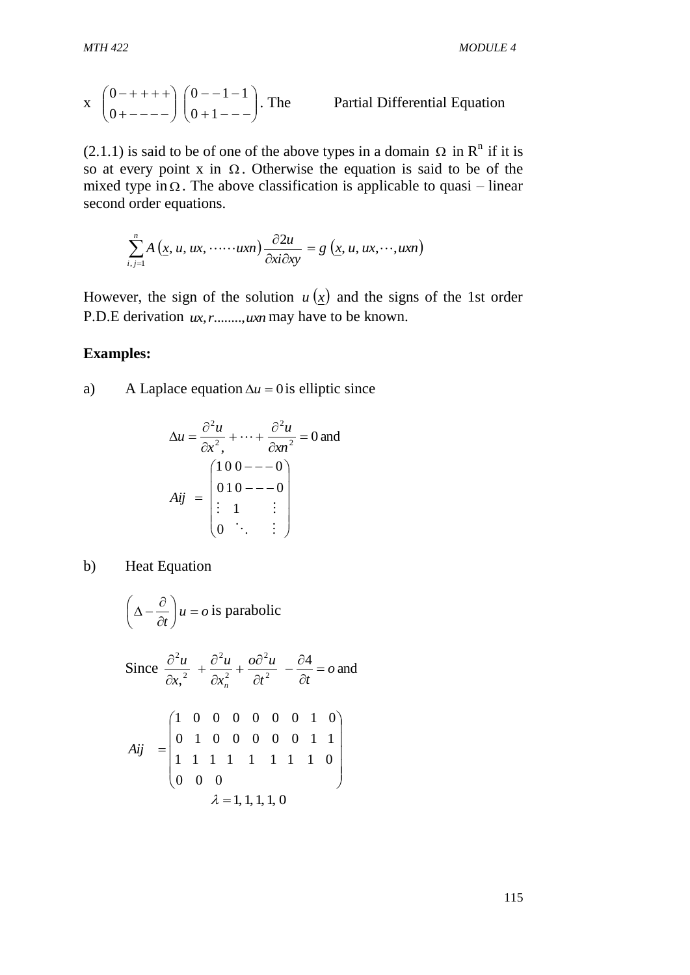x 
$$
\begin{pmatrix} 0 - + + + + \\ 0 + - - - \end{pmatrix} \begin{pmatrix} 0 - -1 - 1 \\ 0 + 1 - - \end{pmatrix}
$$
. The Partial Differential Equation

 $(2.1.1)$  is said to be of one of the above types in a domain  $\Omega$  in R<sup>n</sup> if it is so at every point x in  $\Omega$ . Otherwise the equation is said to be of the mixed type in  $\Omega$ . The above classification is applicable to quasi – linear second order equations.

$$
\sum_{i,j=1}^n A\left(\underline{x}, u, ux, \cdots \cdots uxn\right) \frac{\partial 2u}{\partial x i \partial x y} = g\left(\underline{x}, u, ux, \cdots, uxn\right)
$$

However, the sign of the solution  $u(x)$  and the signs of the 1st order P.D.E derivation *ux*,*r*........,*uxn* may have to be known.

## **Examples:**

a) A Laplace equation  $\Delta u = 0$  is elliptic since

$$
\Delta u = \frac{\partial^2 u}{\partial x^2} + \dots + \frac{\partial^2 u}{\partial x^n} = 0 \text{ and}
$$
  

$$
Aij = \begin{pmatrix} 100 - -0 \\ 010 - -0 \\ \vdots \\ 1 & \vdots \\ 0 & \ddots & \vdots \end{pmatrix}
$$

b) Heat Equation

$$
\left(\Delta - \frac{\partial}{\partial t}\right)u = o \text{ is parabolic}
$$

Since 
$$
\frac{\partial^2 u}{\partial x_1^2} + \frac{\partial^2 u}{\partial x_1^2} + \frac{\partial \partial^2 u}{\partial t^2} - \frac{\partial^2 u}{\partial t} = o \text{ and}
$$
  

$$
Aij = \begin{pmatrix} 1 & 0 & 0 & 0 & 0 & 0 & 1 & 0 \\ 0 & 1 & 0 & 0 & 0 & 0 & 1 & 1 \\ 1 & 1 & 1 & 1 & 1 & 1 & 1 & 0 \\ 0 & 0 & 0 & & & & \\ 0 & 0 & 0 & & & & \end{pmatrix}
$$
  
 $\lambda = 1, 1, 1, 1, 0$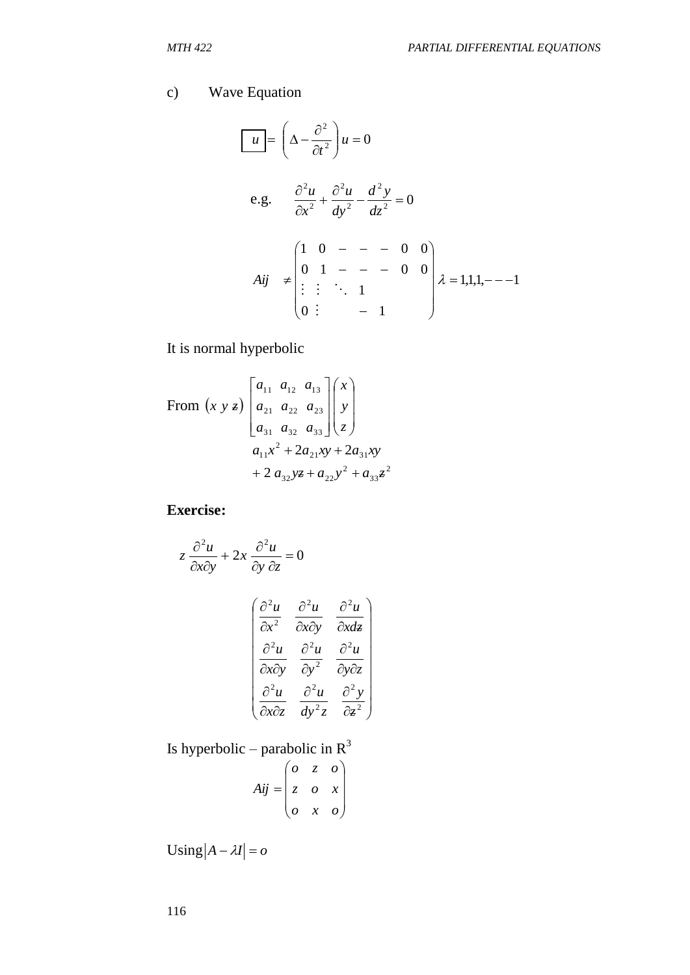# c) Wave Equation

$$
\begin{bmatrix}\n u \\
 \overline{u} \\
 \overline{u}\n \end{bmatrix} =\n \begin{bmatrix}\n \Delta - \frac{\partial^2}{\partial t^2} \\
 \frac{\partial^2 u}{\partial x^2} + \frac{\partial^2 u}{\partial y^2} - \frac{d^2 y}{dz^2} = 0\n \end{bmatrix}
$$
\n  
\n*Aij*  $\neq$ \n
$$
\begin{bmatrix}\n 1 & 0 & - & - & 0 & 0 \\
 0 & 1 & - & - & 0 & 0 \\
 \vdots & \vdots & \ddots & 1 & \\
 0 & \vdots & & - & 1\n \end{bmatrix}
$$
\n*λ* = 1,1,1,- - -1

It is normal hyperbolic

From 
$$
(x \ y \ z)
$$

$$
\begin{bmatrix} a_{11} & a_{12} & a_{13} \ a_{21} & a_{22} & a_{23} \ a_{31} & a_{32} & a_{33} \end{bmatrix} \begin{bmatrix} x \ y \ z \end{bmatrix}
$$

$$
a_{11}x^2 + 2a_{21}xy + 2a_{31}xy + 2a_{32}yz + a_{22}y^2 + a_{33}z^2
$$

**Exercise:**

 $\partial$ 

$$
z \frac{\partial^2 u}{\partial x \partial y} + 2x \frac{\partial^2 u}{\partial y \partial z} = 0
$$

$$
\begin{pmatrix} \frac{\partial^2 u}{\partial x^2} & \frac{\partial^2 u}{\partial x \partial y} & \frac{\partial^2 u}{\partial x \partial z} \\ \frac{\partial^2 u}{\partial x \partial y} & \frac{\partial^2 u}{\partial y^2} & \frac{\partial^2 u}{\partial y \partial z} \\ \frac{\partial^2 u}{\partial x \partial z} & \frac{\partial^2 u}{\partial y^2} & \frac{\partial^2 y}{\partial z^2} \end{pmatrix}
$$

Is hyperbolic – parabolic in  $R^3$ 

$$
Aij = \begin{pmatrix} 0 & z & o \\ z & o & x \\ o & x & o \end{pmatrix}
$$

 $\text{Using } |A - \lambda I| = o$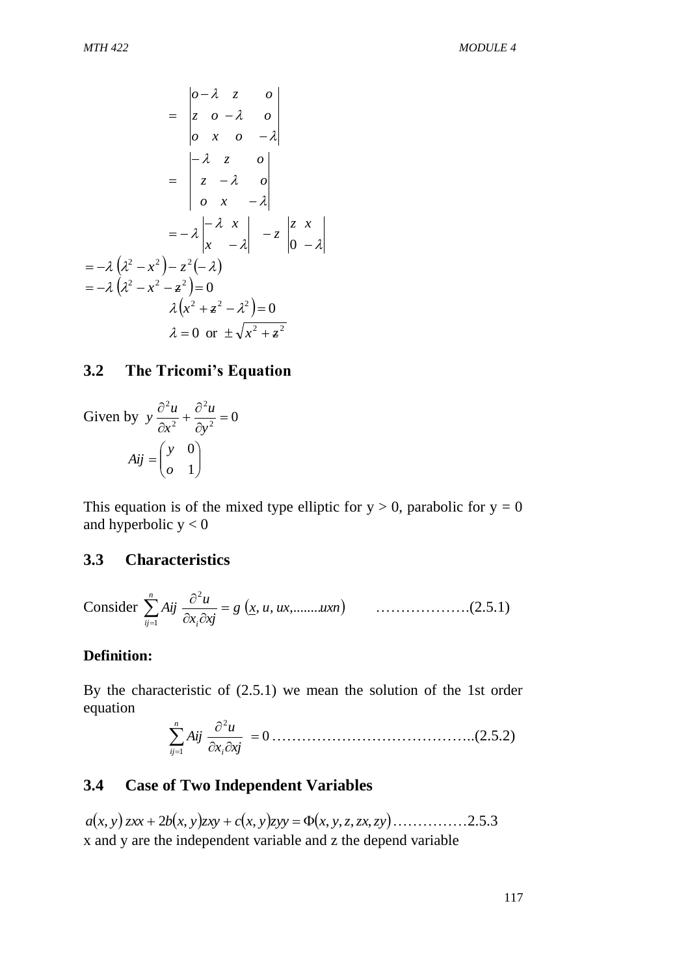$$
= \begin{vmatrix} 0 - \lambda & z & 0 \\ z & 0 - \lambda & 0 \\ 0 & x & 0 & -\lambda \end{vmatrix}
$$

$$
= \begin{vmatrix} -\lambda & z & 0 \\ z & -\lambda & 0 \\ 0 & x & -\lambda \end{vmatrix}
$$

$$
= -\lambda \begin{vmatrix} -\lambda & x \\ x & -\lambda \end{vmatrix} - z \begin{vmatrix} z & x \\ 0 & -\lambda \end{vmatrix}
$$

$$
= -\lambda (\lambda^2 - x^2) - z^2(-\lambda)
$$

$$
= -\lambda (\lambda^2 - x^2 - z^2) = 0
$$

$$
\lambda (x^2 + z^2 - \lambda^2) = 0
$$

$$
\lambda = 0 \text{ or } \pm \sqrt{x^2 + z^2}
$$

## **3.2 The Tricomi's Equation**

Given by 
$$
y \frac{\partial^2 u}{\partial x^2} + \frac{\partial^2 u}{\partial y^2} = 0
$$
  

$$
Aij = \begin{pmatrix} y & 0 \\ 0 & 1 \end{pmatrix}
$$

This equation is of the mixed type elliptic for  $y > 0$ , parabolic for  $y = 0$ and hyperbolic  $y < 0$ 

#### **3.3 Characteristics**

Consider 
$$
\sum_{i,j=1}^{n} A_{ij} \frac{\partial^2 u}{\partial x_i \partial x_j} = g(x, u, ux, \dots, ux, n)
$$
 (2.5.1)

#### **Definition:**

By the characteristic of (2.5.1) we mean the solution of the 1st order equation  $\overline{\phantom{a}}$ 

0 1 *<sup>x</sup> xj u Aij i n ij* …………………………………..(2.5.2)

# **3.4 Case of Two Independent Variables**

 $a(x, y)$  *zxx* + 2*b* $(x, y)$ *zxy* + *c* $(x, y)$ *zyy* =  $\Phi(x, y, z, zx, zy)$  .................2.5.3 x and y are the independent variable and z the depend variable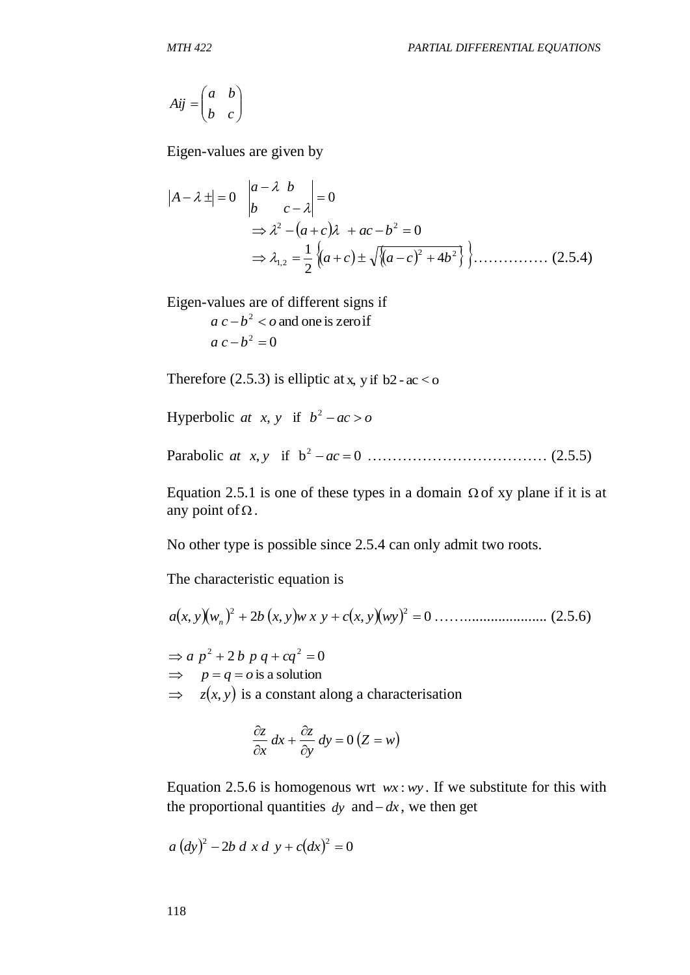$$
Aij = \begin{pmatrix} a & b \\ b & c \end{pmatrix}
$$

Eigen-values are given by

$$
|A - \lambda \pm| = 0 \quad \begin{vmatrix} a - \lambda & b \\ b & c - \lambda \end{vmatrix} = 0
$$
  
\n
$$
\Rightarrow \lambda^2 - (a + c)\lambda + ac - b^2 = 0
$$
  
\n
$$
\Rightarrow \lambda_{1,2} = \frac{1}{2} \left\{ (a + c) \pm \sqrt{(a - c)^2 + 4b^2} \right\} \dots
$$
 (2.5.4)

```
Eigen-values are of different signs if
```
 $a c - b^2 < o$  and one is zero if  $a c - b^2 = 0$ 

Therefore  $(2.5.3)$  is elliptic at x, y if b2 - ac < o

Hyperbolic at *x*, *y* if  $b^2 - ac > 0$ 

Parabolic , if b 0 2 *at x y ac* ……………………………… (2.5.5)

Equation 2.5.1 is one of these types in a domain  $\Omega$  of xy plane if it is at any point of  $\Omega$ .

No other type is possible since 2.5.4 can only admit two roots.

The characteristic equation is

 , 2 , , 0 2 2 *a x y w<sup>n</sup> b x y w x y c x y wy* ……...................... (2.5.6)

 $\Rightarrow$  *a*  $p^2 + 2b$  *p*  $q + cq^2 = 0$  $\implies$  *p* = *q* = *o* is a solution  $\Rightarrow z(x, y)$  is a constant along a characterisation

$$
\frac{\partial z}{\partial x} dx + \frac{\partial z}{\partial y} dy = 0 (Z = w)
$$

Equation 2.5.6 is homogenous wrt  $wx: wy$ . If we substitute for this with the proportional quantities  $dy$  and  $-dx$ , we then get

$$
a (dy)^{2} - 2b d x d y + c (dx)^{2} = 0
$$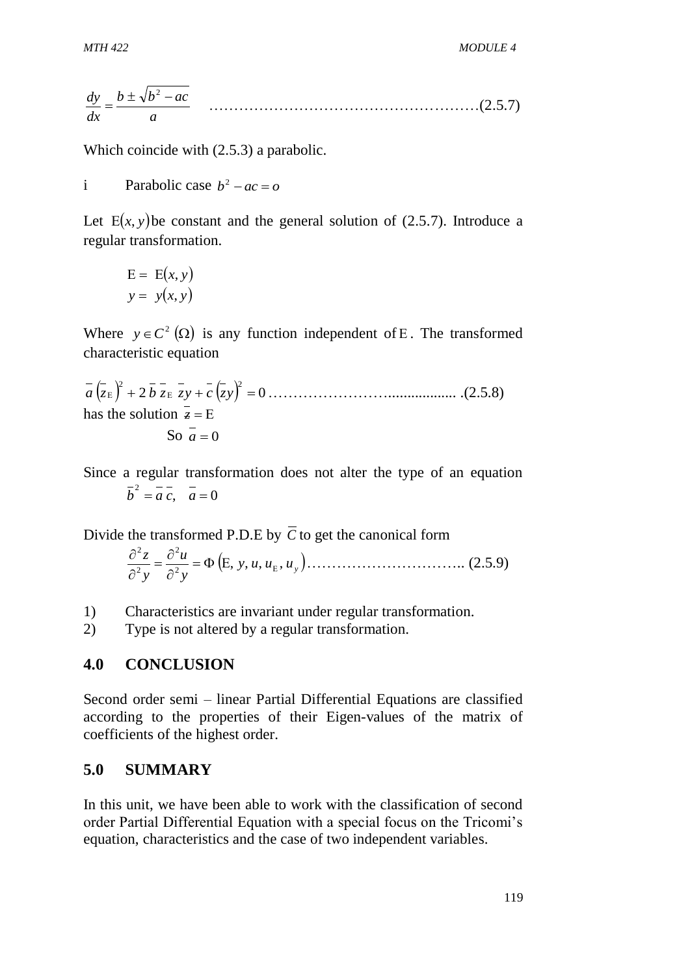$$
\frac{dy}{dx} = \frac{b \pm \sqrt{b^2 - ac}}{a} \qquad \qquad (2.5.7)
$$

Which coincide with (2.5.3) a parabolic.

i Parabolic case  $b^2 - ac = 0$ 

Let  $E(x, y)$  be constant and the general solution of (2.5.7). Introduce a regular transformation.

$$
E = E(x, y)
$$
  

$$
y = y(x, y)
$$

Where  $y \in C^2(\Omega)$  is any function independent of E. The transformed characteristic equation

 2 0 2 2 *a z b z zy c zy* …………………….................. .(2.5.8) has the solution  $z = E$ So  $a=0$ 

Since a regular transformation does not alter the type of an equation  $\overline{b}^2 = \overline{a} \ \overline{c}, \ \ \overline{a} = 0$ 

Divide the transformed P.D.E by *C* to get the canonical form

$$
\frac{\partial^2 z}{\partial^2 y} = \frac{\partial^2 u}{\partial^2 y} = \Phi\left(E, y, u, u_E, u_y\right) \dots \dots \dots \dots \dots \dots \dots \dots \dots \dots \dots \dots \tag{2.5.9}
$$

1) Characteristics are invariant under regular transformation.

2) Type is not altered by a regular transformation.

# **4.0 CONCLUSION**

Second order semi – linear Partial Differential Equations are classified according to the properties of their Eigen-values of the matrix of coefficients of the highest order.

# **5.0 SUMMARY**

In this unit, we have been able to work with the classification of second order Partial Differential Equation with a special focus on the Tricomi's equation, characteristics and the case of two independent variables.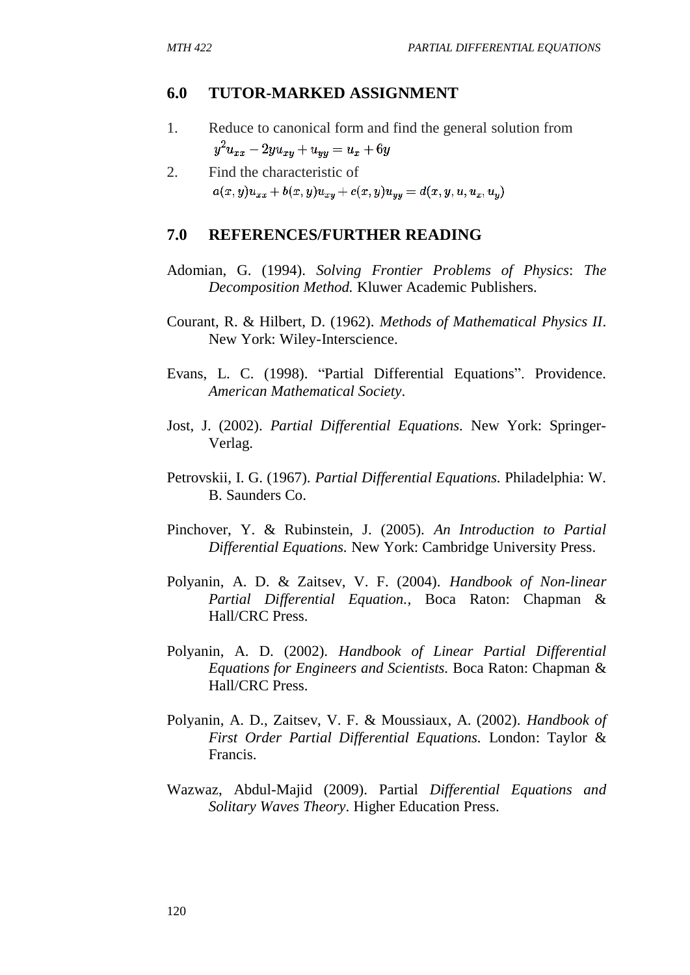## **6.0 TUTOR-MARKED ASSIGNMENT**

- 1. Reduce to canonical form and find the general solution from  $y^2u_{xx} - 2yu_{xy} + u_{yy} = u_x + 6y$
- 2. Find the characteristic of  $a(x, y)u_{xx} + b(x, y)u_{xy} + c(x, y)u_{yy} = d(x, y, u, u_x, u_y)$

## **7.0 REFERENCES/FURTHER READING**

- Adomian, G. (1994). *Solving Frontier Problems of Physics*: *The Decomposition Method.* Kluwer Academic Publishers.
- Courant, R. & Hilbert, D. (1962). *Methods of Mathematical Physics II*. New York: Wiley-Interscience.
- Evans, L. C. (1998). "Partial Differential Equations". Providence. *American Mathematical Society*.
- Jost, J. (2002). *Partial Differential Equations.* New York: Springer-Verlag.
- Petrovskii, I. G. (1967). *Partial Differential Equations.* Philadelphia: W. B. Saunders Co.
- Pinchover, Y. & Rubinstein, J. (2005). *An Introduction to Partial Differential Equations.* New York: Cambridge University Press.
- Polyanin, A. D. & Zaitsev, V. F. (2004). *Handbook of Non-linear Partial Differential Equation.,* Boca Raton: Chapman & Hall/CRC Press.
- Polyanin, A. D. (2002). *Handbook of Linear Partial Differential Equations for Engineers and Scientists.* Boca Raton: Chapman & Hall/CRC Press.
- Polyanin, A. D., Zaitsev, V. F. & Moussiaux, A. (2002). *Handbook of First Order Partial Differential Equations.* London: Taylor & Francis.
- Wazwaz, Abdul-Majid (2009). Partial *Differential Equations and Solitary Waves Theory*. Higher Education Press.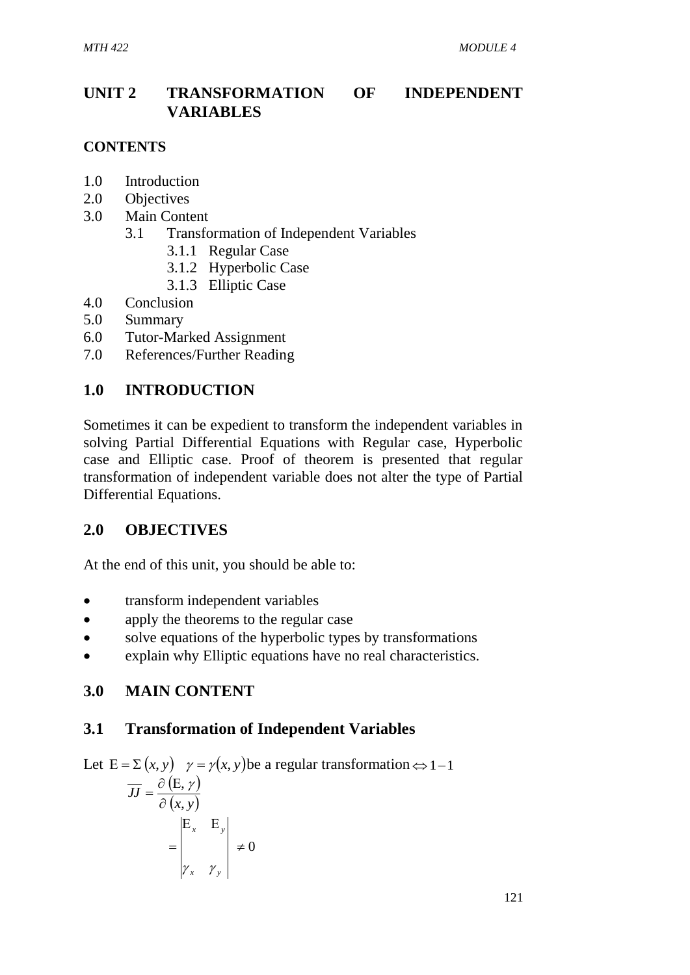# **UNIT 2 TRANSFORMATION OF INDEPENDENT VARIABLES**

## **CONTENTS**

- 1.0 Introduction
- 2.0 Objectives
- 3.0 Main Content
	- 3.1 Transformation of Independent Variables
		- 3.1.1 Regular Case
		- 3.1.2 Hyperbolic Case
		- 3.1.3 Elliptic Case
- 4.0 Conclusion
- 5.0 Summary
- 6.0 Tutor-Marked Assignment
- 7.0 References/Further Reading

# **1.0 INTRODUCTION**

Sometimes it can be expedient to transform the independent variables in solving Partial Differential Equations with Regular case, Hyperbolic case and Elliptic case. Proof of theorem is presented that regular transformation of independent variable does not alter the type of Partial Differential Equations.

# **2.0 OBJECTIVES**

At the end of this unit, you should be able to:

- transform independent variables
- apply the theorems to the regular case
- solve equations of the hyperbolic types by transformations
- explain why Elliptic equations have no real characteristics.

# **3.0 MAIN CONTENT**

# **3.1 Transformation of Independent Variables**

Let  $E = \sum (x, y)$   $\gamma = \gamma(x, y)$  be a regular transformation  $\Leftrightarrow$  1-1  $(E, \gamma)$  $(x, y)$ *JJ* .<br>, ,  $\partial$  $=\frac{\partial (E,\gamma)}{\gamma}$  $\neq 0$  $E_r$   $E$  $=$ *x y*  $x \sim y$  $\mathcal{Y}_x$  Y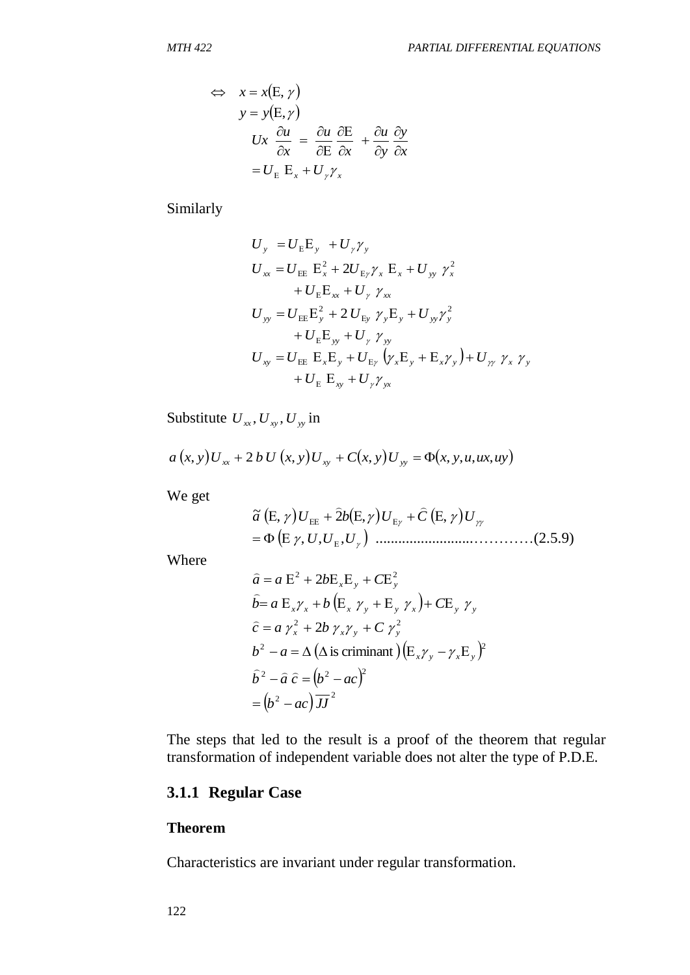122 , *x x* , *y y x y y u x u x u Ux U <sup>x</sup> U <sup>x</sup>* 

Similarly

$$
U_{y} = U_{E}E_{y} + U_{\gamma}\gamma_{y}
$$
  
\n
$$
U_{xx} = U_{EE} E_{x}^{2} + 2U_{E\gamma}\gamma_{x} E_{x} + U_{yy} \gamma_{x}^{2}
$$
  
\n
$$
+ U_{E}E_{xx} + U_{\gamma} \gamma_{xx}
$$
  
\n
$$
U_{yy} = U_{EE}E_{y}^{2} + 2U_{Ey} \gamma_{y}E_{y} + U_{yy}\gamma_{y}^{2}
$$
  
\n
$$
+ U_{E}E_{yy} + U_{\gamma} \gamma_{yy}
$$
  
\n
$$
U_{xy} = U_{EE} E_{x}E_{y} + U_{E\gamma} (\gamma_{x}E_{y} + E_{x}\gamma_{y}) + U_{\gamma\gamma} \gamma_{x} \gamma_{y}
$$
  
\n
$$
+ U_{E} E_{xy} + U_{\gamma}\gamma_{yx}
$$

Substitute  $U_{xx}$ ,  $U_{xy}$ ,  $U_{yy}$  in

$$
a(x, y)U_{xx} + 2 b U(x, y)U_{xy} + C(x, y)U_{yy} = \Phi(x, y, u, ux, uy)
$$

We get

 *a* , *U* 2*b* , *U C* , *U* <sup>~</sup> ,*U*,*U* ,*U* ..........................…………(2.5.9)

Where

$$
\hat{a} = a \mathbf{E}^2 + 2b \mathbf{E}_x \mathbf{E}_y + C \mathbf{E}_y^2
$$
\n
$$
\hat{b} = a \mathbf{E}_x \gamma_x + b (\mathbf{E}_x \gamma_y + \mathbf{E}_y \gamma_x) + C \mathbf{E}_y \gamma_y
$$
\n
$$
\hat{c} = a \gamma_x^2 + 2b \gamma_x \gamma_y + C \gamma_y^2
$$
\n
$$
b^2 - a = \Delta (\Delta \text{ is criminal}) (\mathbf{E}_x \gamma_y - \gamma_x \mathbf{E}_y)^2
$$
\n
$$
\hat{b}^2 - \hat{a} \hat{c} = (b^2 - ac)^2
$$
\n
$$
= (b^2 - ac) \overline{JJ}^2
$$

The steps that led to the result is a proof of the theorem that regular transformation of independent variable does not alter the type of P.D.E.

## **3.1.1 Regular Case**

#### **Theorem**

Characteristics are invariant under regular transformation.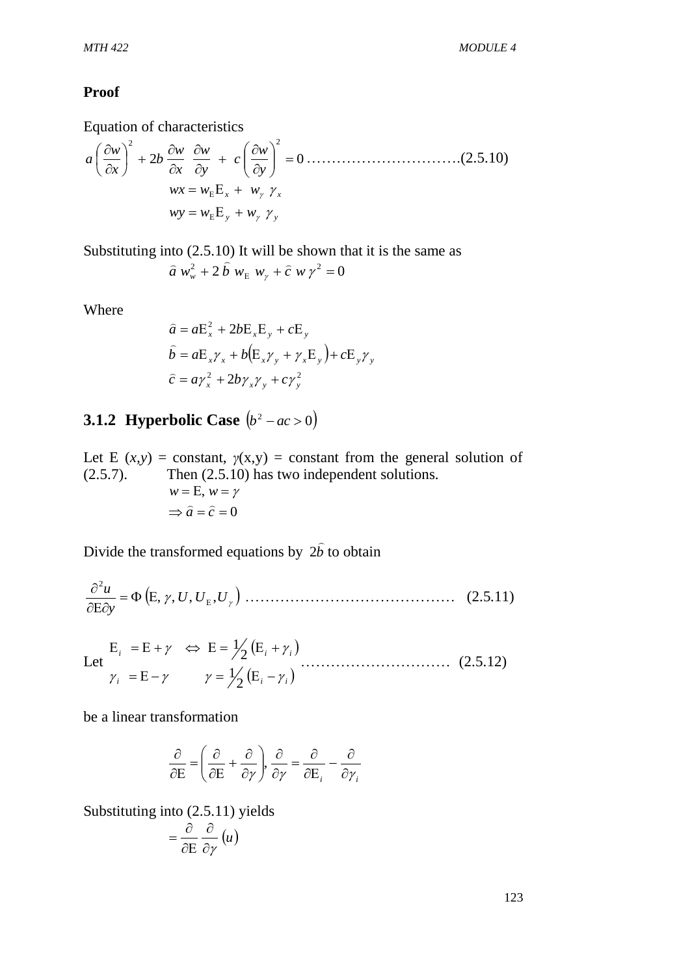#### **Proof**

Equation of characteristics

2 0 2 2 *y w c y w x w b x w a* ………………………….(2.5.10) *y y wy w w x x wx w w* 

Substituting into (2.5.10) It will be shown that it is the same as

$$
\hat{a} w_w^2 + 2 \hat{b} w_E w_y + \hat{c} w y^2 = 0
$$

Where

$$
\hat{a} = aE_x^2 + 2bE_xE_y + cE_y
$$
  

$$
\hat{b} = aE_x\gamma_x + b(E_x\gamma_y + \gamma_xE_y) + cE_y\gamma_y
$$
  

$$
\hat{c} = a\gamma_x^2 + 2b\gamma_x\gamma_y + c\gamma_y^2
$$

#### **3.1.2 Hyperbolic Case**  $(b^2 - ac > 0)$

Let E  $(x, y)$  = constant,  $y(x, y)$  = constant from the general solution of (2.5.7). Then (2.5.10) has two independent solutions.  $\Rightarrow \hat{a} = \hat{c} = 0$  $w = E, w = \gamma$ 

Divide the transformed equations by *b*  $\overline{a}$ 2*b* to obtain

 $(E, \gamma, U, U_{E}, U_{\gamma})$ *y*  $\frac{u}{\epsilon} = \Phi(E, \gamma, U, U_{\rm E},$ 2  $\frac{\partial u}{\partial E \partial y} = \Phi(E, \gamma, U, U_E)$ …………………………………… (2.5.11)

Let  $(E_i + \gamma_i)$  $\gamma_i$  = E -  $\gamma$   $\gamma$  =  $\frac{1}{2}$  (E<sub>i</sub> -  $\gamma_i$ )  $i \leftarrow \mu + \gamma \iff \mu - \gamma_2 \mu_i + \gamma_i$  $\gamma_i = E - \gamma$   $\gamma = \gamma_2 (E_i - \gamma)$  $\gamma \Leftrightarrow E = \gamma_2 (E_i + \gamma)$  $= E - \gamma$   $\gamma = \frac{1}{2} (E_i E_i = E + \gamma \Leftrightarrow E = \frac{1}{2} (E_i +$ 2 1 2 1 ………………………… (2.5.12)

be a linear transformation

$$
\frac{\partial}{\partial E} = \left(\frac{\partial}{\partial E} + \frac{\partial}{\partial \gamma}\right), \frac{\partial}{\partial \gamma} = \frac{\partial}{\partial E_i} - \frac{\partial}{\partial \gamma_i}
$$

Substituting into (2.5.11) yields

$$
=\frac{\partial}{\partial E}\frac{\partial}{\partial \gamma}(u)
$$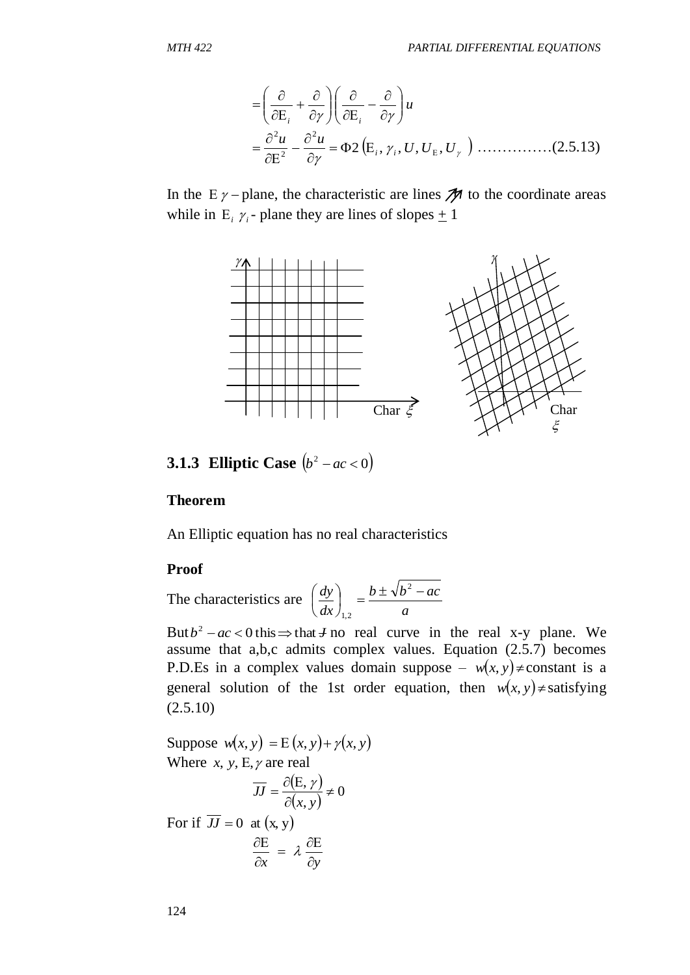$$
= \left(\frac{\partial}{\partial E_i} + \frac{\partial}{\partial \gamma}\right) \left(\frac{\partial}{\partial E_i} - \frac{\partial}{\partial \gamma}\right) u
$$
  
=  $\frac{\partial^2 u}{\partial E^2} - \frac{\partial^2 u}{\partial \gamma} = \Phi 2 (E_i, \gamma_i, U, U_E, U_\gamma)$  ....... (2.5.13)

In the  $E \gamma$  – plane, the characteristic are lines  $\mathcal{M}$  to the coordinate areas while in  $E_i \gamma_i$ - plane they are lines of slopes  $\pm 1$ 



**3.1.3 Elliptic Case**  $(b^2 - ac < 0)$ 

#### **Theorem**

An Elliptic equation has no real characteristics

#### **Proof**

The characteristics are *a*  $b \pm \sqrt{b^2 - ac}$ *dx*  $\left(\frac{dy}{dx}\right) = \frac{b \pm \sqrt{b^2 - 1}}{2}$ J  $\left(\frac{dy}{dx}\right)$  $\setminus$  $\left(\begin{array}{c}dy\end{array}\right)$   $b \pm \sqrt{b^2}$ 1,2

But  $b^2 - ac < 0$  this  $\Rightarrow$  that *J* no real curve in the real x-y plane. We assume that a,b,c admits complex values. Equation (2.5.7) becomes P.D.Es in a complex values domain suppose –  $w(x, y) \neq constant$  is a general solution of the 1st order equation, then  $w(x, y) \neq$  satisfying  $(2.5.10)$ 

Suppose  $w(x, y) = E(x, y) + \gamma(x, y)$ Where  $x, y, E, \gamma$  are real

$$
\overline{JJ} = \frac{\partial(E, \gamma)}{\partial(x, y)} \neq 0
$$

For if  $JJ = 0$  at  $(x, y)$ 

$$
\frac{\partial E}{\partial x} = \lambda \frac{\partial E}{\partial y}
$$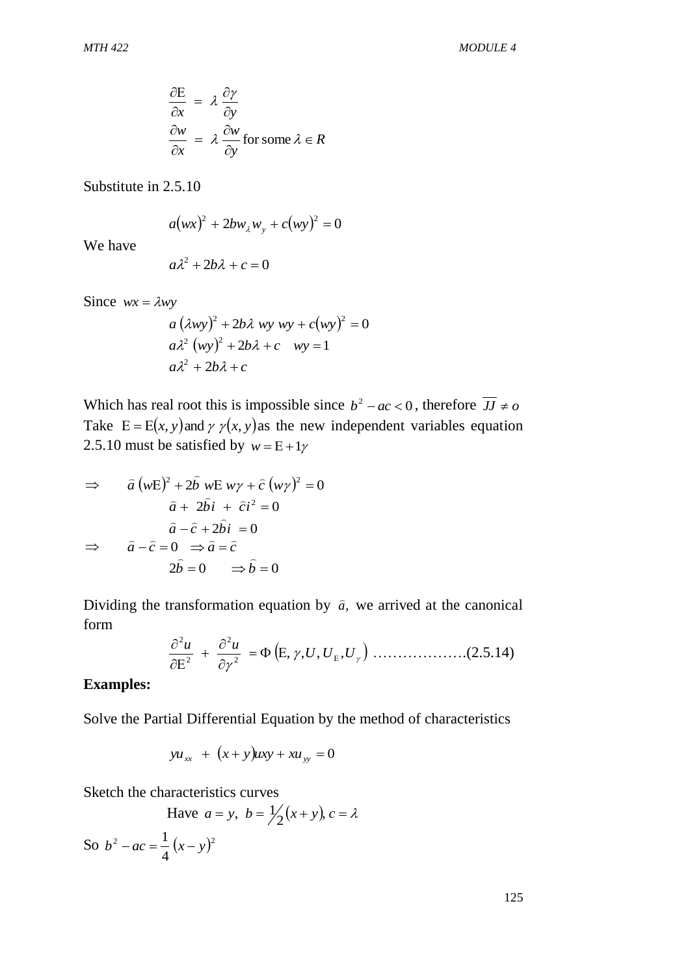$$
\frac{\partial E}{\partial x} = \lambda \frac{\partial \gamma}{\partial y}
$$
  

$$
\frac{\partial w}{\partial x} = \lambda \frac{\partial w}{\partial y} \text{ for some } \lambda \in R
$$

Substitute in 2.5.10

$$
a(wx)^2 + 2bw_xw_y + c(wy)^2 = 0
$$

We have

$$
a\lambda^2 + 2b\lambda + c = 0
$$

Since  $wx = \lambda wy$ 

$$
a (\lambda wy)^{2} + 2b\lambda wy wy + c(wy)^{2} = 0
$$
  
\n
$$
a\lambda^{2} (wy)^{2} + 2b\lambda + c wy = 1
$$
  
\n
$$
a\lambda^{2} + 2b\lambda + c
$$

Which has real root this is impossible since  $b^2 - ac < 0$ , therefore  $\overline{JJ} \neq o$ Take  $E = E(x, y)$  and  $\gamma \gamma(x, y)$  as the new independent variables equation 2.5.10 must be satisfied by  $w = E + 1\gamma$ 

$$
\Rightarrow \hat{a}(wE)^2 + 2\hat{b} \ wE \ w\gamma + \hat{c}(w\gamma)^2 = 0
$$

$$
\hat{a} + 2\hat{b}i + \hat{c}i^2 = 0
$$

$$
\hat{a} - \hat{c} + 2\hat{b}i = 0
$$

$$
\Rightarrow \hat{a} - \hat{c} = 0 \Rightarrow \hat{a} = \hat{c}
$$

$$
2\hat{b} = 0 \Rightarrow \hat{b} = 0
$$

Dividing the transformation equation by  $\hat{a}$ , we arrived at the canonical form

$$
\frac{\partial^2 u}{\partial E^2} + \frac{\partial^2 u}{\partial \gamma^2} = \Phi(E, \gamma, U, U_E, U_\gamma)
$$
.................(2.5.14)

#### **Examples:**

Solve the Partial Differential Equation by the method of characteristics

$$
yu_{xx}
$$
 +  $(x+y)uxy + xu_{yy} = 0$ 

Sketch the characteristics curves

4

$$
\text{Have } a = y, \ b = \frac{1}{2}(x+y), \ c = \lambda
$$
\n
$$
\text{So } b^2 - ac = \frac{1}{2}(x-y)^2
$$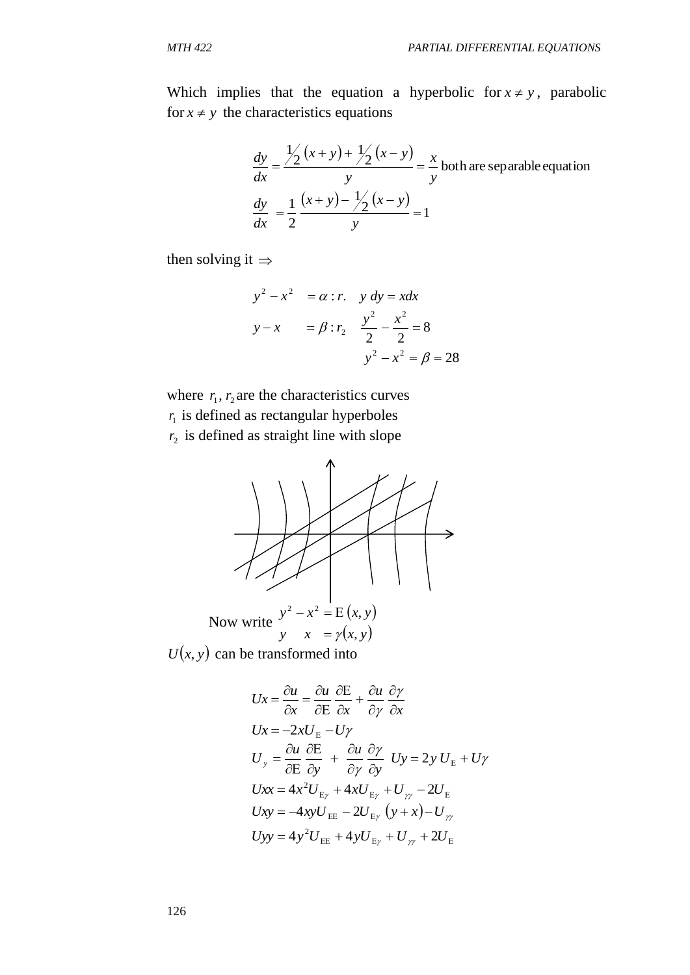Which implies that the equation a hyperbolic for  $x \neq y$ , parabolic for  $x \neq y$  the characteristics equations

$$
\frac{dy}{dx} = \frac{\frac{1}{2}(x+y) + \frac{1}{2}(x-y)}{y} = \frac{x}{y} \text{ both are separable equation}
$$
  

$$
\frac{dy}{dx} = \frac{1}{2} \frac{(x+y) - \frac{1}{2}(x-y)}{y} = 1
$$

then solving it  $\Rightarrow$ 

$$
y^{2} - x^{2} = \alpha : r. \quad y \, dy = x dx
$$
  

$$
y - x = \beta : r_{2} \quad \frac{y^{2}}{2} - \frac{x^{2}}{2} = 8
$$
  

$$
y^{2} - x^{2} = \beta = 28
$$

where  $r_1$ ,  $r_2$  are the characteristics curves  $r_1$  is defined as rectangular hyperboles  $r_2$  is defined as straight line with slope



 $U(x, y)$  can be transformed into

$$
Ux = \frac{\partial u}{\partial x} = \frac{\partial u}{\partial E} \frac{\partial E}{\partial x} + \frac{\partial u}{\partial y} \frac{\partial y}{\partial x}
$$
  
\n
$$
Ux = -2xU_E - Uy
$$
  
\n
$$
U_y = \frac{\partial u}{\partial E} \frac{\partial E}{\partial y} + \frac{\partial u}{\partial y} \frac{\partial y}{\partial y} \quad Uy = 2y U_E + Uy
$$
  
\n
$$
Uxx = 4x^2 U_{E_y} + 4xU_{E_y} + U_{yy} - 2U_E
$$
  
\n
$$
Uxy = -4xyU_{EE} - 2U_{E_y} (y + x) - U_{yy}
$$
  
\n
$$
Uyy = 4y^2 U_{EE} + 4yU_{E_y} + U_{yy} + 2U_E
$$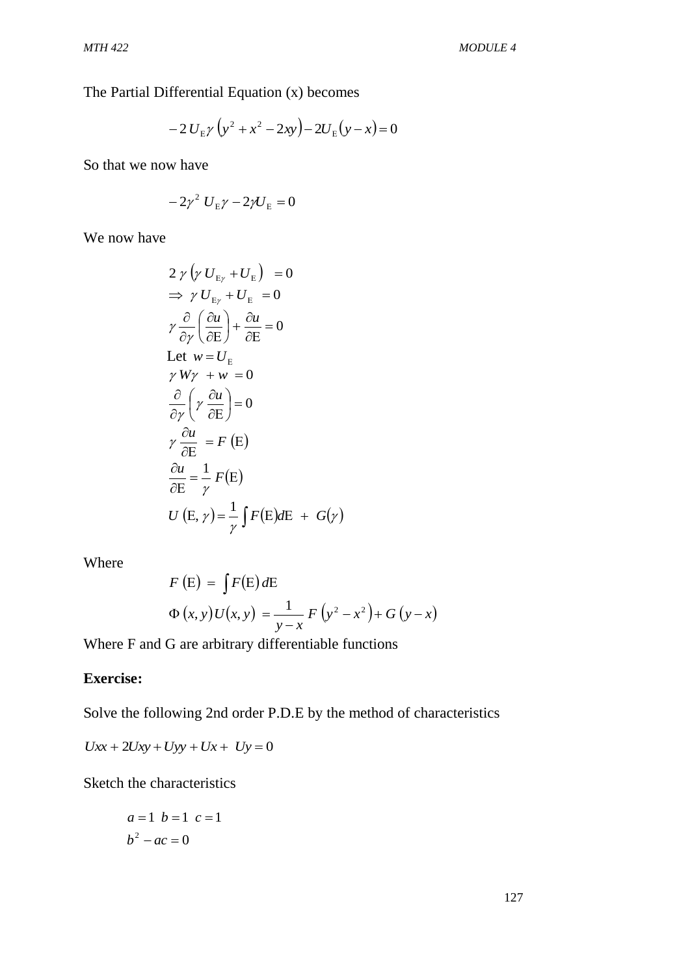The Partial Differential Equation (x) becomes

$$
-2 U_{\rm E} \gamma \left( y^2 + x^2 - 2xy \right) - 2 U_{\rm E} \left( y - x \right) = 0
$$

So that we now have

$$
-2\gamma^2 U_{\rm E}\gamma - 2\gamma U_{\rm E} = 0
$$

We now have

$$
2 \gamma \left( \gamma U_{E_{\gamma}} + U_{E} \right) = 0
$$
  
\n
$$
\Rightarrow \gamma U_{E_{\gamma}} + U_{E} = 0
$$
  
\n
$$
\gamma \frac{\partial}{\partial \gamma} \left( \frac{\partial u}{\partial E} \right) + \frac{\partial u}{\partial E} = 0
$$
  
\nLet  $w = U_{E}$   
\n
$$
\gamma W \gamma + w = 0
$$
  
\n
$$
\frac{\partial}{\partial \gamma} \left( \gamma \frac{\partial u}{\partial E} \right) = 0
$$
  
\n
$$
\gamma \frac{\partial u}{\partial E} = F (E)
$$
  
\n
$$
\frac{\partial u}{\partial E} = \frac{1}{\gamma} F(E)
$$
  
\n
$$
U (E, \gamma) = \frac{1}{\gamma} \int F(E) dE + G(\gamma)
$$

Where

$$
F(E) = \int F(E) dE
$$
  
\n
$$
\Phi(x, y)U(x, y) = \frac{1}{y - x} F(y^2 - x^2) + G(y - x)
$$

Where F and G are arbitrary differentiable functions

# **Exercise:**

Solve the following 2nd order P.D.E by the method of characteristics

$$
Uxx + 2Uxy + Uyy + Ux + Uy = 0
$$

Sketch the characteristics

$$
a = 1 \quad b = 1 \quad c = 1
$$
\n
$$
b^2 - ac = 0
$$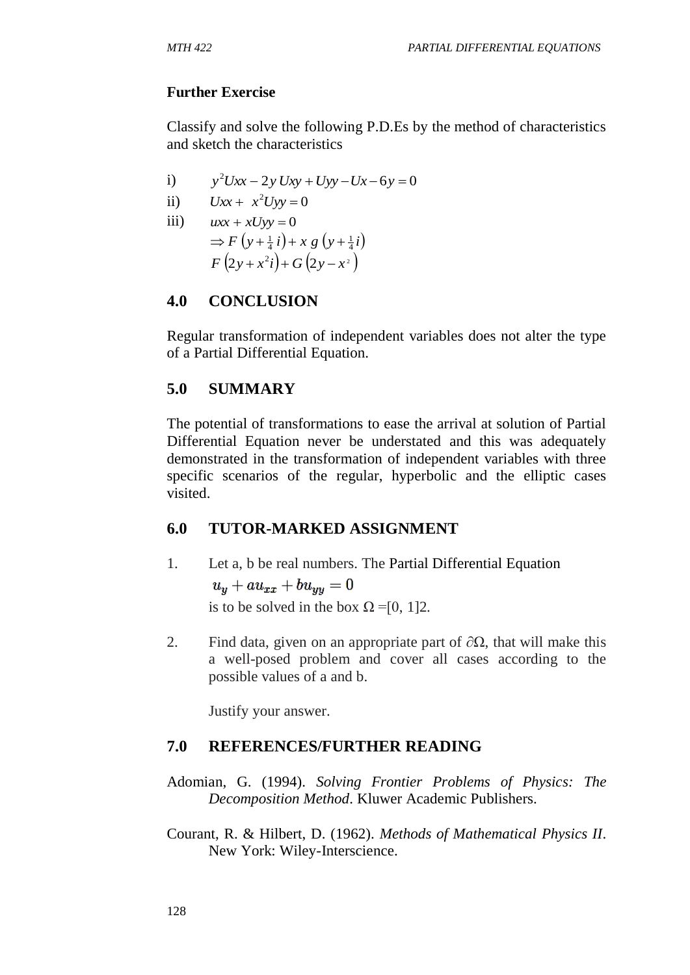## **Further Exercise**

Classify and solve the following P.D.Es by the method of characteristics and sketch the characteristics

i)  $y^2 Uxx - 2y Uxy + Uyy - Ux - 6y = 0$ 

$$
ii) \tUxx + x^2Uyy = 0
$$

iii)  $uxx + xUyy = 0$  $\Rightarrow$   $F(y+\frac{1}{4}i)+x g(y+\frac{1}{4}i)$  $F(2y+x^2i)+G(2y-x^2)$ 

# **4.0 CONCLUSION**

Regular transformation of independent variables does not alter the type of a Partial Differential Equation.

# **5.0 SUMMARY**

The potential of transformations to ease the arrival at solution of Partial Differential Equation never be understated and this was adequately demonstrated in the transformation of independent variables with three specific scenarios of the regular, hyperbolic and the elliptic cases visited.

# **6.0 TUTOR-MARKED ASSIGNMENT**

- 1. Let a, b be real numbers. The Partial Differential Equation  $u_y + au_{xx} + bu_{yy} = 0$ is to be solved in the box  $\Omega = [0, 1]2$ .
- 2. Find data, given on an appropriate part of  $\partial\Omega$ , that will make this a well-posed problem and cover all cases according to the possible values of a and b.

Justify your answer.

# **7.0 REFERENCES/FURTHER READING**

- Adomian, G. (1994). *Solving Frontier Problems of Physics: The Decomposition Method*. Kluwer Academic Publishers.
- Courant, R. & Hilbert, D. (1962). *Methods of Mathematical Physics II*. New York: Wiley-Interscience.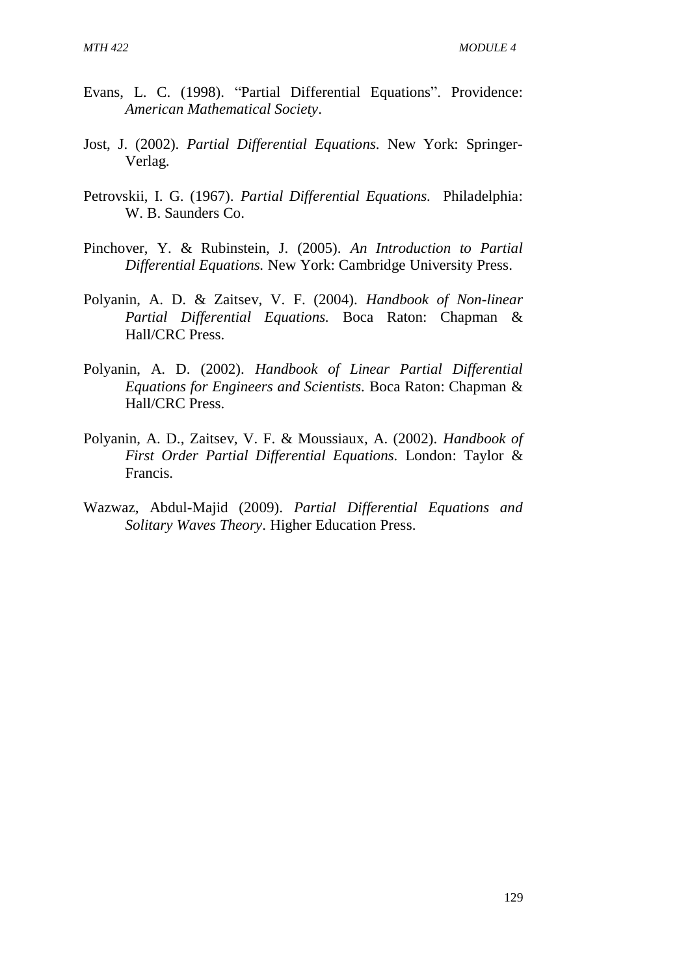- Evans, L. C. (1998). "Partial Differential Equations". Providence: *American Mathematical Society*.
- Jost, J. (2002). *Partial Differential Equations.* New York: Springer-Verlag.
- Petrovskii, I. G. (1967). *Partial Differential Equations.* Philadelphia: W. B. Saunders Co.
- Pinchover, Y. & Rubinstein, J. (2005). *An Introduction to Partial Differential Equations.* New York: Cambridge University Press.
- Polyanin, A. D. & Zaitsev, V. F. (2004). *Handbook of Non-linear Partial Differential Equations.* Boca Raton: Chapman & Hall/CRC Press.
- Polyanin, A. D. (2002). *Handbook of Linear Partial Differential Equations for Engineers and Scientists.* Boca Raton: Chapman & Hall/CRC Press.
- Polyanin, A. D., Zaitsev, V. F. & Moussiaux, A. (2002). *Handbook of First Order Partial Differential Equations.* London: Taylor & Francis.
- Wazwaz, Abdul-Majid (2009). *Partial Differential Equations and Solitary Waves Theory*. Higher Education Press.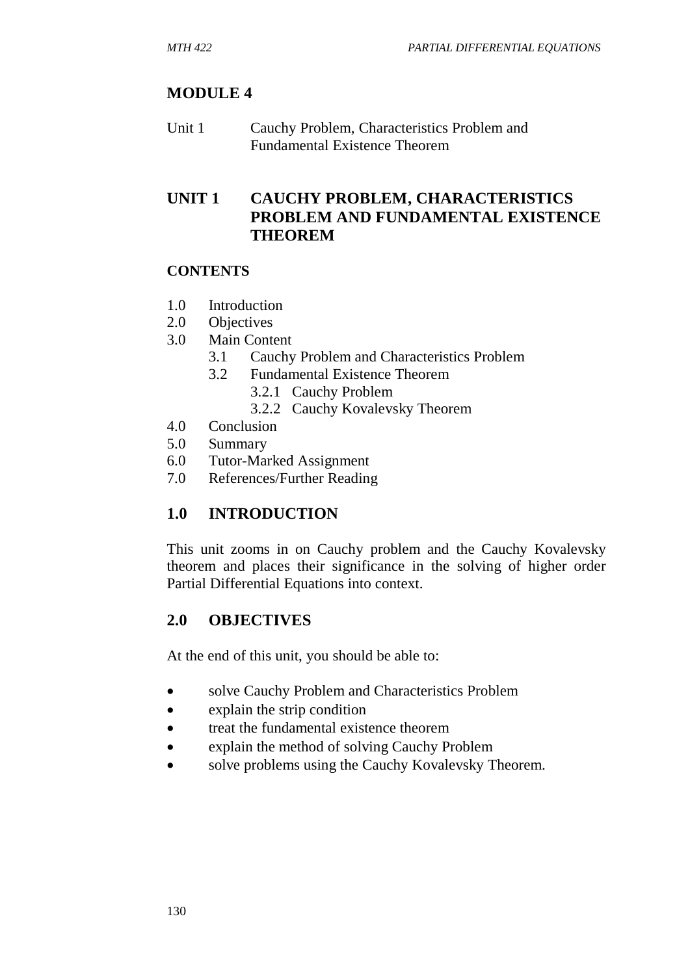# **MODULE 4**

Unit 1 Cauchy Problem, Characteristics Problem and Fundamental Existence Theorem

## **UNIT 1 CAUCHY PROBLEM, CHARACTERISTICS PROBLEM AND FUNDAMENTAL EXISTENCE THEOREM**

### **CONTENTS**

- 1.0 Introduction
- 2.0 Objectives
- 3.0 Main Content
	- 3.1 Cauchy Problem and Characteristics Problem
	- 3.2 Fundamental Existence Theorem
		- 3.2.1 Cauchy Problem
		- 3.2.2 Cauchy Kovalevsky Theorem
- 4.0 Conclusion
- 5.0 Summary
- 6.0 Tutor-Marked Assignment
- 7.0 References/Further Reading

# **1.0 INTRODUCTION**

This unit zooms in on Cauchy problem and the Cauchy Kovalevsky theorem and places their significance in the solving of higher order Partial Differential Equations into context.

# **2.0 OBJECTIVES**

At the end of this unit, you should be able to:

- solve Cauchy Problem and Characteristics Problem
- explain the strip condition
- treat the fundamental existence theorem
- explain the method of solving Cauchy Problem
- solve problems using the Cauchy Kovalevsky Theorem.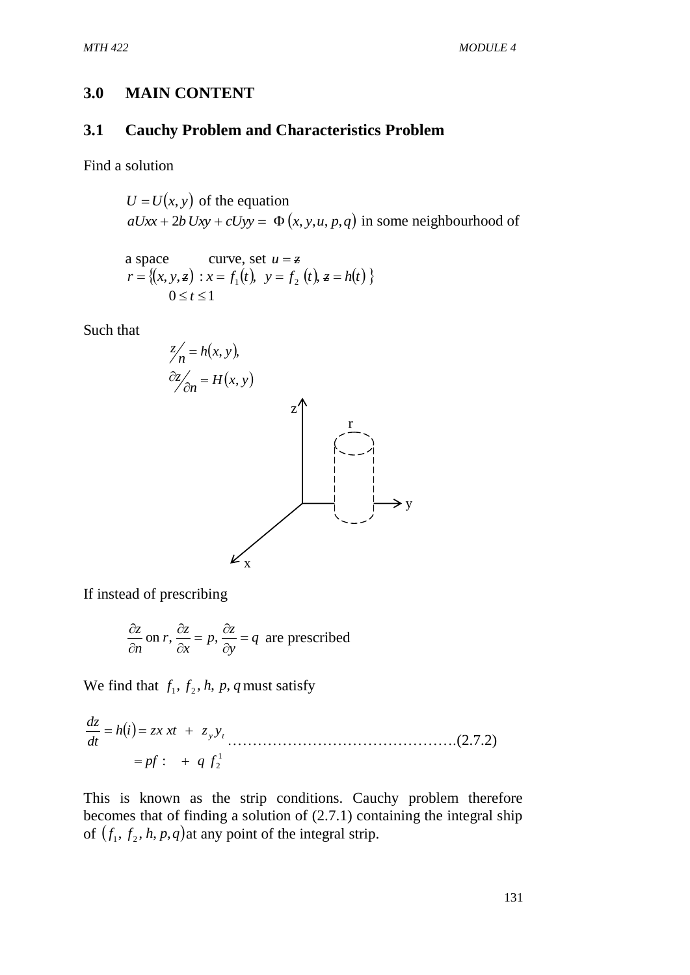### **3.0 MAIN CONTENT**

## **3.1 Cauchy Problem and Characteristics Problem**

Find a solution

$$
U = U(x, y)
$$
 of the equation  
 $aUxx + 2b Uxy + cUyy = \Phi(x, y, u, p, q)$  in some neighbourhood of

a space curve, set 
$$
u = z
$$
  
\n $r = \{(x, y, z) : x = f_1(t), y = f_2(t), z = h(t) \}$   
\n $0 \le t \le 1$ 

Such that



If instead of prescribing

$$
\frac{\partial z}{\partial n}
$$
 on *r*, 
$$
\frac{\partial z}{\partial x} = p
$$
, 
$$
\frac{\partial z}{\partial y} = q
$$
 are prescribed

We find that  $f_1$ ,  $f_2$ ,  $h$ ,  $p$ ,  $q$  must satisfy

$$
\frac{dz}{dt} = h(i) = zx \, xt \, + \, z_{y} y_{t}
$$
\n
$$
= pf: \, + \, q \, f_{2}^{1} \tag{2.7.2}
$$

This is known as the strip conditions. Cauchy problem therefore becomes that of finding a solution of (2.7.1) containing the integral ship of  $(f_1, f_2, h, p, q)$  at any point of the integral strip.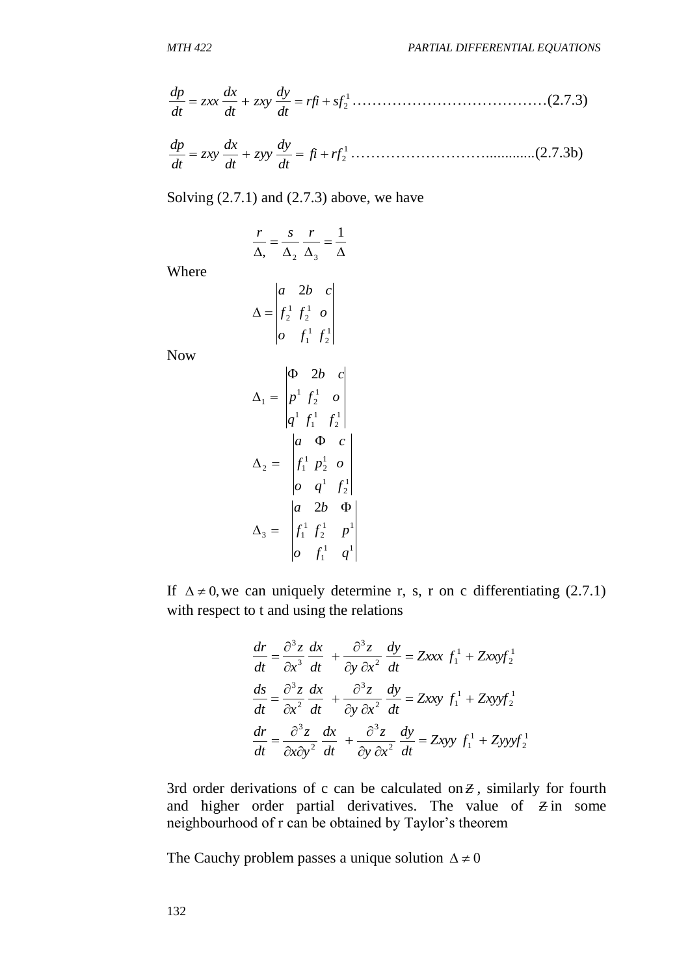2 *rfi sf dt dy zxy dt dx zxx dt dp* …………………………………(2.7.3)

1 2 *fi rf dt dy zyy dt dx zxy dt dp* ……………………….............(2.7.3b)

Solving  $(2.7.1)$  and  $(2.7.3)$  above, we have

$$
\frac{r}{\Delta_2} = \frac{s}{\Delta_2} \frac{r}{\Delta_3} = \frac{1}{\Delta}
$$

Where

$$
\Delta = \begin{vmatrix} a & 2b & c \\ f_2^1 & f_2^1 & o \\ o & f_1^1 & f_2^1 \end{vmatrix}
$$

Now

$$
\frac{dp}{dt} = zxx \frac{dx}{dt} + zxy \frac{dy}{dt} = rf + sf^1
$$
\n
$$
\frac{dp}{dt} = zxy \frac{dx}{dt} + zyy \frac{dy}{dt} = fi + rf^1
$$
\nSolving (2.7.1) and (2.7.3) above  
\n
$$
\frac{r}{\Delta_1} = \frac{s}{\Delta_2} \frac{r}{\Delta_3} = \frac{1}{\Delta}
$$
\nWhere  
\n
$$
\Delta = \begin{vmatrix} a & 2b & c \\ f^1 & f^1 & 0 \\ 0 & f^1 & f^1 \end{vmatrix}
$$
\nNow  
\n
$$
\Delta_1 = \begin{vmatrix} \Phi & 2b & c \\ p^1 & f^1 & 0 \\ q^1 & f^1 & f^1 \end{vmatrix}
$$
\n
$$
\Delta_2 = \begin{vmatrix} a & \Phi & c \\ f^1 & p^1 & 0 \\ 0 & q^1 & f^1 \end{vmatrix}
$$
\nIf  $\Delta \neq 0$ , we can uniquely det  
\nwith respect to t and using the r  
\n
$$
\frac{dr}{dt} = \frac{\partial^3 z}{\partial x^3} \frac{dx}{dt} + \frac{\partial^2 z}{\partial y^2}
$$
\n
$$
\frac{ds}{dt} = \frac{\partial^3 z}{\partial x^3} \frac{dx}{dt} + \frac{\partial^2 z}{\partial y^2}
$$
\n
$$
\frac{dr}{dt} = \frac{\partial^3 z}{\partial x \partial y^2} \frac{dx}{dt} + \frac{\partial^2 z}{\partial y \partial y \partial y \partial z}
$$
\n
$$
\frac{dr}{dt} = \frac{\partial^3 z}{\partial x \partial y^2} \frac{dx}{dt} + \frac{\partial^2 z}{\partial y \partial y \partial y \partial z}
$$
\nThe Cauchy problem passes a u  
\n132

If  $\Delta \neq 0$ , we can uniquely determine r, s, r on c differentiating (2.7.1) with respect to t and using the relations

$$
\frac{dr}{dt} = \frac{\partial^3 z}{\partial x^3} \frac{dx}{dt} + \frac{\partial^3 z}{\partial y \partial x^2} \frac{dy}{dt} = Zxxx f_1^1 + Zxxyf_2^1
$$
  

$$
\frac{ds}{dt} = \frac{\partial^3 z}{\partial x^2} \frac{dx}{dt} + \frac{\partial^3 z}{\partial y \partial x^2} \frac{dy}{dt} = Zxxy f_1^1 + Zxyyf_2^1
$$
  

$$
\frac{dr}{dt} = \frac{\partial^3 z}{\partial x \partial y^2} \frac{dx}{dt} + \frac{\partial^3 z}{\partial y \partial x^2} \frac{dy}{dt} = Zxyy f_1^1 + Zyyyf_2^1
$$

3rd order derivations of c can be calculated on  $Z$ , similarly for fourth and higher order partial derivatives. The value of  $\overline{z}$  in some neighbourhood of r can be obtained by Taylor's theorem

The Cauchy problem passes a unique solution  $\Delta \neq 0$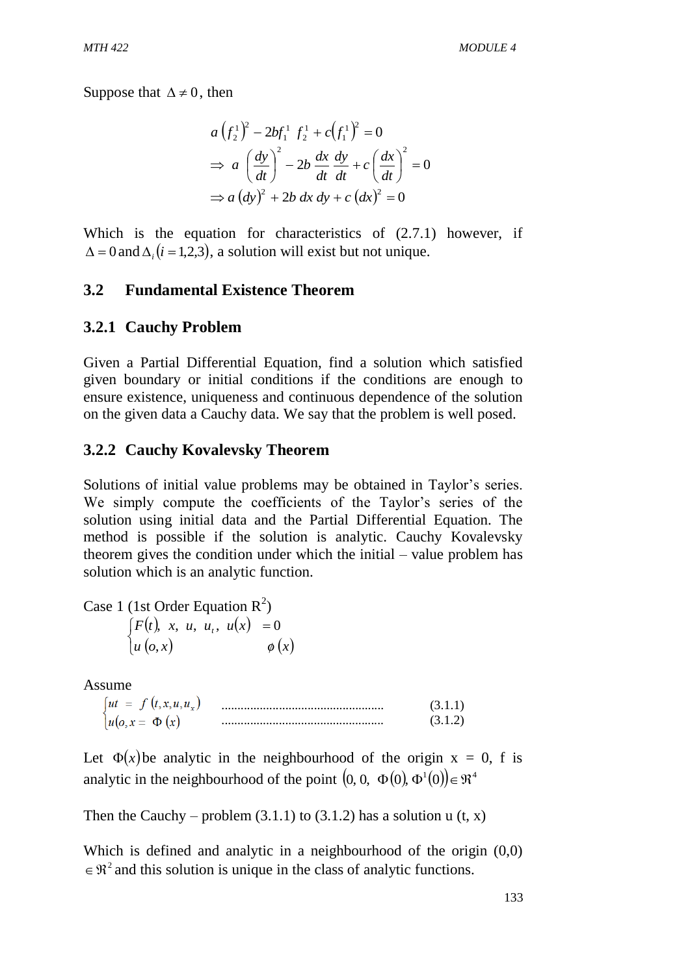Suppose that  $\Delta \neq 0$ , then

$$
a\left(f_2^1\right)^2 - 2bf_1^1 f_2^1 + c\left(f_1^1\right)^2 = 0
$$
  
\n
$$
\Rightarrow a\left(\frac{dy}{dt}\right)^2 - 2b\frac{dx}{dt}\frac{dy}{dt} + c\left(\frac{dx}{dt}\right)^2 = 0
$$
  
\n
$$
\Rightarrow a\left(dy\right)^2 + 2b\ dx\ dy + c\left(dx\right)^2 = 0
$$

Which is the equation for characteristics of  $(2.7.1)$  however, if  $\Delta = 0$  and  $\Delta_i$  (*i* = 1,2,3), a solution will exist but not unique.

### **3.2 Fundamental Existence Theorem**

#### **3.2.1 Cauchy Problem**

Given a Partial Differential Equation, find a solution which satisfied given boundary or initial conditions if the conditions are enough to ensure existence, uniqueness and continuous dependence of the solution on the given data a Cauchy data. We say that the problem is well posed.

#### **3.2.2 Cauchy Kovalevsky Theorem**

Solutions of initial value problems may be obtained in Taylor's series. We simply compute the coefficients of the Taylor's series of the solution using initial data and the Partial Differential Equation. The method is possible if the solution is analytic. Cauchy Kovalevsky theorem gives the condition under which the initial – value problem has solution which is an analytic function.

Case 1 (1st Order Equation  $R^2$ )  $(t)$ , x, u, u<sub>t</sub>, u(x)  $\begin{cases} u(x) & \phi(x) \\ u(0,x) & \phi(x) \end{cases}$  $\int$  $\phi$  $=$  $u\left(0,x\right)$   $\phi\left(x\right)$  $F(t)$ , x, u, u<sub>t</sub>, u(x ,  $u, x, u, u_t, u(x) = 0$ 

Assume

| $\left\langle \mathbf{1}, \mathbf{x}, \mathbf{u}, \mathbf{u} \right\rangle$<br>=<br>ш |  |
|---------------------------------------------------------------------------------------|--|
| u                                                                                     |  |

Let  $\Phi(x)$  be analytic in the neighbourhood of the origin  $x = 0$ , f is analytic in the neighbourhood of the point  $(0, 0, \Phi(0), \Phi^1(0)) \in \mathbb{R}^4$ 

Then the Cauchy – problem  $(3.1.1)$  to  $(3.1.2)$  has a solution u  $(t, x)$ 

Which is defined and analytic in a neighbourhood of the origin  $(0,0)$  $\in \mathbb{R}^2$  and this solution is unique in the class of analytic functions.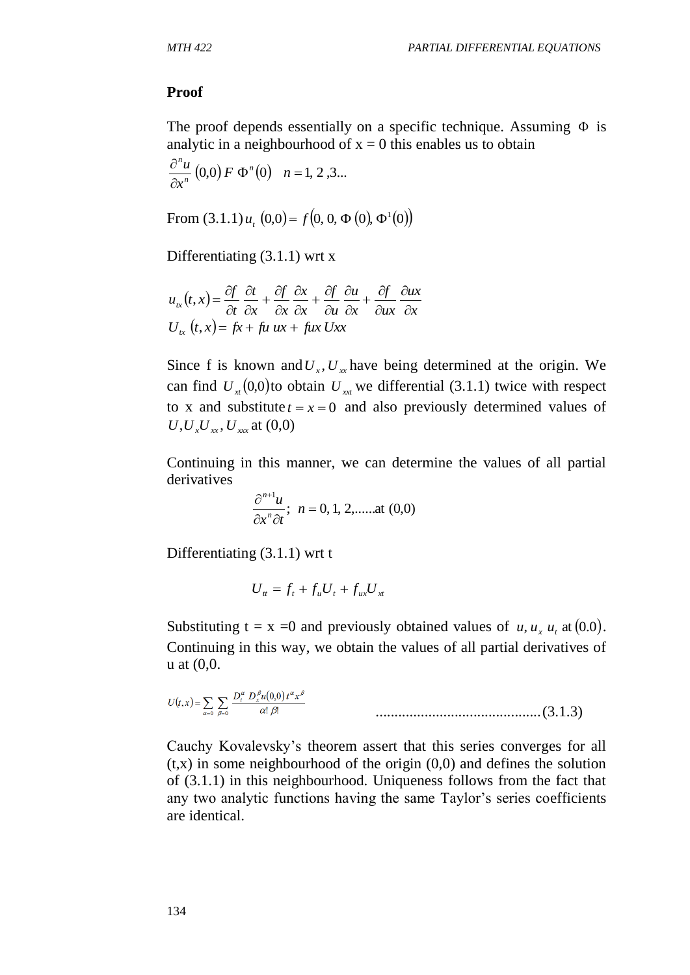#### **Proof**

The proof depends essentially on a specific technique. Assuming  $\Phi$  is analytic in a neighbourhood of  $x = 0$  this enables us to obtain

$$
\frac{\partial^n u}{\partial x^n}(0,0) F \Phi^n(0) \quad n = 1, 2, 3...
$$

From  $(3.1.1) u_t(0,0) = f(0, 0, \Phi(0), \Phi^1(0))$ 

Differentiating (3.1.1) wrt x

$$
u_{tx}(t,x) = \frac{\partial f}{\partial t} \frac{\partial t}{\partial x} + \frac{\partial f}{\partial x} \frac{\partial x}{\partial x} + \frac{\partial f}{\partial u} \frac{\partial u}{\partial x} + \frac{\partial f}{\partial u x} \frac{\partial u}{\partial x}
$$
  

$$
U_{tx}(t,x) = fx + fu \, ux + fux \, Uxx
$$

Since f is known and  $U_x$ ,  $U_x$  have being determined at the origin. We can find  $U_{x}(0,0)$  to obtain  $U_{x}$  we differential (3.1.1) twice with respect to x and substitute  $t = x = 0$  and also previously determined values of  $U, U_x U_x, U_{xx}, U_{xxx}$  at  $(0,0)$ 

Continuing in this manner, we can determine the values of all partial derivatives

$$
\frac{\partial^{n+1} u}{\partial x^n \partial t}; \ \ n = 0, 1, 2, \dots \text{ at } (0,0)
$$

Differentiating (3.1.1) wrt t

$$
U_{tt} = f_t + f_u U_t + f_{ux} U_{xt}
$$

Substituting  $t = x = 0$  and previously obtained values of  $u, u_x u_t$  at (0.0). Continuing in this way, we obtain the values of all partial derivatives of u at (0,0.

$$
U(t,x) = \sum_{\alpha=0}^{\infty} \sum_{\beta=0}^{\infty} \frac{D_t^{\alpha} D_x^{\beta} u(0,0) t^{\alpha} x^{\beta}}{\alpha! \beta!}
$$
.................(3.1.3)

Cauchy Kovalevsky's theorem assert that this series converges for all  $(t, x)$  in some neighbourhood of the origin  $(0, 0)$  and defines the solution of (3.1.1) in this neighbourhood. Uniqueness follows from the fact that any two analytic functions having the same Taylor's series coefficients are identical.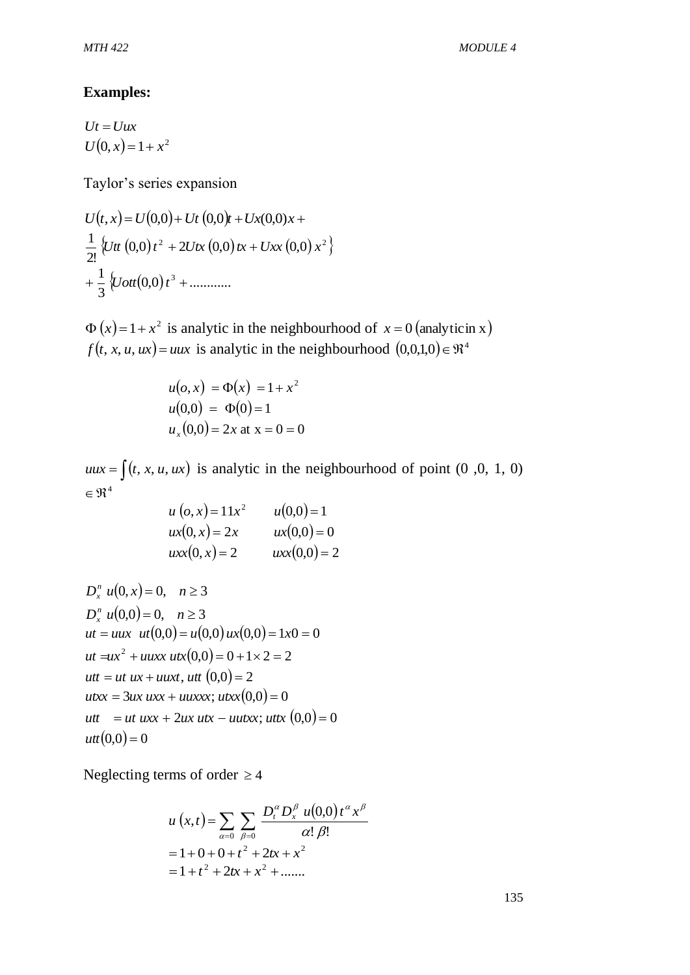### **Examples:**

 $Ut = Uux$  $U(0, x) = 1 + x^2$ 

Taylor's series expansion

 $U(t, x) = U(0,0) + Ut(0,0)t + Ux(0,0)x +$  $\left\{ Ut\left( 0,0\right) t^{2}+2Utx\left( 0,0\right) tx+Uxx\left( 0,0\right) x^{2}\right\}$ 2!  $\frac{1}{2} \int U dt$   $(0,0) t^2 + 2Utx (0,0) tx + Uxx (0,0) x$  $\{Uott(0,0)\,t^3 + \ldots \}$ 3  $+\frac{1}{2}\left\{Uott(0,0)t^3+\right\}$ 

 $\Phi(x) = 1 + x^2$  is analytic in the neighbourhood of  $x = 0$  (analyticin x)  $f(t, x, u, ux) = uux$  is analytic in the neighbourhood  $(0,0,1,0) \in \mathbb{R}^4$ 

$$
u(o, x) = \Phi(x) = 1 + x^2
$$
  
u(0,0) =  $\Phi(0) = 1$   

$$
u_x(0,0) = 2x
$$
 at x = 0 = 0

 $uux = \int (t, x, u, ux)$  is analytic in the neighbourhood of point (0,0, 1, 0)  $\in \Re^4$ 

$$
u (o, x) = 11x2 \t u(0, 0) = 1\nux(0, x) = 2x \t ux(0, 0) = 0\nuxx(0, x) = 2 \t uxx(0, 0) = 2
$$

$$
D_x^n u(0, x) = 0, \quad n \ge 3
$$
  
\n
$$
D_x^n u(0, 0) = 0, \quad n \ge 3
$$
  
\n
$$
ut = uux \quad ut(0, 0) = u(0, 0) \, ux(0, 0) = 1x0 = 0
$$
  
\n
$$
ut = ux^2 + uuxx \, utx(0, 0) = 0 + 1 \times 2 = 2
$$
  
\n
$$
utt = ut \, ux + uuxx, \, utt(0, 0) = 2
$$
  
\n
$$
utxx = 3ux \, uxx + uuxx; \, utxx(0, 0) = 0
$$
  
\n
$$
utt = ut \, uxx + 2ux \, utx - uutxx; \, uttx(0, 0) = 0
$$
  
\n
$$
utt(0, 0) = 0
$$

Neglecting terms of order  $\geq 4$ 

$$
u(x,t) = \sum_{\alpha=0}^{\infty} \sum_{\beta=0}^{\infty} \frac{D_t^{\alpha} D_x^{\beta} u(0,0) t^{\alpha} x^{\beta}}{\alpha! \beta!}
$$
  
= 1 + 0 + 0 + t<sup>2</sup> + 2tx + x<sup>2</sup>  
= 1 + t<sup>2</sup> + 2tx + x<sup>2</sup> + ......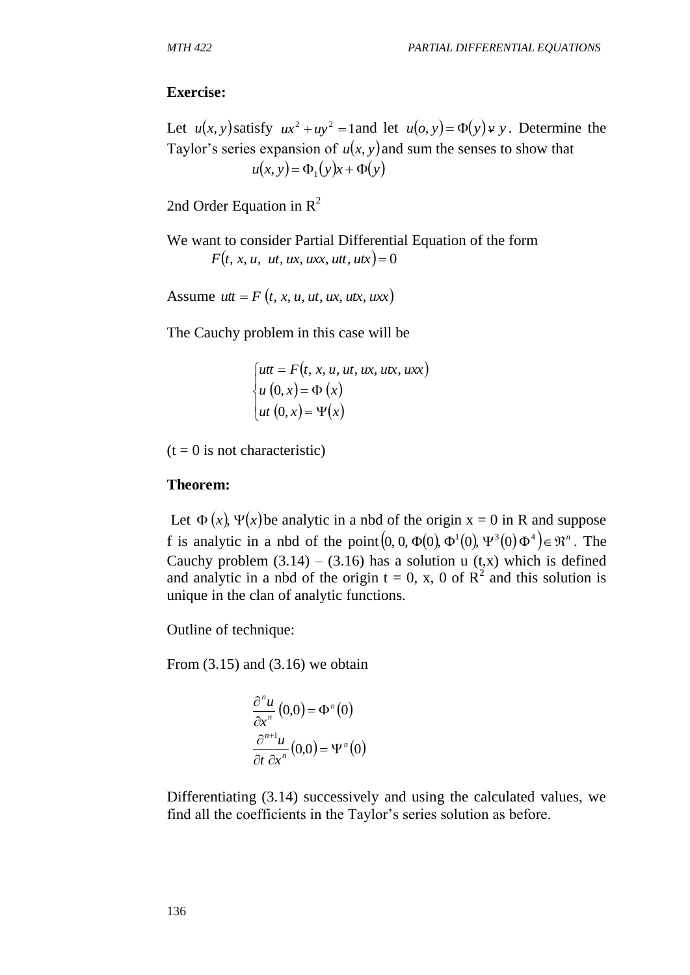### **Exercise:**

Let  $u(x, y)$  satisfy  $ux^2 + uy^2 = 1$  and let  $u(o, y) = \Phi(y) + y$ . Determine the Taylor's series expansion of  $u(x, y)$  and sum the senses to show that  $u(x, y) = \Phi_1(y)x + \Phi(y)$ 

2nd Order Equation in  $R^2$ 

We want to consider Partial Differential Equation of the form  $F(t, x, u, ut, ux, uxx, utt, utx) = 0$ 

Assume  $utt = F(t, x, u, ut, ux, utx, uxx)$ 

The Cauchy problem in this case will be

$$
\begin{cases}\nut = F(t, x, u, ut, ux, utx, uxx) \\
u (0, x) = \Phi(x) \\
ut (0, x) = \Psi(x)\n\end{cases}
$$

 $(t = 0$  is not characteristic)

#### **Theorem:**

Let  $\Phi(x)$ ,  $\Psi(x)$  be analytic in a nbd of the origin  $x = 0$  in R and suppose f is analytic in a nbd of the point  $(0, 0, \Phi(0), \Phi^1(0), \Psi^3(0), \Phi^4) \in \mathbb{R}^n$ . The Cauchy problem  $(3.14) - (3.16)$  has a solution u  $(t, x)$  which is defined and analytic in a nbd of the origin  $t = 0$ , x, 0 of  $R^2$  and this solution is unique in the clan of analytic functions.

Outline of technique:

From  $(3.15)$  and  $(3.16)$  we obtain

$$
\frac{\partial^n u}{\partial x^n}(0,0) = \Phi^n(0)
$$

$$
\frac{\partial^{n+1} u}{\partial t \partial x^n}(0,0) = \Psi^n(0)
$$

Differentiating (3.14) successively and using the calculated values, we find all the coefficients in the Taylor's series solution as before.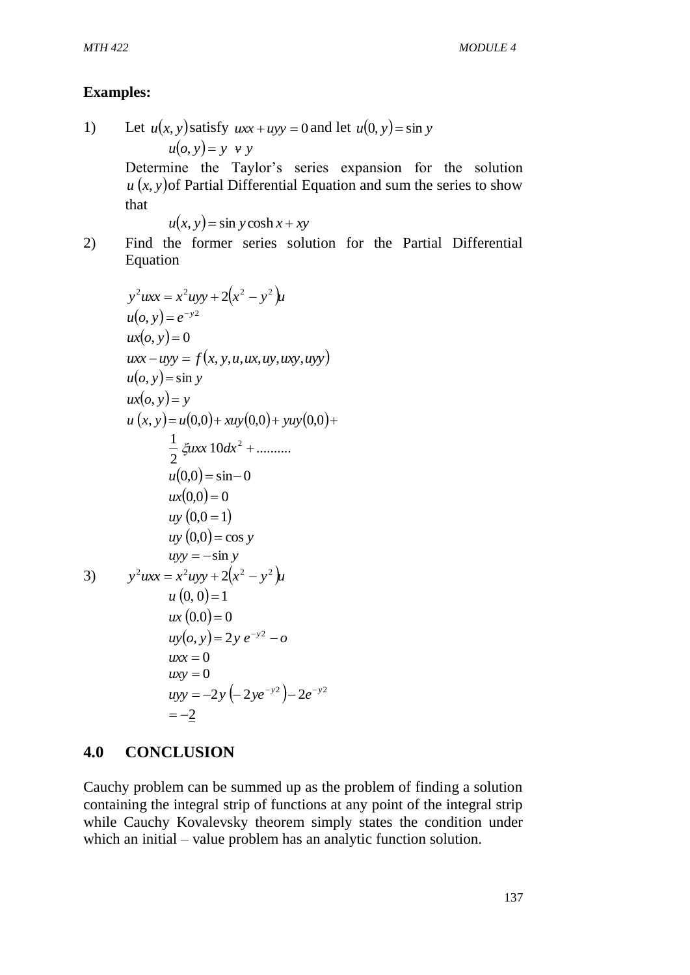# **Examples:**

1) Let  $u(x, y)$  satisfy  $uxx + uyy = 0$  and let  $u(0, y) = \sin y$  $u(o, y) = y \cdot y \cdot y$ Determine the Taylor's series expansion for the solution  $u(x, y)$  of Partial Differential Equation and sum the series to show that  $u(x, y) = \sin y \cosh x + xy$ 

2) Find the former series solution for the Partial Differential Equation

$$
y^2 uxx = x^2 uyy + 2(x^2 - y^2)u
$$
  
\n
$$
u(o, y) = e^{-y^2}
$$
  
\n
$$
ux(o, y) = 0
$$
  
\n
$$
uxx - uyy = f(x, y, u, ux, uy, uxy, uyy)
$$
  
\n
$$
u(o, y) = \sin y
$$
  
\n
$$
ux(o, y) = y
$$
  
\n
$$
u(x, y) = u(0,0) + xuy(0,0) + yuy(0,0) + \frac{1}{2} \xi uxx 10 dx^2 + \dots
$$
  
\n
$$
u(0,0) = \sin 0
$$
  
\n
$$
ux(0,0) = 0
$$
  
\n
$$
uv(0,0) = \cos y
$$
  
\n
$$
uvy = -\sin y
$$
  
\n3) 
$$
y^2 uxx = x^2 uyy + 2(x^2 - y^2)u
$$
  
\n
$$
u(0,0) = 1
$$
  
\n
$$
ux(0.0) = 0
$$
  
\n
$$
uv(0, y) = 2y e^{-y^2} - o
$$
  
\n
$$
uxx = 0
$$
  
\n
$$
uvy = -2y(-2ye^{-y^2}) - 2e^{-y^2}
$$
  
\n
$$
uxy = -2y(-2ye^{-y^2}) - 2e^{-y^2}
$$
  
\n
$$
u = -2
$$

# **4.0 CONCLUSION**

Cauchy problem can be summed up as the problem of finding a solution containing the integral strip of functions at any point of the integral strip while Cauchy Kovalevsky theorem simply states the condition under which an initial – value problem has an analytic function solution.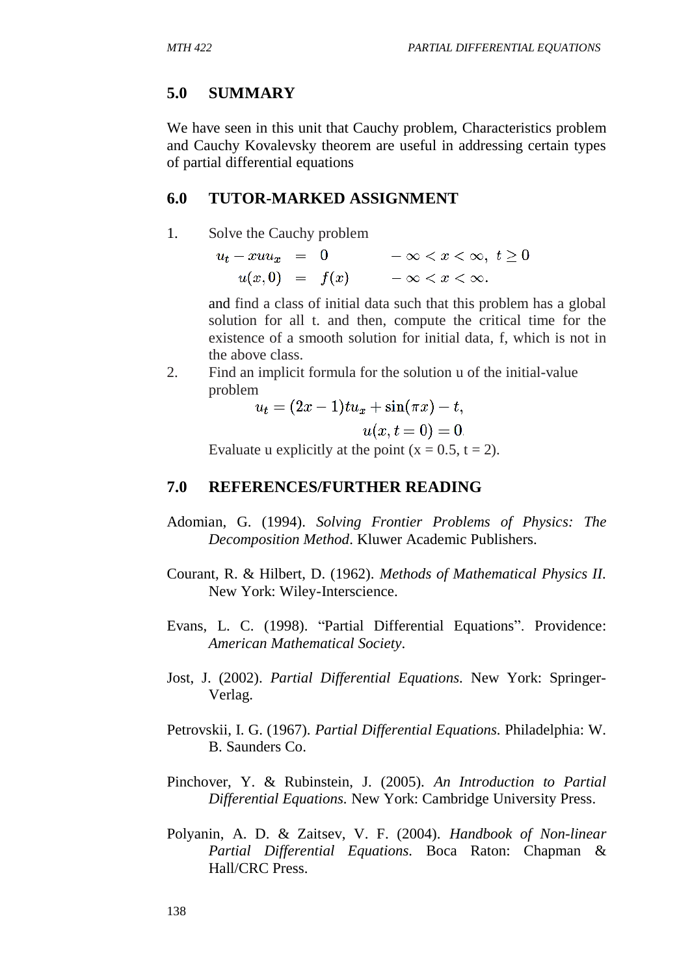### **5.0 SUMMARY**

We have seen in this unit that Cauchy problem, Characteristics problem and Cauchy Kovalevsky theorem are useful in addressing certain types of partial differential equations

## **6.0 TUTOR-MARKED ASSIGNMENT**

1. Solve the Cauchy problem

 $u_t - x u u_x = 0$  $-\infty < x < \infty$ ,  $t \geq 0$  $u(x,0) = f(x)$   $-\infty < x < \infty$ .

and find a class of initial data such that this problem has a global solution for all t. and then, compute the critical time for the existence of a smooth solution for initial data, f, which is not in the above class.

2. Find an implicit formula for the solution u of the initial-value problem<br> $u_t = (2x - 1)tu_x + \sin(\pi x) - t.$ 

$$
u(x,t=0)=0.
$$

Evaluate u explicitly at the point  $(x = 0.5, t = 2)$ .

### **7.0 REFERENCES/FURTHER READING**

- Adomian, G. (1994). *Solving Frontier Problems of Physics: The Decomposition Method*. Kluwer Academic Publishers.
- Courant, R. & Hilbert, D. (1962). *Methods of Mathematical Physics II.* New York: Wiley-Interscience.
- Evans, L. C. (1998). "Partial Differential Equations". Providence: *American Mathematical Society*.
- Jost, J. (2002). *Partial Differential Equations.* New York: Springer-Verlag.
- Petrovskii, I. G. (1967). *Partial Differential Equations.* Philadelphia: W. B. Saunders Co.
- Pinchover, Y. & Rubinstein, J. (2005). *An Introduction to Partial Differential Equations.* New York: Cambridge University Press.
- Polyanin, A. D. & Zaitsev, V. F. (2004). *Handbook of Non-linear Partial Differential Equations.* Boca Raton: Chapman & Hall/CRC Press.